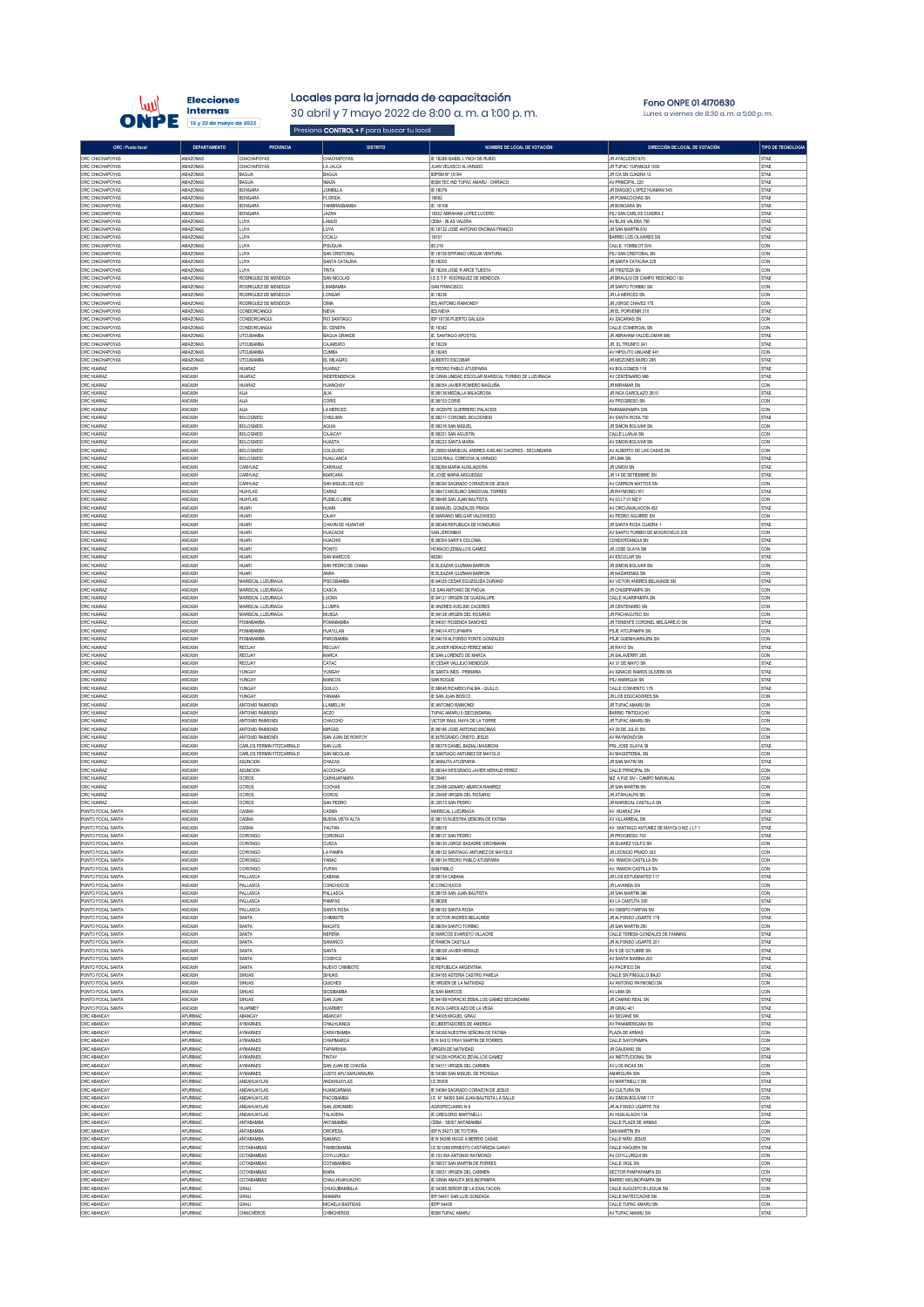

## Locales para la jornada de capacitación

Presiona CONTROL + F para buscar tu local

30 abril y 7 mayo 2022 de 8:00 a. m. a 1:00 p. m.

**Fono ONPE 01 4170630**<br>Lunes a viernes de 8:30 a. m. a 5:00 p. m

| ORC / Punto focal                  | DEPARTAMENTO         | PROVINCIA                 | <b>DISTRITO</b>                  | NOMBRE DE LOCAL DE VOTACIÓN                           | DIRECCIÓN DE LOCAL DE VOTACIÓN                       | <b>TIPO DE TECNOLOGIA</b> |
|------------------------------------|----------------------|---------------------------|----------------------------------|-------------------------------------------------------|------------------------------------------------------|---------------------------|
| ORC CHACHAPOYAS                    | AMAZONAS             | CHACHAPOYAS               | CHACHAPOYAS                      | IE 18288 ISABEL LYNCH DE RUBIO                        | <b>IR AYACLICHO 870</b>                              | STAE                      |
| ORC CHACHAPOYAS                    | AMAZONAS             | CHACHAPOYAS               | LA JALCA                         | JUAN VELASCO ALVARADO                                 | JR TUPAC YUPANQUI 1000                               | STAE                      |
| ORC CHACHAPOYAS                    | AMAZONAS             | <b>BAGUA</b>              | <b>BAGUA</b>                     | <b>IEIPSM Nº 16194</b>                                | JR ICA SN CUADRA 12                                  | <b>STAE</b>               |
| ORC CHACHAPOYAS                    | AMAZONAS             | <b>BAGUA</b>              | <b>IMAZA</b>                     | <b>IESM TEC IND TUPAC AMARU - CHIRIACO</b>            | AV PRINCIPAL 220                                     | STAE                      |
| ORC CHACHAPOYAS                    | AMAZONAS             | <b>BONGAR/</b>            | JUMBILLA                         | IE 18079                                              | JR EMIGDIO LOPEZ HUAMAN 345                          | <b>STAE</b>               |
| ORC CHACHAPOYAS                    | AMAZONAS             | <b>BONGARA</b>            | <b>FLORDA</b>                    | 18092                                                 | JR POMACOCHAS SN                                     | STAE                      |
| ORC CHACHAPOYAS                    | AMAZONAS             | <b>BONGAR/</b>            | YAMBRASBAMBA                     | IE 18106                                              | <b>JR BONGARA SN</b>                                 | STAE                      |
| ORC CHACHAPOYAS                    | AMAZONAS             | <b>BONGARA</b>            | JAZAN                            | 18322 ABRAHAM LOPEZ LUCERO                            | PSJ SAN CARLOS CUADRA 2                              | STAE                      |
| ORC CHACHAPOYAS                    | AMAZONAS             | LUYA                      | LAMUD                            | CEBA - BLAS VALERA                                    | AV BLAS VALERA 756                                   | STAE                      |
| ORC CHACHAPOYAS                    | AMAZONAS             | LUYA                      | LUYA                             | IE 18132 JOSE ANTONIO ENCINAS FRANCO                  | JR SAN MARTIN 810                                    | STAE                      |
| ORC CHACHAPOYAS                    | AMAZONAS             | LUYA                      | OCALLI                           | 18151                                                 | <b>BARRIO LOS OLIVARES SN</b>                        | <b>STAE</b>               |
| ORC CHACHAPOYAS                    | AMAZONAS<br>AMAZONAS | LUYA<br>LUYA              | <b>PISUQUIA</b><br>SAN CRISTOBAL | El 216                                                | CALLE. YOMBLOT S/N<br>PSJ SAN CRISTOBAL SN           | CON<br>CON                |
| ORC CHACHAPOYAS<br>ORC CHACHAPOYAS | AMAZONAS             | LUYA                      | SANTA CATALINA                   | IE 18156 EPIFANIO URQUIA VENTURA<br>IE 18200          | JR SANTA CATALINA 225                                | CON                       |
| ORC CHACHAPOYAS                    | AMAZONAS             | LUYA                      | TRITA                            | IE 18205 JOSE R ARCE TUESTA                           | <b>JR TRISTEZA SN</b>                                | CON                       |
| ORC CHACHAPOYAS                    | AMAZONAS             | RODRIGUEZ DE MENDOZA      | SAN NICOLAS                      | <b>I.E.S.T.P. RODRIGUEZ DE MENDOZA</b>                | JR BRAULIO DE CAMPO REDONDO 150                      | STAE                      |
| ORC CHACHAPOYAS                    | AMAZONAS             | RODRIGUEZ DE MENDOZA      | I IMARAMRA                       | SAN FRANCISCO                                         | JR SANTO TORIBIO SN                                  | CON                       |
| ORC CHACHAPOYAS                    | AMAZONAS             | RODRIGUEZ DE MENDOZA      | LONGAR                           | IE 18236                                              | JR LA MERCED SN                                      | CON                       |
| ORC CHACHAPOYAS                    | AMAZONAS             | RODRIGUEZ DE MENDOZA      | OMA                              | <b>IES ANTONIO RAIMONDY</b>                           | JR JORGE CHAVEZ 175                                  | CON                       |
| ORC CHACHAPOYAS                    | AMAZONAS             | CONDORCANQUI              | NIEVA                            | <b>IES NIEVA</b>                                      | JR EL PORVENIR 310                                   | STAE                      |
| ORC CHACHAPOYAS                    | AMAZONAS             | CONDORCANQUI              | <b>RIO SANTIAGO</b>              | IEP 16736 PUERTO GALILEA                              | AV ZACARIAS SN                                       | CON                       |
| ORC CHACHAPOYAS                    | AMAZONAS             | CONDORCANQUI              | EL CENEPA                        | IE 16342                                              | CALLE COMERCIAL SN                                   | CON                       |
| ORC CHACHAPOYAS                    | AMAZONAS             | <b>UTCUBAMBA</b>          | <b>BAGUA GRANDE</b>              | IE. SANTIAGO APOSTOL                                  | JR ABRAHAM VALDELOMAR 990                            | STAE                      |
| ORC CHACHAPOYAS                    | AMAZONAS             | UTCUBAMBA                 | CAJARURO                         | E 16229                                               | JR. EL TRIUNFO 241                                   | STAE                      |
| ORC CHACHAPOYAS                    | AMAZONAS             | <b>UTCUBAMBA</b>          | <b>CUMBA</b>                     | IE 16245                                              | AV HIPOLITO UNUANE 441                               | CON                       |
| ORC CHACHAPOYAS                    | AMAZONAS             | <b>JTCUBAMBA</b>          | EL MILAGRO                       | ALBERTO ESCOBAR                                       | JR MEZONES MURO 295                                  | STAE                      |
| ORC HUARAZ                         | ANCASH               | HUARAZ                    | HUARAZ                           | <b>IE PEDRO PABLO ATUSPARIA</b>                       | AV BOLOGNESI 116                                     | STAE                      |
| ORC HUARAZ                         | ANCASH               | <b>HUARAZ</b>             | <b>INDEPENDENCIA</b>             | IE GRAN UNDAD ESCOLAR MARISCAL TORIBIO DE LUZURIAGA   | AV CENTENARIO 998                                    | <b>STAE</b>               |
| ORC HUARAZ                         | ANCASH               | HUARAZ                    | HUANCHAY                         | IE 86054 JAVIER ROMERO MAGUIÑA                        | <b>JR MIRAMAR SN</b>                                 | CON                       |
| ORC HUARAZ                         | ANCASH               | <b>ALIA</b>               | <b>AUA</b>                       | IE 86136 MEDALLA MILAGROSA                            | JR INCA GARCILAZO 2610                               | <b>STAE</b>               |
| ORC HUARAZ                         | ANCASH               | <b>ALIA</b>               | CORIS                            | IE 86153 CORIS                                        | AV PROGRESO SN                                       | CON                       |
| ORC HUARAZ                         | ANCASH               | <b>ALIA</b>               | LA MERCED                        | IE VICENTE GUERRERO PALACIOS                          | RARAMAPAMPA S/N                                      | <b>CON</b>                |
| ORC HUARAZ                         | ANCASH               | <b>BOLOGNES</b>           | CHIQUIAN                         | IE 86211 CORONEL BOLOGNES!                            | AV SANTA ROSA 700                                    | STAE                      |
| ORC HUARAZ                         | ANCASH               | <b>BOLOGNES</b>           | AQUIA                            | IE 86216 SAN MIGUEL                                   | JR SIMON BOLIVAR SN                                  | <b>CON</b>                |
| ORC HUARAZ                         | ANCASH               | <b>BOLOGNESI</b>          | CAJACAY                          | IE 86221 SAN AGUSTIN                                  | CALLE LLANJA SN                                      | CON                       |
| ORC HUARAZ                         | ANCASH               | <b>BOLOGNES</b>           | <b>HUASTA</b>                    | IE 86223 SANTA MARIA                                  | AV SMON BOLIVAR SN                                   | CON                       |
| ORC HUARAZ                         | ANCASH               | <b>BOLOGNES</b>           | COLQUIOC                         | IE 20850 MARISCAL ANDRES AVELINO CACERES - SECUNDARIA | AV ALBERTO DE LAS CASAS SN                           | CON                       |
| ORC HUARAZ                         | ANCASH               | <b>BOLOGNES</b>           | HUALLANCA                        | 32226 RAUL CORDOVA ALVARADO                           | JR LIMA SN                                           | STAE                      |
| ORC HUARAZ                         | ANCASH               | <b>CARHUAZ</b>            | CARHUAZ                          | IE 86269 MARIA AUXILIADORA                            | <b>JR UNION SN</b>                                   | STAE                      |
| ORC HUARAZ                         | ANCASH               | <b>CARHUAZ</b>            | <b>MARCARA</b>                   | IE JOSE MARIA ARGUEDAS                                | JR 14 DE SETIEMBRE SN                                | STAE                      |
| ORC HUARAZ                         | ANCASH               | <b>CARHUAZ</b>            | SAN MIGUEL DE ACO                | IE 86290 SAGRADO CORAZON DE JESUS                     | AV CARRION MATTOS SN                                 | CON                       |
| ORC HUARAZ                         | ANCASH               | HUAYLAS                   | CARAZ                            | IE 86473 MICELINO SANDOVAL TORRES                     | JR RAYMONDI 161                                      | STAE                      |
| ORC HUARAZ                         | ANCASH               | HUAYLAS                   | PUEBLO LIBRE                     | IE 86495 SAN JUAN BAUTISTA                            | AV 03 LT 01 MZ F                                     | CON                       |
| ORC HUARAZ                         | ANCASH               | HUARI                     | HUARI                            | IE MANUEL GONZALES PRADA                              | AV CIRCUNVALACION 452                                | STAE                      |
| ORC HUARAZ                         | ANCASH               | HUARI                     | CAJAY                            | E MARIANO MELGAR VALDMESO                             | AV PEDRO AGUIRRE SN                                  | CON                       |
| ORC HUARAZ                         | ANCASH               | <b>HUARI</b>              | CHAVIN DE HUANTAR                | IE 86349 REPUBLICA DE HONDURAS                        | JR SANTA ROSA CUADRA 1                               | STAE                      |
| ORC HUARAZ<br>ORC HUARAZ           | ANCASH               | HUARI<br>HUARI            | HUACACHI<br>HUACHIS              | SAN JERONIMO<br>IE 86354 SARITA COLONIA               | AV SANTO TORIRIO DE MOGROVEJO 200<br>CONDORCANQUI SN | <b>CON</b>                |
| ORC HUARAZ                         | ANCASH<br>ANCASH     | <b>HUARI</b>              | PONTO                            | HORACIO ZEBALLOS GAMEZ                                | JR JOSE OLAYA SN                                     | STAE<br><b>CON</b>        |
| ORC HUARAZ                         | ANCASH               | HUARI                     | SAN MARCOS                       | 86380                                                 | AV ESCOLAR SN                                        | STAE                      |
| ORC HUARAZ                         | ANCASH               | HUARI                     | SAN PEDRO DE CHANA               | <b>IE ELEAZAR GUZMAN BARRON</b>                       | JR SIMON BOLIVAR SN                                  | <b>CON</b>                |
| ORC HUARAZ                         | ANCASH               | HUARI                     | <b>ANRA</b>                      | IE ELEAZAR GUZMAN BARROM                              | <b>JR NAZARENAS SN</b>                               | CON                       |
| ORC HUARAZ                         | ANCASH               | MARISCAL LUZURIAGA        | PISCOBAMBA                       | IE 84025 CESAR EGUZQUIZA DURAND                       | AV VICTOR ANDRES BELAUNDE SN                         | <b>STAE</b>               |
| ORC HUARAZ                         | ANCASH               | MARISCAL LUZURIAGA        | CASCA                            | I.E SAN ANTONIO DE PADUA                              | <b>JR CHUSPIPAMPA SN</b>                             | CON                       |
| ORC HUARAZ                         | ANCASH               | MARISCAL LUZURIAGA        | <b>LUCMA</b>                     | IE 84121 VIRGEN DE GUADALUPE                          | CALLE HUARIPAMPA SN                                  | <b>CON</b>                |
| ORC HUARAZ                         | ANCASH               | MARISCAL LUZURIAGA        | <b>LLUMPA</b>                    | IE ANDRES AVELINO CACERES                             | <b>JR CENTENARIO SN</b>                              | CON                       |
| ORC HUARAZ                         | ANCASH               | MARISCAL LUZURIAGA        | <b>MUSGA</b>                     | IE 84128 VIRGEN DEL ROSARIO                           | JR PACHACUTEC SN                                     | <b>CON</b>                |
| ORC HUARAZ                         | ANCASH               | POMABAMBA                 | POMABAMBA                        | IE 84001 ROSENDA SANCHEZ                              | JR TENENTE CORONEL MELGAREJO SN                      | STAE                      |
| ORC HUARAZ                         | ANCASH               | POMARAMRA                 | HUAYLLAN                         | IE 84014 ATOJPAMPA                                    | PSJE ATOJPAMPA SN                                    | CON                       |
| ORC HUARAZ                         | ANCASH               | POMABAMBA                 | PAROBAMBA                        | IE 84019 ALFONSO PONTE GONZALES                       | PSJE GUENHUARAJRA SN                                 | CON                       |
| ORC HUARAZ                         | ANCASH               | RECUAY                    | RECUAY                           | IE JAVIER HERAUD PEREZ 8656                           | JR RAYO SN                                           | STAE                      |
| ORC HUARAZ                         | ANCASH               | RECUAY                    | MARCA                            | IE SAN LORENZO DE MARCA                               | JR SALAVERRY 285                                     | CON                       |
| ORC HUARAZ                         | ANCASH               | RECUAY                    | CATAC                            | IE CESAR VALLEJO MENDOZA                              | AV 31 DE MAYO SN                                     | STAE                      |
| ORC HUARAZ                         | ANCASH               | YUNGAY                    | YUNGAY                           | <b>IE SANTA INES - PRIMARIA</b>                       | AV IGNACIO RAMOS OLIVERA SN                          | STAE                      |
| ORC HUARAZ                         | ANCASH               | YUNGAY                    | MANCOS                           | SAN ROQUE                                             | PSJ AMARGUA SN                                       | STAE                      |
| ORC HUARAZ                         | ANCASH               | YUNGAY                    | QUILLO                           | IE 86645 RICARDO PALMA - QUILLO                       | CALLE CONVENTO 179                                   | STAE                      |
| ORC HUARAZ                         | ANCASH               | YUNGAY                    | <b>YANAMA</b>                    | IE SAN JUAN BOSCO                                     | JR LOS EDUCADORES SN                                 | CON                       |
| ORC HUARAZ                         | ANCASH               | ANTONIO RAIMONDI          | LLAMELLIN                        | IE ANTONIO RAMONDI                                    | JR TUPAC AMARU SN                                    | CON                       |
| ORC HUARAZ                         | ANCASH               | ANTONIO RAIMOND           | ACZO                             | TUPAC AMARU II (SECUNDARIA)                           | BARRIO TINTICUCHO                                    | CON                       |
| ORC HUARAZ                         | ANCASH               | ANTONIO RAIMONDI          | CHACCHO                          | VICTOR RAUL HAYA DE LA TORRE                          | JR TUPAC AMARU SN                                    | <b>CON</b>                |
| ORC HUARAZ                         | ANCASH               | ANTONIO RAIMOND           | <b>MIRGAS</b>                    | IE 86186 JOSE ANTONIO ENCINAS                         | AV 28 DE JULIO SN                                    | CON                       |
| ORC HUARAZ                         | ANCASH               | ANTONIO RAIMONDI          | SAN JUAN DE RONTOY               | <b>IE INTEGRADO CRISTO JESUS</b>                      | AV RAYMONDI SN                                       | <b>CON</b>                |
| ORC HUARAZ                         | ANCASH               | CARLOS FERMIN FITZCARRALD | SAN LUIS                         | IE 86375 DANIEL BADIALI MASIRON                       | PRL JOSE OLAYA 36                                    | STAE                      |
| ORC HUARAZ                         | ANCASH               | CARLOS FERMIN FITZCARRALD | SAN NICOLAS                      | IE SANTIAGO ANTUNEZ DE MAYOLO                         | AV MAGISTERIAL SN                                    | <b>CON</b>                |
| ORC HUARAZ                         | ANCASH               | ASUNCION                  | CHACAS                           | IE AMAUTA ATUSPARIA                                   | <b>JR SAN MATIN SN</b>                               | STAE                      |
| ORC HUARAZ                         | ANCASH               | ASUNCION                  | <b>ACOCHACA</b>                  | IE 86344 INTEGRADO JAVIER HERAUD PEREZ                | CALLE PRINCIPAL SN                                   | <b>CON</b>                |
| ORC HUARAZ                         | ANCASH               | OCROS                     | CARHUAPAMP                       | IE 20481                                              | MZ. A PJE SN - CAMPO NARANJAL                        | CON                       |
| ORC HUARAZ                         | ANCASH               | <b>OCROS</b>              | COCHAS                           | IE 20488 GENARO ABARCA RAMIREZ                        | JR SAN MARTIN SN                                     | <b>CON</b>                |
| ORC HUARAZ                         | ANCASH               | OCROS                     | OCROS                            | IE 20498 VIRGEN DEL ROSARIO                           | <b>JR ATAHUALPA SN</b>                               | CON                       |
| ORC HUARAZ                         | ANCASH               | OCROS                     | SAN PEDRO                        | IE 20513 SAN PEDRO                                    | <b>IR MARISCAL CASTILLA SN</b>                       | <b>CON</b>                |
| PUNTO FOCAL SANTA                  | ANCASH               | CASMA                     | CASMA                            | MARISCAL LUZURIAGA                                    | AV. HUARAZ 244                                       | STAE                      |
| PUNTO FOCAL SANTA                  | ANCASH               | CASMA                     | <b>BUENA VISTA ALTA</b>          | IE 88110 NUESTRA SEÑORA DE FATIMA                     | AV VILLARREAL SN                                     | STAE                      |
| PUNTO FOCAL SANTA                  | ANCASH               | CASMA                     | YAUTAN                           | IE 89015                                              | AV. SANTIAGO ANTUNEZ DE MAYOLO MZ J LT 1             | STAE                      |
| PUNTO FOCAL SANTA                  | ANCASH               | CORONGO                   | CORONGO                          | IE 88127 SAN PEDRO                                    | <b>JR PROGRESO 703</b>                               | STAE                      |
| PUNTO FOCAL SANTA                  | ANCASH               | CORONGO                   | CUSCA                            | IE 88130 JORGE BASADRE GROHMANN                       | JR SUAREZ YULFO SN                                   | CON                       |
| PUNTO FOCAL SANTA                  | ANCASH               | CORONGO                   | LA PAMPA                         | IE 88132 SANTIAGO ANTUNEZ DE MAYOLO                   | JR LEONCIO PRADO 302                                 | CON                       |
| PUNTO FOCAL SANTA                  | ANCASH               | CORONGO                   | YANAC                            | IE 88134 PEDRO PABLO ATUSPARIA                        | AV. RAMON CASTILLA SN                                | CON                       |
| PUNTO FOCAL SANTA                  | ANCASH               | CORONGO                   | YUPAN                            | SAN PABLO                                             | AV. RAMON CASTILLA SN                                | CON                       |
| PUNTO FOCAL SANTA                  | ANCASH               | PALLASCA                  | CABANA                           | IE 88154 CABANA                                       | JR LOS ESTUDIANTES 117                               | STAE                      |
| PUNTO FOCAL SANTA                  | ANCASH               | PALLASCA                  | <b>CONCHUCOS</b>                 | <b>IE CONCHUCOS</b>                                   | JR LAVANDA SN                                        | CON                       |
| PUNTO FOCAL SANTA                  | ANCASH               | PALLASCA                  | PALLASCA                         | IE 88155 SAN JUAN BAUTISTA                            | JR SAN MARTIN 396                                    | CON                       |
| PUNTO FOCAL SANTA                  | ANCASH               | PALLASCA                  | <b>PAMPAS</b>                    | IE 88358                                              | AV LA CANTUTA 350                                    | STAE                      |
| PUNTO FOCAL SANTA                  | ANCASH               | PALLASCA                  | SANTA ROSA                       | IE 88162 SANTA ROSA                                   | AV OBISPO FARFAN SN                                  | CON                       |
| PUNTO FOCAL SANTA                  | ANCASH               | SANTA                     | CHIMBOTE                         | <b>IE VICTOR ANDRES BELAUNDE</b>                      | <b>JR ALFONSO UGARTE 178</b>                         | STAE                      |
| PUNTO FOCAL SANTA                  | ANCASH               | SANTA                     | <b>MACATE</b>                    | <b>IE 88054 SANTO TORIBIO</b>                         | JR SAN MARTIN 250                                    | CON                       |
| PUNTO FOCAL SANTA                  | ANCASH               | SANTA                     | <b>NEPEÑA</b>                    | IE MARCOS EVARISTO VILLACRE                           | CALLE TERESA GONZALES DE FANNING                     | STAE                      |
| PUNTO FOCAL SANTA                  | ANCASH               | SANTA                     | SAMANCO                          | <b>IE RAMON CASTILLA</b>                              | JR ALFONSO UGARTE 201                                | <b>STAE</b>               |
| PUNTO FOCAL SANTA                  | ANCASH               | SANTA                     | SANTA                            | IE 88039 JAVIER HERAUD                                | AV 9 DE OCTUBRE SN                                   | STAE                      |
| PUNTO FOCAL SANTA                  | ANCASH               | SANTA                     | COISHCO                          | E 88044                                               | AV SANTA MARINA 200                                  | <b>STAE</b>               |
| PUNTO FOCAL SANTA                  | ANCASH               | SANTA                     | NUEVO CHIMBOTE                   | IE REPUBLICA ARGENTINA                                | AV PACIFICO SN                                       | STAE                      |
| PUNTO FOCAL SANTA                  | ANCASH               | <b>SIHUAS</b>             | <b>SIHUAS</b>                    | IF 84165 ASTERIA CASTRO PAREJA                        | CALLE SN PINGULLO BAJO                               | <b>STAE</b>               |
| PUNTO FOCAL SANTA                  | ANCASH               | SIHUAS                    | QUICHES                          | IE VIRGEN DE LA NATIVIDAD                             | AV ANTONIO RAYMONDI SN                               | CON                       |
| PUNTO FOCAL SANTA                  | ANCASH               | <b>SIHUAS</b>             | <b>SICSIBAMBA</b>                | <b>IE SAN MARCOS</b>                                  | AV LIMA SN                                           | <b>CON</b>                |
| PUNTO FOCAL SANTA                  | ANCASH               | <b>SIHUAS</b>             | SAN JUAN                         | IE 84189 HORACIO ZEBALLOS GAMEZ SECUNDARIA            | JR CAMINO REAL SN                                    | STAE                      |
| PUNTO FOCAL SANTA                  | ANCASH               | <b>HUARMEY</b>            | <b>HUARMEY</b>                   | IE INCA GARCILAZO DE LA VEGA                          | JR GRAU 401                                          | STAE                      |
| ORC ABANCAY                        | APURMAC              | ABANCAY                   | ABANCAY                          | IE 54005 MIGUEL GRAU                                  | AV SEOANE SN                                         | STAE                      |
| ORC ABANCAY                        | APURIMAC             | AYMARAES                  | CHALHUANCA                       | <b>E LIBERTADORES DE AMERICA</b>                      | AV PANAMERICANA SN                                   | STAE                      |
| ORC ABANCAY                        | APURMAC              | AYMARAES                  | CARAYBAMBA                       | IE 54306 NUESTRA SEÑORA DE FÁTIMA                     | PLAZA DE ARMAS                                       | CON                       |
| ORC ABANCAY                        | APURMAC              | AYMARAES                  | CHAPMARCA                        | IE N 54312 FRAY MARTIN DE PORRES                      | CALLE SAYOPAMPA                                      | CON                       |
| ORC ABANCAY                        | APURIMAC             | AYMARAES                  | <b>TAPARIHUA</b>                 | VIRGEN DE NATIVIDAD                                   | JR GALEANO SN                                        | CON                       |
| ORC ABANCAY                        | APURMAC              | AYMARAES                  | TINTAY                           | IE 54326 HORACIO ZEVALLOS GAMEZ                       | AV INSTITUCIONAL SN                                  | STAE                      |
| ORC ABANCAY                        | APURIMAC             | AYMARAES                  | SAN JUAN DE CHACÑA               | IE 54311 VIRGEN DEL CARMEN                            | AV LOS INCAS SN                                      | CON                       |
| ORC ABANCAY                        | APURIMAC             | AYMARAES                  | JUSTO APU SAHUARAURA             | IE 54380 SAN MIGUEL DE PICHIGUA                       | AMARGURA S/N                                         | <b>CON</b>                |
| ORC ABANCAY                        | APURMAC              | ANDAHUAYLAS               | ANDAHUAYLAS                      | I.E 55005                                             | AV MARTINELLY SN                                     | STAE                      |
| ORC ABANCAY                        | APURMAC              | ANDAHUAYLAS               | <b>HUANCARAMA</b>                | IE 54084 SAGRADO CORAZON DE JESUS                     | AV CULTURA SN                                        | STAE                      |
| ORC ABANCAY                        | APURIMAC             | ANDAHUAYLAS               | PACOBAMBA                        | I.E. N° 54092 SAN JUAN BAUTISTA LA SALLE              | AV SIMON BOLIVAR 117                                 | CON                       |
| ORC ABANCAY                        | APURMAC              | ANDAHUAYLAS               | SAN JERONIMO                     | AGROPECUARIO N 8                                      | JR ALFONSO UGARTE 700                                | STAE                      |
| ORC ABANCAY                        | APURIMAC             | ANDAHUAYLAS               | TALAVERA                         | <b>IE GREGORIO MARTINELLI</b>                         | AV HUALALACHI 134                                    | <b>STAE</b>               |
| ORC ABANCAY                        | APURMAC              | ANTABAMBA                 | <b>ANTABAMBA</b>                 | CEBA - 55007 ANTABAMBA                                | CALLE PLAZA DE ARMAS                                 | CON                       |
| ORC ABANCAY                        | APURIMAC             | ANTABAMBA                 | OROPESA                          | IEP N 54271 DE TOTORA                                 | SAN MARTIN SN                                        | CON                       |
| ORC ABANCAY                        | APURIMAC             | ANTABAMBA                 | SABANO                           | IE N 54268 HUGO A BERRIO CASAS                        | CALLE NIÑO JESUS                                     | CON                       |
| ORC ABANCAY                        | APURIMAC             | COTABAMBAS                | TAMBOBAMBA                       | I.E.501208 ERNESTO CASTAÑEDA GARAY                    | CALLE HAQUIRA SN                                     | <b>STAE</b>               |
| ORC ABANCAY                        | APURMAC              | COTABAMBAS                | COYLLURQUI                       | IE 103 INA ANTONIO RAYMONDI                           | AV COYLLURQUI SN                                     | CON                       |
| ORC ABANCAY                        | APURIMAC             | COTABAMBAS                | COTABAMBAS                       | IE 50637 SAN MARTIN DE PORRES                         | CALLE VIGIL SN                                       | CON                       |
| ORC ABANCAY                        | APURMAC              | COTABAMBAS                | <b>MARA</b>                      | IE 50631 VIRGEN DEL CARMEN                            | SECTOR PAMPAPAMPA SN                                 | CON                       |
| ORC ABANCAY                        | APURIMAC             | COTABAMBAS                | CHALLHUAHUACHO                   | <b>IE GRAN AMAUTA MOLINOPAMPA</b>                     | BARRIO MOLINOPAMPA SN                                | <b>STAE</b>               |
| ORC ABANCAY                        | APURIMAC             | GRAU                      | CHUQUIBAMBILLA                   | IE 54385 SEÑOR DE LA EXALTACION                       | CALLE AUGUSTO B LEGUIA SN                            | CON                       |
| ORC ABANCAY                        | APURIMAC             | GRAU                      | <b>MAMARA</b>                    | IEP 54401 SAN LUIS GONZAGA                            | CALLE MATECCACHE SN                                  | CON                       |
| ORC ABANCAY                        | APURMAC              | GRAU                      | MICAELA BASTIDAS                 | <b>IEPP 54408</b>                                     | CALLE TUPAC AMARU SN                                 | CON                       |
| ORC ABANCAY                        | APURMAC              | CHNCHEROS                 | CHINCHEROS                       | <b>IESM TUPAC AMARU</b>                               | AV TUPAC AMARU SN                                    | STAE                      |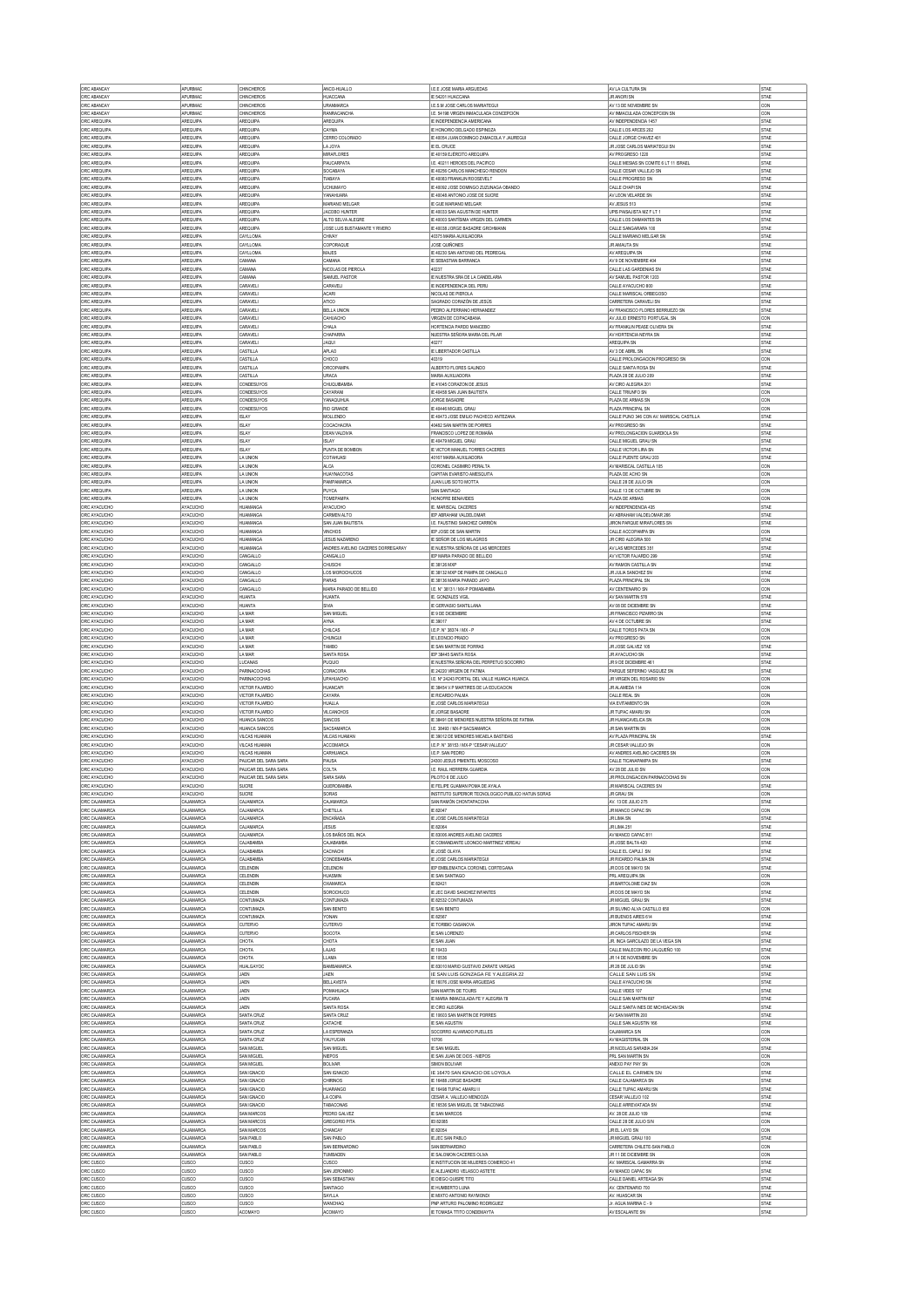| ORC ABANCAY                                                                                                                                                                                          | APURMAC                    | CHNCHEROS                                            | ANCO-HUALLO                                        | LE.E JOSE MARIA ARGUEDAS                                                     | AV LA CULTURA SN                                                | STAE                |
|------------------------------------------------------------------------------------------------------------------------------------------------------------------------------------------------------|----------------------------|------------------------------------------------------|----------------------------------------------------|------------------------------------------------------------------------------|-----------------------------------------------------------------|---------------------|
| ORC ABANCAY<br>ORC ABANCAY                                                                                                                                                                           | <b>APLIRMAC</b><br>APURMAC | CHNCHEROS<br>CHNCHEROS                               | HUACCANA<br><b>URANMARCA</b>                       | IE 54201 HUACCANA<br>LE.S.M JOSE CARLOS MARIATEGUI                           | JR ANORI SN<br>AV 13 DE NOVIEMBRE SN                            | STAE<br>CON         |
| ORC ABANCAY                                                                                                                                                                                          | APURMAC                    | CHNCHEROS                                            | <b>RANRACANCHA</b>                                 | LE. 54198 VIRGEN INMACULADA CONCEPCIÓN                                       | AV INMACULADA CONCEPCION SN                                     | CON                 |
| ORC AREQUIPA                                                                                                                                                                                         | AREQUIPA                   | AREQUIPA                                             | AREQUIPA                                           | E INDEPENDENCIA AMERICANA                                                    | AV INDEPENDENCIA 1457                                           | STAE                |
| ORC AREQUIPA<br>ORC AREQUIPA                                                                                                                                                                         | AREQUIPA<br>AREQUIPA       | <b>AREQUIPA</b><br><b>AREQUIPA</b>                   | CAYMA<br>CERRO COLORADO                            | E HONORIO DEL GADO ESPINOZA<br>E 40054 JUAN DOMINGO ZAMACOLA Y JAUREGUI      | CALLE LOS ARCES 202<br>CALLE JORGE CHAVEZ 401                   | STAE<br><b>STAE</b> |
| ORC AREQUIPA                                                                                                                                                                                         | AREQUIPA                   | <b>AREQUIPA</b>                                      | LA JOYA                                            | <b>E EL CRUCE</b>                                                            | JR JOSE CARLOS MARIATEGUI SN                                    | STAE                |
| ORC AREQUIPA                                                                                                                                                                                         | AREQUIPA                   | AREQUIPA                                             | MIRAFLORES                                         | IE 40159 EJÉRCITO AREQUIPA                                                   | AV PROGRESO 1220                                                | <b>STAE</b>         |
| ORC AREQUIPA<br>ORC AREQUIPA                                                                                                                                                                         | AREQUIPA<br>AREQUIPA       | <b>AREQUIPA</b><br><b>AREQUIPA</b>                   | PAUCARPAT/<br>SOCABAYA                             | E. 40211 HEROES DEL PACIFICO<br>F 40256 CARLOS MANCHEGO RENDON               | CALLE MESIAS SN COMITE 6 LT 11 ISRAEL<br>CALLE CESAR VALLEJO SN | STAE<br>STAE        |
| ORC AREQUIPA                                                                                                                                                                                         | AREQUIPA                   | AREQUIPA                                             | TIABAYA                                            | E 40083 FRANKLIN ROOSEVELT                                                   | CALLE PROGRESO SN                                               | STAE                |
| ORC AREQUIPA<br>ORC AREQUIPA                                                                                                                                                                         | AREQUIPA<br>AREQUIPA       | AREQUIPA<br><b>AREQUIPA</b>                          | UCHUMAYO<br>YANAHUARA                              | E 40092 JOSE DOMINGO ZUZUNAGA OBANDO<br>40048 ANTONIO JOSE DE SUCRE          | CALLE CHAPISN<br>AV LEON VELARDE SN                             | <b>STAE</b><br>STAE |
| ORC AREQUIPA                                                                                                                                                                                         | AREQUIPA                   | <b>AREQUIPA</b>                                      | MARIANO MELGAR                                     | IE GUE MARIANO MELGAR                                                        | AV JESUS 513                                                    | <b>STAE</b>         |
| ORC AREQUIPA                                                                                                                                                                                         | AREQUIPA                   | AREQUIPA                                             | JACOBO HUNTER                                      | IE 40033 SAN AGUSTIN DE HUNTER                                               | UPIS PAISAJISTA MZ F LT 1                                       | STAE                |
| ORC AREQUIPA<br>ORC AREQUIPA                                                                                                                                                                         | AREQUIPA<br>AREQUIPA       | <b>AREQUIPA</b><br>AREQUIPA                          | ALTO SELVA ALEGRE<br>JOSE LUIS BUSTAMANTE Y RIVERO | E 40003 SANTÍSIMA VIRGEN DEL CARMEN<br>IE 40038 JORGE BASADRE GROHMANN       | CALLE LOS DIAMANTES SN<br>CALLE SANGARARA 100                   | STAE<br>STAE        |
| ORC AREQUIPA                                                                                                                                                                                         | AREQUIPA                   | CAYLLOMA                                             | CHIVAY                                             | 40375 MARIA AUXILIADORA                                                      | CALLE MARIANO MELGAR SN                                         | STAE                |
| ORC AREQUIPA                                                                                                                                                                                         | AREQUIPA                   | CAYLLOMA                                             | COPORAQUE                                          | JOSE QUIÑONES                                                                | <b>JR AMAUTA SN</b>                                             | STAE                |
| ORC AREQUIPA<br>ORC AREQUIPA                                                                                                                                                                         | AREQUIPA<br>AREQUIPA       | CAYLLOMA<br>CAMANA                                   | <b>MAJES</b><br>CAMANA                             | IE 40230 SAN ANTONIO DEL PEDREGAL<br>E SEBASTIAN BARRANCA                    | AV AREQUIPA SN<br>AV 9 DE NOVIEMBRE 404                         | STAE<br>STAE        |
| ORC AREQUIPA                                                                                                                                                                                         | AREQUIPA                   | CAMANA                                               | NICOLAS DE PIEROLA                                 | 40237                                                                        | CALLE LAS GARDENIAS SN                                          | STAE                |
| ORC AREQUIPA<br>ORC AREQUIPA                                                                                                                                                                         | AREQUIPA<br>AREQUIPA       | CAMANA<br>CARAVELI                                   | SAMUEL PASTOR<br>CARAVELI                          | IE NUESTRA SRA DE LA CANDELARIA<br>E INDEPENDENCIA DEL PERU                  | AV SAMUEL PASTOR 1203<br>CALLE AYACUCHO 800                     | STAE<br>STAE        |
| ORC AREQUIPA                                                                                                                                                                                         | AREQUIPA                   | CARAVELI                                             | ACARI                                              | NICOLAS DE PIEROLA                                                           | CALLE MARISCAL ORBEGOSO                                         | STAE                |
| ORC AREQUIPA                                                                                                                                                                                         | AREQUIPA                   | CARAVELI                                             | ATICO                                              | SAGRADO CORAZÓN DE JESÚS                                                     | CARRETERA CARAVELI SN                                           | STAE                |
| ORC AREQUIPA                                                                                                                                                                                         | AREQUIPA<br>AREQUIPA       | CARAVELI<br>CARAVELI                                 | <b>BELLA UNION</b><br>CAHUACHO                     | PEDRO ALFERRANO HERNANDEZ<br><b>VRGEN DE COPACABANA</b>                      | AV FRANCISCO FLORES BERRUEZO SN<br>AV JULIO ERNESTO PORTUGAL SN | STAE                |
| ORC AREQUIPA<br>ORC AREQUIPA                                                                                                                                                                         | AREQUIPA                   | CARAVELI                                             | CHALA                                              | HORTENCIA PARDO MANCEBO                                                      | AV FRANKLIN PEASE OLNERA SN                                     | CON<br><b>STAE</b>  |
| ORC AREQUIPA                                                                                                                                                                                         | AREQUIPA                   | CARAVELI                                             | CHAPARR                                            | IUESTRA SEÑORA MARIA DEL PILAR                                               | AV HORTENCIA NEYRA SN                                           | STAE                |
| ORC AREQUIPA<br>ORC AREQUIPA                                                                                                                                                                         | AREQUIPA<br>AREQUIPA       | CARAVELI<br>CASTILLA                                 | <b>JAQUI</b><br><b>APLAO</b>                       | 40277<br>E LIBERTADOR CASTILLA                                               | AREQUIPA SN<br>AV 3 DE ABRIL SN                                 | <b>STAE</b><br>STAE |
| ORC AREQUIPA                                                                                                                                                                                         | AREQUIPA                   | CASTILLA                                             | CHOCO                                              | 40319                                                                        | CALLE PROLONGACION PROGRESO SM                                  | CON                 |
| ORC AREQUIPA                                                                                                                                                                                         | AREQUIPA                   | CASTILLA                                             | ORCOPAME                                           | ALBERTO FLORES GALINDO                                                       | CALLE SANTA ROSA SN                                             | STAE                |
| ORC AREQUIPA<br>ORC AREQUIPA                                                                                                                                                                         | AREQUIPA<br>AREQUIPA       | CASTILLA<br>CONDESUYOS                               | <b>URACA</b><br>CHUQUIBAMBA                        | MARIA AUXILIADORA<br>E 41045 CORAZON DE JESUS                                | PLAZA 28 DE JULIO 209<br>AV CIRO ALEGRIA 201                    | <b>STAE</b><br>STAE |
| ORC AREQUIPA                                                                                                                                                                                         | AREQUIPA                   | CONDESUYOS                                           | CAYARANI                                           | F 40458 SAN JUAN RAUTISTA                                                    | CALLE TRIUNFO SN                                                | <b>CON</b>          |
| ORC AREQUIPA                                                                                                                                                                                         | AREQUIPA                   | CONDESUYOS                                           | YANAQUIHUA                                         | JORGE BASADRE                                                                | PLAZA DE ARMAS SN                                               | CON                 |
| ORC AREQUIPA<br>ORC AREQUIPA                                                                                                                                                                         | AREQUIPA<br>AREQUIPA       | CONDESUYOS<br><b>ISLAY</b>                           | RIO GRANDE<br><b>MOLLENDO</b>                      | E 40446 MIGUEL GRAU<br>IE 40473 JOSE EMILIO PACHECO ANTEZANA                 | PLAZA PRINCIPAL SN<br>CALLE PUNO 346 CON AV. MARISCAL CASTILLA  | CON<br>STAE         |
| ORC AREQUIPA                                                                                                                                                                                         | AREQUIPA                   | ISLAY                                                | COCACHACRA                                         | 40482 SAN MARTIN DE PORRES                                                   | AV PROGRESO SN                                                  | STAE                |
| ORC AREQUIPA                                                                                                                                                                                         | AREQUIPA                   | ISLAY                                                | <b>DEAN VALDIVA</b>                                | FRANCISCO LOPEZ DE ROMAÑA                                                    | AV PROLONGACION GUARDIOLA SN<br>CALLE MIGUEL GRAU SN            | <b>STAE</b>         |
| ORC AREQUIPA<br>ORC AREQUIPA                                                                                                                                                                         | AREQUIPA<br>AREQUIPA       | <b>ISLAY</b><br><b>ISLAY</b>                         | <b>ISLAY</b><br>PUNTA DE BOMBON                    | IE 40479 MIGUEL GRAU<br>IE VICTOR MANUEL TORRES CACERES                      | CALLE VICTOR LIRA SN                                            | STAE<br>STAE        |
| ORC AREQUIPA                                                                                                                                                                                         | AREQUIPA                   | LA UNION                                             | COTAHUASI                                          | 40167 MARIA AUXILIADORA                                                      | CALLE PUENTE GRAU 203                                           | STAE                |
| ORC AREQUIPA                                                                                                                                                                                         | AREQUIPA                   | LA UNION                                             | ALCA<br><b>HUAYNACOTAS</b>                         | CORONEL CASIMIRO PERALTA                                                     | AV MARISCAL CASTILLA 105                                        | CON                 |
| ORC AREQUIPA<br>ORC AREQUIPA                                                                                                                                                                         | AREQUIPA<br>AREQUIPA       | LA UNION<br>LA UNION                                 | PAMPAMARCA                                         | CAPITAN EVARISTO AMESQUITA<br>JUAN LUIS SOTO MOTTA                           | PLAZA DE ACHO SN<br>CALLE 28 DE JULIO SN                        | CON<br>CON          |
| ORC AREQUIPA                                                                                                                                                                                         | AREQUIPA                   | LA UNION                                             | PUYCA                                              | SAN SANTIAGO                                                                 | CALLE 13 DE OCTUBRE SN                                          | CON                 |
| ORC AREQUIPA                                                                                                                                                                                         | AREQUIPA<br>AYACUCHO       | LA UNION<br>HUAMANG/                                 | TOMEPAMPA<br>AYACUCHO                              | HONOFRE BENAVIDES<br>E. MARISCAL CACERES                                     | PLAZA DE ARMAS<br>AV INDEPENDENCIA 435                          | CON<br>STAE         |
| ORC AYACUCHO<br>ORC AYACUCHO                                                                                                                                                                         | AYACUCHO                   | <b>HUAMANGA</b>                                      | CARMEN ALTO                                        | EP ABRAHAM VALDELOMAR                                                        | AV ARRAHAM VALDELOMAR 266                                       | <b>STAE</b>         |
| ORC AYACUCHO                                                                                                                                                                                         | AYACUCHO                   | <b>HUAMANGA</b>                                      | SAN JUAN BAUTISTA                                  | LE. FAUSTINO SANCHEZ CARRIÓN                                                 | JIRON PARQUE MIRAFLORES SN                                      | STAE                |
| ORC AYACUCHO<br>ORC AYACUCHO                                                                                                                                                                         | AYACUCHO<br>AYACUCHO       | <b>HUAMANGA</b><br>HUAMANGA                          | <b>VINCHOS</b><br><b>JESUS NAZARENO</b>            | EP JOSE DE SAN MARTIN<br>E SEÑOR DE LOS MILAGROS                             | CALLE ACCOPAMPA SN<br>JR CIRO ALEGRIA 500                       | <b>CON</b><br>STAE  |
| ORC AYACUCHO                                                                                                                                                                                         | AYACUCHO                   | <b>HUAMANGA</b>                                      | ANDRES AVELINO CACERES DORREGARAY                  | E NUESTRA SEÑORA DE LAS MERCEDES                                             | AV LAS MERCEDES 351                                             | STAE                |
| ORC AYACUCHO                                                                                                                                                                                         | AYACUCHO                   | CANGALLO                                             | CANGALLO                                           | IEP MARIA PARADO DE BELLIDO                                                  | AV VICTOR FAJARDO 299                                           | STAE                |
| ORC AYACUCHO<br>ORC AYACUCHO                                                                                                                                                                         | AYACUCHO<br>AYACUCHO       | CANGALLO<br>CANGALLO                                 | CHUSCHI<br>LOS MOROCHUCOS                          | E 38126 MXP<br>E 38132 MXP DE PAMPA DE CANGALLO                              | AV RAMON CASTILLA SN<br>JR JULIA SANCHEZ SN                     | <b>STAE</b><br>STAE |
| ORC AYACUCHO                                                                                                                                                                                         | AYACUCHO                   | CANGALLO                                             | <b>PARAS</b>                                       | IE 38136 MARIA PARADO JAYO                                                   | PLAZA PRINCIPAL SN                                              | <b>CON</b>          |
| ORC AYACUCHO                                                                                                                                                                                         | AYACUCHO                   | CANGALLO                                             | MARIA PARADO DE BELLIDO                            | I.E. N° 38131 / MX-P POMABAMBA                                               | AV CENTENARIO SN                                                | CON                 |
| ORC AYACUCHO<br>ORC AYACUCHO                                                                                                                                                                         | AYACUCHO<br>AYACUCHO       | HUANTA<br>HUANTA                                     | <b>HUANTA</b><br>SIVA                              | E. GONZALES VIGIL<br>E GERVASIO SANTILLANA                                   | AV SAN MARTIN 578<br>AV 08 DE DICIEMBRE SN                      | STAE<br>STAE        |
| ORC AYACUCHO                                                                                                                                                                                         | AYACUCHO                   | LA MAR                                               | SAN MIGUEL                                         | IE 9 DE DICIEMBRI                                                            | JR FRANCISCO PIZARRO SN                                         | STAE                |
| ORC AYACUCHO                                                                                                                                                                                         | AYACUCHO                   | LA MAR                                               | AYNA                                               | IE 39017                                                                     | AV 4 DE OCTUBRE SN                                              | STAE                |
| ORC AYACUCHO<br>ORC AYACUCHO                                                                                                                                                                         | AYACUCHO<br>AYACUCHO       | LA MAR<br>LA MAR                                     | CHILCAS<br>CHUNGUI                                 | LE.P. N° 38374 / MX - P<br>E LEONCIO PRADO                                   | CALLE TOROS PATA SN<br>AV PROGRESO SN                           | CON<br>CON          |
|                                                                                                                                                                                                      |                            |                                                      |                                                    |                                                                              |                                                                 |                     |
| ORC AYACUCHO                                                                                                                                                                                         | AYACUCHO                   | LA MAR                                               | TAMBO                                              | IE SAN MARTIN DE PORRAS                                                      | JR JOSE GALVEZ 105                                              | STAE                |
| ORC AYACUCHO                                                                                                                                                                                         | AYACUCHO                   | LA MAR                                               | SANTA ROSA                                         | IEP 38445 SANTA ROSA                                                         | JR AYACUCHO SN                                                  | STAE                |
| ORC AYACUCHO                                                                                                                                                                                         | AYACUCHO                   | LUCANAS                                              | PUQUIO                                             | IE NUESTRA SEÑORA DEL PERPETUO SOCORRO                                       | JR 9 DE DICIEMBRE 461                                           | STAE                |
| ORC AYACUCHO<br>ORC AYACUCHO                                                                                                                                                                         | AYACUCHO<br>AYACUCHO       | PARINACOCHAS<br>PARINACOCHAS                         | CORACORA<br><b>JPAHUACHO</b>                       | E 24220 VIRGEN DE FATIMA<br>E. Nº 24243 PORTAL DEL VALLE HUANCA HUANCA       | PARQUE SEFERINO VASQUEZ SN<br>JR VIRGEN DEL ROSARIO SN          | STAE<br>CON         |
| ORC AYACUCHO                                                                                                                                                                                         | AYACUCHO                   | <b><i>MCTOR FAJARDO</i></b>                          | <b>HUANCAPI</b>                                    | F 38454 V P MARTIRES DE LA EDUCACION                                         | JR ALAMEDA 114                                                  | <b>CON</b>          |
| ORC AYACUCHO                                                                                                                                                                                         | AYACUCHO<br>AYACUCHO       | <b>VICTOR FAJARDO</b><br><b><i>MCTOR FAIARDO</i></b> | CAYARA<br>HUALLA                                   | E RICARDO PALMA<br><b>E JOSÉ CARLOS MARIATEGUI</b>                           | CALLE REAL SN                                                   | CON<br><b>CON</b>   |
| ORC AYACUCHO<br>ORC AYACUCHO                                                                                                                                                                         | AYACUCHO                   | <b>VICTOR FAJARDO</b>                                | VILCANCHO:                                         | E JORGE BASADRE                                                              | VIA EVITAMIENTO SN<br>JR TUPAC AMARU SN                         | CON                 |
| ORC AYACUCHO                                                                                                                                                                                         | AYACUCHO                   | <b>HUANCA SANCOS</b>                                 | SANCOS                                             | E 38491 DE MENORES NUESTRA SEÑORA DE FATIMA                                  | JR HUANCAVELICA SN                                              | <b>CON</b>          |
| ORC AYACUCHO<br>ORC AYACUCHO                                                                                                                                                                         | AYACUCHO<br>AYACUCHO       | HUANCA SANCOS<br><b>VILCAS HUAMAN</b>                | SACSAMARCA<br><b>VILCAS HUAMAN</b>                 | LE. 38493 / MX-P SACSAMARCA<br>IE 39012 DE MENORES MICAELA BASTIDAS          | JR SAN MARTIN SN<br>AV PLAZA PRINCIPAL SN                       | CON<br><b>STAE</b>  |
| ORC AYACUCHO                                                                                                                                                                                         | AYACUCHO                   | <b>VILCAS HUAMAN</b>                                 | ACCOMARCA                                          | E.P. Nº 38153 / MX-P *CESAR VALLEJO                                          | JR CESAR VALLEJO SN                                             | CON                 |
| ORC AYACUCHO                                                                                                                                                                                         | AYACUCHO                   | VII CAS HI IAMAN                                     | <b>CARHUANCA</b>                                   | LE.P. SAN PEDRO                                                              | AV ANDRES AVELINO CACERES SN                                    | <b>CON</b>          |
| ORC AYACUCHO                                                                                                                                                                                         | AYACUCHO<br>AYACUCHO       | PAUCAR DEL SARA SARA<br>PAUCAR DEL SARA SARA         | PAUSA<br>COLTA                                     | 24300 JESUS PIMENTEL MOSCOSO<br>LE. RAUL HERRERA GUARDIA                     | CALLE TICANAPAMPA SN                                            | STAE                |
| ORC AYACUCHO<br>ORC AYACUCHO                                                                                                                                                                         | AYACUCHO                   | PAUCAR DEL SARA SARA                                 | SARA SARA                                          | PILOTO 6 DE JULIO                                                            | AV 28 DE JULIO SN<br>JR PROLONGACION PARINACOCHAS SN            | CON<br>CON          |
| ORC AYACUCHO                                                                                                                                                                                         | AYACUCHO                   | SUCRE                                                | <b>QUEROBAMBA</b>                                  | IE FELIPE GUAMAN POMA DE AYALA                                               | JR MARISCAL CACERES SN                                          | STAE                |
| ORC CAJAMARCA                                                                                                                                                                                        | AYACUCHO<br>CAJAMARCA      | SUCRE<br>CAJAMARCA                                   | SORAS<br>CAJAMARCA                                 | INSTITUTO SUPERIOR TECNOLOGICO PUBLICO HATUN SORAS<br>SAN RAMÓN CHONTAPACCHA | JR GRAU SN<br>AV. 13 DE JULIO 275                               | CON<br>STAE         |
|                                                                                                                                                                                                      | CAJAMARCA                  | CAJAMARCA                                            | CHETLLA                                            | E 82047                                                                      | JR MANCO CAPAC SN                                               | CON                 |
| ORC CAJAMARCA<br>ORC CAJAMARCA                                                                                                                                                                       | CAJAMARCA<br>CAJAMARCA     | CAJAMARCA<br>CAJAMARCA                               | ENCAÑADA<br><b>JESUS</b>                           | IE JOSE CARLOS MARIATEGUI<br>IE 82064                                        | JR LIMA SN<br><b>JR LIMA 251</b>                                | STAE<br>STAE        |
| ORC CAJAMARCA                                                                                                                                                                                        | CAJAMARCA                  | CAJAMARCA                                            | LOS BAÑOS DEL INCA                                 | IE 83006 ANDRES AVELINO CACERES                                              | AV MANCO CAPAC 811                                              | STAE                |
| ORC AYACUCHO<br>ORC CAJAMARCA<br>ORC CAJAMARCA                                                                                                                                                       | CAJAMARCA                  | CAJABAMBA                                            | CAJABAMBA                                          | E COMANDANTE LEONCIO MARTINEZ VEREAU                                         | JR JOSE BALTA 420                                               | STAE                |
| ORC CAJAMARCA<br>ORC CAJAMARCA                                                                                                                                                                       | CAJAMARCA<br>CAJAMARCA     | <b>CAJABAMBA</b><br>CAJABAMBA                        | CACHACH<br>CONDEBAMBA                              | IE JOSÉ OLAYA<br>IE JOSE CARLOS MARIATEGUI                                   | CALLE EL CAPULÍ SN<br>JR RICARDO PALMA SN                       | STAE<br>STAE        |
| ORC CAJAMARCA                                                                                                                                                                                        | CAJAMARCA                  | CELENDIN                                             | CELENDIN                                           | IEP EMBLEMATICA CORONEL CORTEGANA                                            | JR DOS DE MAYO SN                                               | STAE                |
| ORC CAJAMARCA                                                                                                                                                                                        | CAJAMARCA                  | CELENDIN                                             | HUASMIN                                            | <b>E SAN SANTIAGO</b>                                                        | PRL AREQUIPA SN                                                 | CON                 |
| ORC CAJAMARCA                                                                                                                                                                                        | CAJAMARCA<br>CAJAMARCA     | CELENDIN<br>CELENDIN                                 | OXAMARCA<br>SOROCHUCO                              | E 82421<br>IE JEC DAVID SANCHEZ INFANTES                                     | JR BARTOLOME DIAZ SP<br>JR DOS DE MAYO SN                       | CON<br><b>STAE</b>  |
| ORC CAJAMARCA<br>ORC CAJAMARCA                                                                                                                                                                       | CAJAMARCA                  | CONTUMAZA                                            | CONTUMAZA                                          | E 82532 CONTUMAZA                                                            | JR MIGUEL GRAU SN                                               | STAE                |
| ORC CAJAMARCA                                                                                                                                                                                        | CAJAMARCA                  | <b>CONTUMAZA</b>                                     | SAN BENITO                                         | <b>F SAN RENITO</b>                                                          | JR SILVINO ALVA CASTILLO 650                                    | CON                 |
| ORC CAJAMARCA<br>ORC CAJAMARCA                                                                                                                                                                       | CAJAMARCA<br>CAJAMARCA     | CONTUMAZA<br>CUTERVO                                 | YONAN<br><b>CUTERVO</b>                            | E 82567<br>IE TORIBIO CASANOVA                                               | JR BUENOS AIRES 614<br>JIRON TUPAC AMARU SN                     | STAE<br>STAE        |
| ORC CAJAMARCA                                                                                                                                                                                        | CAJAMARCA                  | CUTERVO                                              | SOCOTA                                             | IE SAN LORENZO                                                               | JR CARLOS FISCHER SN                                            | STAE                |
| ORC CAJAMARCA                                                                                                                                                                                        | CAJAMARCA                  | CHOTA                                                | CHOTA                                              | <b>E SAN JUAN</b>                                                            | JR. NGA GARCILAZO DE LA VEGA SIN                                | <b>STAE</b>         |
| ORC CAJAMARCA<br>ORC CAJAMARCA                                                                                                                                                                       | CAJAMARCA<br>CAJAMARCA     | CHOTA<br>CHOTA                                       | LAJAS<br><b>LLAMA</b>                              | E 10433<br>IE 10536                                                          | CALLE MALECON RIO JALQUEÑO 100<br>JR 14 DE NOVIEMBRE SN         | STAE<br><b>CON</b>  |
| ORC CAJAMARCA                                                                                                                                                                                        | CAJAMARCA                  | HUALGAYOC                                            | BAMBAMARCA                                         | IE 83010 MARIO GUSTAVO ZARATE VARGAS                                         | JR 28 DE JULIO SN                                               | STAE                |
| ORC CAJAMARCA                                                                                                                                                                                        | CAJAMARCA                  | <b>JAEN</b>                                          | JAEN                                               | IE SAN LUIS GONZAGA FE Y ALEGRIA 22                                          | CALLE SAN LUIS SN                                               | STAE                |
| ORC CAJAMARCA<br>ORC CAJAMARCA                                                                                                                                                                       | CAJAMARCA<br>CAJAMARCA     | JAEN<br>JAEN                                         | <b>BELLAVISTA</b><br>POMAHUACA                     | E 16076 JOSE MARIA ARGUEDAS<br>SAN MARTIN DE TOURS                           | CALLE AYACUCHO SN<br>CALLE VIDES 107                            | STAE<br>STAE        |
| ORC CAJAMARCA                                                                                                                                                                                        | CAJAMARCA                  | JAEN                                                 | PUCARA                                             | IE MARIA INMACULADA FE Y ALEGRIA 78                                          | CALLE SAN MARTIN 697                                            | STAE                |
| ORC CAJAMARCA                                                                                                                                                                                        | CAJAMARCA                  | .IAFN                                                | SANTA ROSA                                         | IE CIRO ALEGRIA                                                              | CALLE SANTA INES DE MICHOACAN SN                                | STAE                |
| ORC CAJAMARCA<br>ORC CAJAMARCA                                                                                                                                                                       | CAJAMARCA<br>CAJAMARCA     | SANTA CRUZ<br>SANTA CRUZ                             | SANTA CRUZ<br>CATACHE                              | E 10603 SAN MARTIN DE PORRES<br>IE SAN AGUSTIN                               | AV SAN MARTIN 200<br>CALLE SAN AGUSTIN 166                      | STAE<br>STAE        |
|                                                                                                                                                                                                      | CAJAMARCA                  | SANTA CRUZ                                           | LA ESPERANZA                                       | SOCORRO ALVARADO PUELLES                                                     | CAJAMARCA S/N                                                   | CON                 |
| ORC CAJAMARCA                                                                                                                                                                                        | CAJAMARCA                  | SANTA CRUZ                                           | YAUYUCAN                                           | 10706                                                                        | AV MAGISTERIAL SN                                               | CON                 |
|                                                                                                                                                                                                      | CAJAMARCA<br>CAJAMARCA     | SAN MIGUEL<br>SAN MIGUEL                             | SAN MIGUEL<br>NIEPOS                               | E SAN MIGUEL<br>E SAN JUAN DE DIOS - NIEPOS                                  | JR NICOLAS SARABIA 264<br>PRL SAN MARTIN SN                     | STAE<br>CON         |
|                                                                                                                                                                                                      | CAJAMARCA                  | SAN MIGUEL                                           | <b>BOLIVAR</b>                                     | SIMON BOLIVAR                                                                | ANEXO PAY PAY SN                                                | CON                 |
|                                                                                                                                                                                                      | CAJAMARCA                  | SAN IGNACIO                                          | SAN IGNACIO                                        | IE 16470 SAN IGNACIO DE LOYOLA                                               | CALLE EL CARMEN SN                                              | STAE                |
| ORC CAJAMARCA<br>ORC CAJAMARCA                                                                                                                                                                       | CAJAMARCA<br>CAJAMARCA     | SAN IGNACIO<br>SAN IGNACIO                           | CHIRINOS<br>HUARANGO                               | E 16488 JORGE BASADRE<br>E 16498 TUPAC AMARU II                              | CALLE CAJAMARCA SN<br>CALLE TUPAC AMARU SI                      | <b>STAE</b><br>STAE |
|                                                                                                                                                                                                      | CAJAMARCA                  | SAN IGNACIO                                          | LA COIPA                                           | CESAR A. VALLEJO MENDOZA                                                     | CESAR VALLEJO 102                                               | STAE                |
|                                                                                                                                                                                                      | CAJAMARCA<br>CAJAMARCA     | SAN IGNACIO<br>SAN MARCOS                            | TABACONAS<br>PEDRO GALVEZ                          | IE 16536 SAN MIGUEL DE TABACONAS<br><b>E SAN MARCOS</b>                      | CALLE ARREVIATADA SN<br>AV. 28 DE JULIO 109                     | STAE<br><b>STAE</b> |
|                                                                                                                                                                                                      | CAJAMARCA                  | SAN MARCOS                                           | GREGORIO PITA                                      | EI 82085                                                                     | CALLE 28 DE JULIO S/N                                           | CON                 |
|                                                                                                                                                                                                      | CAJAMARCA                  | SAN MARCOS                                           | CHANCAY                                            | IE 82054                                                                     | JR EL LAYO SN                                                   | <b>CON</b>          |
|                                                                                                                                                                                                      | CAJAMARCA<br>CAJAMARCA     | SAN PABLO<br>SAN PABLO                               | SAN PABLO<br>SAN BERNARDINO                        | E JEC SAN PABLO<br>SAN BERNARDINO                                            | JR MIGUEL GRAU 100                                              | STAE<br>CON         |
| ORC CAJAMARCA<br>ORC CAJAMARCA                                                                                                                                                                       | CAJAMARCA                  | SAN PABLO                                            | TUMBADEN                                           | <b>E SALOMON CACERES OLIVA</b>                                               | CARRETERA CHILETE-SAN PABLO<br>JR 11 DE DICIEMBRE SN            | CON                 |
| ORC CAJAMARCA<br>ORC CAJAMARCA<br>ORC CAJAMARCA<br>ORC CAJAMARCA<br>ORC CAJAMARCA<br>ORC CAJAMARCA<br>ORC CAJAMARCA<br>ORC CAJAMARCA<br>ORC CAJAMARCA<br>ORC CAJAMARCA<br>ORC CAJAMARCA<br>ORC CUSCO | cusco                      | <b>CUSCO</b>                                         | cusco                                              | E INSTITUCION DE MUJERES COMERCIO 41                                         | AV. MARISCAL GAMARRA SN                                         | STAE                |
| ORC CUSCO<br>ORC CUSCO                                                                                                                                                                               | <b>CUSCO</b><br>cusco      | CUSCO<br>CUSCO                                       | SAN JERONIMO<br>SAN SEBASTIAN                      | IE ALEJANDRO VELASCO ASTETE<br>IE DIEGO QUISPE TITO                          | AV MANCO CAPAC SN<br>CALLE DANIEL ARTEAGA SN                    | STAE<br>STAE        |
| ORC CUSCO                                                                                                                                                                                            | cusco                      | CUSCO                                                | SANTIAGO                                           | E HUMBERTO LUNA                                                              | AV. CENTENARIO 700                                              | STAE                |
| ORC CUSCO<br>ORC CUSCO                                                                                                                                                                               | cusco<br><b>CUSCO</b>      | <b>CUSCO</b><br>CUSCO                                | SAYLLA<br><b>WANCHAQ</b>                           | IE MIXTO ANTONIO RAYMONDI<br>PNP ARTURO PALOMINO RODRIGUEZ                   | AV. HUASCAR SN<br>Jr. AGUA MARINA C - 9                         | STAE<br>STAE        |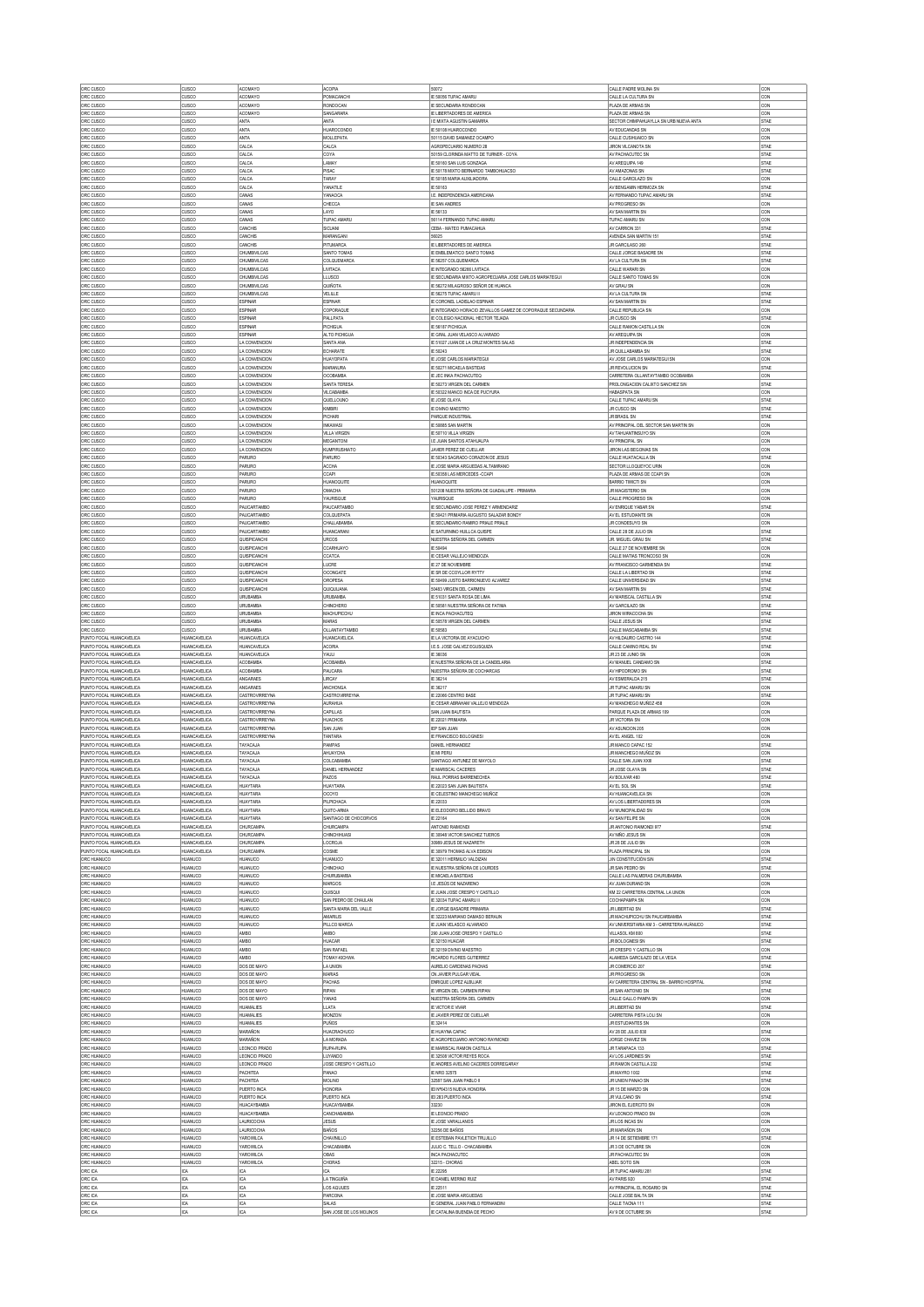| ORC CUSCO                                            | <b>CUSCO</b>                               | <b>ACOMAYC</b>                            | <b>ACOPIA</b>                                 | 50072                                                                                            | CALLE PADRE MOLINA SN<br>CALLE LA CULTURA SN                   | CON                        |
|------------------------------------------------------|--------------------------------------------|-------------------------------------------|-----------------------------------------------|--------------------------------------------------------------------------------------------------|----------------------------------------------------------------|----------------------------|
| ORC CUSCO<br>ORC CUSCO                               | <b>CUSCO</b><br><b>CUSCO</b>               | <b>ACOMAYO</b><br><b>ACOMAYO</b>          | POMACANCHI<br>RONDOCAN                        | IE 50056 TUPAC AMARU<br>IE SECUNDARIA RONDOCAN                                                   | PLAZA DE ARMAS SN                                              | CON<br>CON                 |
| ORC CUSCO                                            | <b>CUSCO</b>                               | ACOMAYO                                   | SANGARARA                                     | E LIBERTADORES DE AMERICA                                                                        | PLAZA DE ARMAS SN                                              | CON                        |
| ORC CUSCO<br>ORC CUSCO                               | <b>CUSCO</b><br><b>CUSCO</b>               | ANTA<br><b>ANTA</b>                       | <b>ANTA</b><br><b>HIJAROCONDO</b>             | E MIXTA AGUSTIN GAMARRA<br>IE 50108 HUAROCONDO                                                   | SECTOR CHIMPAHUAYLLA SN URB NUEVA ANTA<br>AV EDUCANDAS SN      | STAE<br>CON                |
| ORC CUSCO                                            | <b>CUSCO</b>                               | <b>ANTA</b>                               | MOLLEPATA                                     | 50115 DAVID SAMANEZ OCAMPO                                                                       | CALLE CUSIHUAICO SN                                            | CON                        |
| ORC CUSCO                                            | <b>CUSCO</b>                               | CALCA                                     | CALCA                                         | AGROPECUARIO NUMERO 28<br>50159 CLORINDA MATTO DE TURNER - COYA                                  | <b>JIRON VILCANOTA SN</b><br>AV PACHACUTEC SN                  | STAE                       |
| ORC CUSCO<br>ORC CUSCO                               | <b>CUSCO</b><br><b>CUSCO</b>               | CALCA<br>CALCA                            | COYA<br>LAMAY                                 | IE 50160 SAN LUIS GONZAGA                                                                        | AV AREQUIPA 149                                                | <b>STAE</b><br><b>STAE</b> |
| ORC CUSCO                                            | <b>CUSCO</b>                               | CALCA                                     | PISAC                                         | IE 50178 MIXTO BERNARDO TAMBOHUACSO                                                              | AV AMAZONAS SN                                                 | STAE                       |
| ORC CUSCO<br>ORC CUSCO                               | <b>CUSCO</b><br><b>CUSCO</b>               | CALCA<br>CALCA                            | TARAY<br>YANATILE                             | IE 50185 MARIA AUXILIADORA<br>E 50163                                                            | CALLE GARCILAZO SN<br>AV BENGAMIN HERMOZA SI                   | CON<br>STAE                |
| ORC CUSCO                                            | lausca                                     | CANAS                                     | YANAOC/                                       | I.E. INDEPENDENCIA AMERICANA                                                                     | AV FERNANDO TUPAC AMARU SN                                     | STAE                       |
| ORC CUSCO<br>ORC CUSCO                               | <b>CUSCO</b><br><b>CUSCO</b>               | CANAS<br>CANAS                            | CHECCA<br>LAYO                                | <b>IE SAN ANDRES</b><br>IE 56133                                                                 | AV PROGRESO SN<br>AV SAN MARTIN SN                             | CON<br>CON                 |
| ORC CUSCO                                            | <b>CUSCO</b>                               | CANAS                                     | TUPAC AMARI,                                  | 56114 FERNANDO TUPAC AMARU                                                                       | TUPAC AMARU SN                                                 | CON                        |
| ORC CUSCO                                            | cusco                                      | CANCHIS                                   | SICUANI                                       | CEBA - MATEO PUMACAHUA                                                                           | AV CARRION 331                                                 | STAE                       |
| ORC CUSCO<br>ORC CUSCO                               | cusco<br><b>CUSCO</b>                      | CANCHIS<br>CANCHIS                        | MARANGANI<br>PITUMARCA                        | 56025<br>IE LIBERTADORES DE AMERICA                                                              | AVENIDA SAN MARTIN 151<br>JR GARCILASO 260                     | STAE<br>STAE               |
| ORC CUSCO                                            | <b>CUSCO</b>                               | CHUMBIVILCAS                              | SANTO TOMAS                                   | IE EMBLEMATICO SANTO TOMAS                                                                       | CALLE JORGE BASADRE SN                                         | STAE                       |
| ORC CUSCO<br>ORC CUSCO                               | cusco<br><b>CUSCO</b>                      | CHUMBIVILCAS<br>CHUMBIVILCAS              | <b>COLQUEMARCA</b><br>LIVITACA                | IE 56257 COLQUEMARCA<br>IE INTEGRADO 56266 LIVITACA                                              | AV LA CULTURA SN<br>CALLE WARARI SN                            | STAE<br>CON                |
| ORC CUSCO                                            | <b>CUSCO</b>                               | CHUMBIVILCAS                              | LLUSCO                                        | IE SECUNDARIA MIXTO AGROPECUARIA JOSE CARLOS MARIATEGUI                                          | CALLE SANTO TOMAS SN                                           | CON                        |
| ORC CUSCO<br>ORC CUSCO                               | <b>CUSCO</b><br>cusco                      | CHUMBIVILCAS<br>CHUMBIVILCAS              | QUÑOTA<br>VELILLE                             | IE 56272 MILAGROSO SEÑOR DE HUANCA<br>IE 56275 TUPAC AMARU II                                    | AV GRAU SN<br>AV LA CULTURA SN                                 | CON<br>STAE                |
| ORC CUSCO                                            | <b>CUSCO</b>                               | <b>ESPINAR</b>                            | <b>ESPINAR</b>                                | E CORONEL LADISLAO ESPINAR                                                                       | AV SAN MARTIN SN                                               | STAE                       |
| ORC CUSCO                                            | <b>CUSCO</b><br><b>CUSCO</b>               | <b>ESPINAR</b><br><b>ESPINAR</b>          | COPORAQUE<br>PALLPATA                         | IE INTEGRADO HORACIO ZEVALLOS GAMEZ DE COPORAQUE SECUNDARIA<br>IE COLEGIO NACIONAL HECTOR TEJADA | CALLE REPUBLICA SN<br>JR CUSCO SN                              | CON<br><b>STAE</b>         |
| ORC CUSCO<br>ORC CUSCO                               | <b>CUSCO</b>                               | <b>ESPINAR</b>                            | PICHIGUA                                      | E 56187 PICHIGUA                                                                                 | CALLE RAMON CASTILLA SN                                        | CON                        |
| ORC CUSCO                                            | <b>CUSCO</b><br><b>CUSCO</b>               | <b>ESPINAR</b>                            | ALTO PICHIGUA<br>SANTA ANA                    | IE GRAL JUAN VELASCO ALVARADO                                                                    | AV AREQUIPA SN<br>JR INDEPENDENCIA SN                          | CON<br>STAE                |
| ORC CUSCO<br>ORC CUSCO                               | <b>CUSCO</b>                               | LA CONVENCION<br>LA CONVENCION            | <b>ECHARATE</b>                               | IE 51027 JUAN DE LA CRUZ MONTES SALAS<br>IE 50243                                                | JR QUILLABAMBA SN                                              | STAE                       |
| ORC CUSCO                                            | <b>CUSCO</b>                               | LA CONVENCION                             | HUAYOPATA                                     | <b>E JOSE CARLOS MARIATEGUI</b>                                                                  | AV JOSE CARLOS MARIATEGUI SN                                   | CON                        |
| ORC CUSCO<br>ORC CUSCO                               | <b>CUSCO</b><br><b>CUSCO</b>               | LA CONVENCION<br>LA CONVENCION            | MARANURA<br>OCOBAMBA                          | IE 50271 MICAELA BASTIDAS<br>IE JEC INKA PACHACUTEQ                                              | JR REVOLUCION SN<br>CARRETERA OLLANTAYTAMBO OCOBAMBA           | <b>STAE</b><br>CON         |
| ORC CUSCO                                            | <b>CUSCO</b>                               | LA CONVENCION                             | SANTA TERESA                                  | IE 50273 VIRGEN DEL CARMEN                                                                       | PROLONGACION CALIXTO SANCHEZ S/N                               | STAE                       |
| ORC CUSCO<br>ORC CUSCO                               | <b>CUSCO</b><br><b>CUSCO</b>               | LA CONVENCION<br>LA CONVENCION            | VILCABAMBA<br>QUELLOUNO                       | IE 50322 MANCO INCA DE PUCYURA<br>IE JOSE OLAYA                                                  | HABASPATA SN<br>CALLE TUPAC AMARU SN                           | CON<br>STAE                |
| ORC CUSCO                                            | <b>CUSCO</b>                               | LA CONVENCION                             | KIMBIRI                                       | <b>IE DIVINO MAESTRO</b>                                                                         | JR CUSCO SN                                                    | <b>STAE</b>                |
| ORC CUSCO<br>ORC CUSCO                               | <b>CUSCO</b><br><b>CUSCO</b>               | LA CONVENCION<br>LA CONVENCION            | PICHARI<br><b>INKAWASI</b>                    | PARQUE INDUSTRIAL<br>IE 50885 SAN MARTIN                                                         | <b>JR BRASIL SN</b><br>AV PRINCIPAL DEL SECTOR SAN MARTIN SN   | STAE<br>CON                |
| ORC CUSCO                                            | cusco                                      | LA CONVENCION                             | <b>VILLA VIRGEN</b>                           | IE 50710 VILLA VIRGEN                                                                            | AV TAHUANTINSUYO SN                                            | CON                        |
| ORC CUSCO                                            | cusco                                      | LA CONVENCION                             | MEGANTONI                                     | <b>I.E JUAN SANTOS ATAHUALPA</b>                                                                 | AV PRINCIPAL SN                                                | CON                        |
| ORC CUSCO<br>ORC CUSCO                               | <b>CUSCO</b><br><b>CUSCO</b>               | LA CONVENCION<br>PARURO                   | <b>KUMPIRUSHIATO</b><br>PARURO                | JAVIER PEREZ DE CUELLAR<br>IE 50343 SAGRADO CORAZON DE JESUS                                     | JIRON LAS BEGONIAS SN<br>CALLE HUATACALLA SN                   | CON<br>STAE                |
| ORC CUSCO                                            | cusco                                      | PARURO                                    | <b>ACCHA</b>                                  | IE JOSE MARIA ARGUEDAS ALTAMIRANO                                                                | SECTOR LLOQUEYOC URIN                                          | CON                        |
| ORC CUSCO<br>ORC CUSCO                               | <b>CUSCO</b><br><b>CUSCO</b>               | PARURO<br>PARURO                          | CCAPI<br>HUANOQUITE                           | IE.50358 LAS MERCEDES -CCAP<br><b>HUANOQUITE</b>                                                 | PLAZA DE ARMAS DE CCAPI SN<br><b>BARRIO TIMICTI SN</b>         | CON<br>CON                 |
| ORC CUSCO                                            | <b>CUSCO</b>                               | PARURO                                    | OMACHA                                        | 501208 NUESTRA SEÑORA DE GUADALUPE - PRIMARIA                                                    | JR MAGISTERIO SN                                               | CON                        |
| ORC CUSCO                                            | <b>CUSCO</b><br><b>CUSCO</b>               | PARURO<br>PAUCARTAMBO                     | YAURISQUE<br>PAUCARTAMBO                      | YAURISQUE<br>IE SECUNDARIO JOSE PEREZ Y ARMENDARIZ                                               | CALLE PROGRESO SN<br>AV ENRIQUE YABAR SN                       | CON<br><b>STAE</b>         |
| ORC CUSCO<br>ORC CUSCO                               | <b>CUSCO</b>                               | PAUCARTAMBO                               | COLQUEPATA                                    | IE 50421 PRIMARIA AUGUSTO SALAZAR BONDY                                                          | AVEL ESTUDIANTE SN                                             | CON                        |
| ORC CUSCO                                            | <b>CUSCO</b>                               | PAUCARTAMBO<br>PAUCARTAMBO                | CHALLABAMBA                                   | F SECUNDARIO RAMIRO PRIALE PRIALE                                                                | JR CONDESI IYO SN                                              | CON                        |
| ORC CUSCO<br>ORC CUSCO                               | <b>CUSCO</b><br><b>CUSCO</b>               | QUISPICANCHI                              | <b>HUANCARAN</b><br><b>URCOS</b>              | <b>E SATURNINO HULLCA QUISPE</b><br>NUESTRA SEÑORA DEL CARMEN                                    | CALLE 28 DE JULIO SN<br>JR. MIGUEL GRAU SN                     | <b>STAE</b><br><b>STAE</b> |
| ORC CUSCO                                            | <b>CUSCO</b>                               | QUISPICANCHI                              | CCARHUAYO                                     | IE 50494                                                                                         | CALLE 27 DE NOVIEMBRE SN                                       | CON                        |
| ORC CUSCO<br>ORC CUSCO                               | <b>CUSCO</b><br><b>CUSCO</b>               | QUISPICANCHI<br>QUISPICANCHI              | <b>CCATCA</b><br>LUCRE                        | IE CESAR VALLEJO MENDOZA<br>E 27 DE NOVIEMBRE                                                    | CALLE MATIAS TRONCOSO SN<br>AV FRANCISCO GARMENDIA SN          | CON<br>STAE                |
| ORC CUSCO                                            | cusco                                      | QUISPICANCHI                              | OCONGATE                                      | IE SR DE COOYLLOR RYTTY                                                                          | CALLE LA LIBERTAD SN                                           | <b>STAE</b>                |
| ORC CUSCO<br>ORC CUSCO                               | CUSCO<br><b>CUSCO</b>                      | QUISPICANCHI<br>QUISPICANCHI              | <b>OROPESA</b><br>QUIQUIJANA                  | IE 50499 JUSTO BARRIONUEVO ALVAREZ<br>50483 VIRGEN DEL CARMEN                                    | CALLE UNIVERSIDAD SN<br>AV SAN MARTIN SN                       | STAE<br>STAE               |
| ORC CUSCO                                            | <b>CUSCO</b>                               | <b>URUBAMBA</b>                           | URUBAMBA                                      | IE 51031 SANTA ROSA DE LIMA                                                                      | AV MARISCAL CASTILLA SN                                        | STAE                       |
| ORC CUSCO                                            | cusco                                      | URUBAMBA                                  | CHINCHERO                                     | IE 50581 NUESTRA SEÑORA DE FATIMA                                                                | AV GARCILAZO SN                                                | STAE                       |
| ORC CUSCO<br>ORC CUSCO                               | <b>CUSCO</b><br><b>CUSCO</b>               | <b>URUBAMBA</b><br><b>URUBAMBA</b>        | MACHUPICCHU<br><b>MARAS</b>                   | IE INCA PACHACUTEQ<br>IE 50578 VIRGEN DEL CARMEN                                                 | JIRON WIRACOCHA SN<br>CALLE JESUS SN                           | STAE<br>STAE               |
| ORC CUSCO                                            | <b>CUSCO</b>                               | <b>URUBAMBA</b>                           | OLLANTAYTAMBO                                 | IE 50583                                                                                         | CALLE MASCABAMBA SN                                            | <b>STAE</b>                |
| PUNTO FOCAL HUANCAVELICA<br>PUNTO FOCAL HUANCAVELICA | <b>HUANCAVELICA</b><br><b>HUANCAVELICA</b> | <b>HUANCAVELIC</b><br><b>HUANCAVELICA</b> | <b>HUANCAVELICA</b><br><b>ACORIA</b>          | IE LA VICTORIA DE AYACUCHO<br>I.E.S. JOSE GALVEZ EGUSQUIZA                                       | AV HILDAURO CASTRO 144<br>CALLE CAMINO REAL SN                 | STAE<br>STAE               |
| PUNTO FOCAL HUANCAVELICA                             | <b>HUANCAVELICA</b>                        | <b>HUANCAVELICA</b>                       | YAULI                                         | IE 36036                                                                                         | JR 23 DE JUNIO SN                                              | CON                        |
| PUNTO FOCAL HUANCAVELICA<br>PUNTO FOCAL HUANCAVELICA | <b>HUANCAVELICA</b><br><b>HUANCAVELICA</b> | ACOBAMBA<br><b>ACOBAMBA</b>               | ACOBAMBA<br><b>PAUCARA</b>                    | IE NUESTRA SEÑORA DE LA CANDELARIA<br>NUESTRA SEÑORA DE COCHARCAS                                | AV MANUEL CANDAMO SN<br>AV HIPODROMO SN                        | STAE<br>STAE               |
| PUNTO FOCAL HUANCAVELICA                             | <b>HUANCAVELICA</b>                        | ANGARAES                                  | LIRCAY                                        | IE 36214                                                                                         | AV ESMERALDA 215                                               | <b>STAE</b>                |
| PUNTO FOCAL HUANCAVELICA<br>PUNTO FOCAL HUANCAVELICA | <b>HUANCAVELICA</b><br><b>HUANCAVELICA</b> | ANGARAES<br>CASTROVIRREYNA                | <b>ANCHONGA</b><br>CASTROVIRREYNA             | IE 36217<br>IE 22066 CENTRO BASE                                                                 | JR TUPAC AMARU SN<br>JR TUPAC AMARU SN                         | CON<br><b>STAE</b>         |
|                                                      |                                            | CASTROVIRREYNA                            | <b>AURAHUA</b>                                | E CESAR ABRAHAM VALLEJO MENDOZA                                                                  | AV MANCHEGO MUÑOZ 45                                           | CON                        |
| PUNTO FOCAL HUANCAVELICA                             | <b>HUANCAVELICA</b>                        |                                           |                                               |                                                                                                  |                                                                |                            |
| PUNTO FOCAL HUANCAVELICA                             | <b>HUANCAVELICA</b>                        | CASTROVIRREYNA                            | CAPILLAS                                      | SAN JUAN BAUTISTA                                                                                | PARQUE PLAZA DE ARMAS 109                                      | CON                        |
| PUNTO FOCAL HUANCAVELICA<br>PUNTO FOCAL HUANCAVELICA | <b>HUANCAVELICA</b><br><b>HUANCAVELICA</b> | CASTROVIRREYNA<br>CASTROVIRREYNA          | <b>HUACHOS</b><br>SAN JUAN                    | IE 22021 PRIMARIA<br><b>IEP SAN JUAN</b>                                                         | <b>JR VICTORIA SN</b><br>AV ASUNCION 205                       | CON<br>CON                 |
| PUNTO FOCAL HUANCAVELICA                             | <b>HUANCAVELICA</b>                        | CASTROVIRREYNA                            | TANTARA                                       | E FRANCISCO BOLOGNESI                                                                            | AV EL ANGEL 102                                                | CON                        |
| PUNTO FOCAL HUANCAVELICA<br>PUNTO FOCAL HUANCAVELICA | <b>HUANCAVELICA</b><br><b>HUANCAVELICA</b> | TAYACAJA<br>TAYACAJA                      | <b>PAMPAS</b><br>AHUAYCHA                     | DANIEL HERNANDEZ<br>IE MI PERU                                                                   | JR MANCO CAPAC 152<br>JR MANCHEGO MUÑOZ SN                     | <b>STAE</b><br>CON         |
| PUNTO FOCAL HUANCAVELICA                             | <b>HUANCAVELICA</b>                        | TAYACAJA                                  | COLCABAMBA                                    | SANTIAGO ANTUNEZ DE MAYOLO                                                                       | CALLE SAN JUAN XXIII                                           | <b>STAE</b>                |
| PUNTO FOCAL HUANCAVELICA                             | <b>HUANCAVELICA</b>                        | TAYACAJA                                  | DANEL HERNANDEZ                               | IE MARISCAL CACERES                                                                              | JR JOSE OLAYA SN                                               | STAE                       |
| PUNTO FOCAL HUANCAVELICA<br>PUNTO FOCAL HUANCAVELICA | <b>HUANCAVELICA</b><br><b>HUANCAVELICA</b> | TAYACAJA<br>HUAYTARA                      | PAZOS<br><b>HUAYTARA</b>                      | RAUL PORRAS BARRENECHEA<br>IE 22023 SAN JUAN BAUTISTA                                            | AV BOLIVAR 460<br>AVEL SOL SN                                  | STAE<br><b>STAE</b>        |
| PUNTO FOCAL HUANCAVELICA                             | <b>HUANCAVELICA</b>                        | HUAYTARA                                  | OCOYO                                         | <b>IE CELESTINO MANCHEGO MUÑOZ</b>                                                               | AV HUANCAVELICA SN                                             | CON                        |
| PUNTO FOCAL HUANCAVELICA<br>PUNTO FOCAL HUANCAVELICA | <b>HUANCAVELICA</b><br><b>HUANCAVELICA</b> | <b>HUAYTARA</b><br><b>HUAYTARA</b>        | PILPICHACA<br>QUITO-ARMA                      | IE 22033<br>E ELEODORO BELLIDO BRAVO                                                             | AV LOS LIBERTADORES SN<br>AV MUNICIPALIDAD SN                  | CON<br>CON                 |
| PUNTO FOCAL HUANCAVELICA                             | <b>HUANCAVELICA</b>                        | <b>HUAYTARA</b>                           | SANTIAGO DE CHOCORVOS                         | IE 22164                                                                                         | AV SAN FELIPE SN                                               | CON                        |
| PUNTO FOCAL HUANCAVELICA<br>PUNTO FOCAL HUANCAVELICA | HUANCAVELICA<br><b>HUANCAVELICA</b>        | CHURCAMPA<br>CHURCAMPA                    | <b>CHURCAMPA</b><br>CHINCHIHUAS               | ANTONIO RAIMONDI<br>IE 30948 VICTOR SANCHEZ TUEROS                                               | JR ANTONIO RAMONDI 977<br>AV NIÑO JESUS SN                     | STAE<br>CON                |
| PUNTO FOCAL HUANCAVELICA                             | <b>HUANCAVELICA</b>                        | CHURCAMPA                                 | LOCROJA                                       | 30989 JESUS DE NAZARETH                                                                          | JR 28 DE JULIO SN                                              | CON                        |
| PUNTO FOCAL HUANCAVELICA<br>ORC HUANUCO              | <b>HUANCAVELICA</b><br><b>HUANUCO</b>      | CHURCAMPA<br><b>HUANUCO</b>               | COSME<br>HUANUCO                              | IE 30979 THOMAS ALVA EDISON<br>IE 32011 HERMILIO VALDIZAN                                        | PLAZA PRINCIPAL SN<br>JIN CONSTITUCIÓN S/N                     | CON<br>STAE                |
| ORC HUANUCO                                          | <b>HUANUCO</b>                             | HUANUCO                                   | CHINCHAO                                      | <b>E NUESTRA SEÑORA DE LOURDES</b>                                                               | JR SAN PEDRO SN                                                | STAE                       |
| ORC HUANUCO<br>ORC HUANUCO                           | HUANUCO<br><b>HUANUCO</b>                  | <b>HUANUCO</b><br><b>HUANUCO</b>          | CHURUBAMBA<br><b>MARGOS</b>                   | <b>E MICAELA BASTIDAS</b><br><b>LE JESÚS DE NAZARENO</b>                                         | CALLE LAS PALMERAS CHURUBAMBA<br>AV JUAN DURAND SN             | CON<br>CON                 |
| ORC HUANUCO                                          | <b>HUANUCO</b>                             | <b>HUANUCO</b>                            | quisqui                                       | IE JUAN JOSE CRESPO Y CASTILLO                                                                   | KM 22 CARRETERA CENTRAL LA UNION                               | CON                        |
| ORC HUANUCO                                          | <b>HUANUCO</b><br>HUANUCO                  | <b>HUANUCO</b><br><b>HUANUCO</b>          | SAN PEDRO DE CHAULAN<br>SANTA MARIA DEL VALLE | IE 32034 TUPAC AMARU II<br>E JORGE BASADRE PRIMARI                                               | COCHAPAMPA SN<br>JR LIBERTAD SN                                | CON<br>STAE                |
| ORC HUANUCO<br>ORC HUANUCO                           | <b>HUANUCO</b>                             | <b>HUANUCO</b>                            | <b>AMARILIS</b>                               | IE 32223 MARIANO DAMASO BERAUN                                                                   | JR MACHUPICCHU SN PAUCARBAMBA                                  | <b>STAE</b>                |
| ORC HUANUCO                                          | <b>HUANUCO</b><br><b>HUANUCO</b>           | HUANUCO<br><b>AMBO</b>                    | PILLCO MARCA<br>AMBO                          | IE JUAN VELASCO ALVARADO<br>290 JUAN JOSE CRESPO Y CASTILLO                                      | AV UNIVERSITARIA KM 3 - CARRETERA HUÁNUCO<br>VILLASOL KM 800   | STAE<br>STAE               |
| ORC HUANUCO<br>ORC HUANUCO                           | <b>HUANUCO</b>                             | AMBO                                      | HUACAR                                        | E 32150 HUACAR                                                                                   | JR BOLOGNESI SN                                                | STAE                       |
| ORC HUANUCO                                          | <b>HUANUCO</b><br><b>HUANUCO</b>           | AMBO                                      | SAN RAFAEL<br>TOMAY-KICHWA                    | IE 32159 DIVINO MAESTRO<br>RICARDO FLORES GUTIERREZ                                              | JR CRESPO Y CASTILLO SN<br>ALAMEDA GARCILAZO DE LA VEGA        | <b>CON</b><br>STAE         |
| ORC HUANUCO<br>ORC HUANUCO                           | <b>HUANUCO</b>                             | AMBO<br>DOS DE MAYO                       | LA UNION                                      | AURELIO CARDENAS PACHAS                                                                          | JR COMERCIO 207                                                | STAE                       |
| ORC HUANUCO                                          | <b>HUANUCO</b>                             | DOS DE MAYO                               | MARIAS                                        | CN JAVIER PULGAR VIDAL                                                                           | JR PROGRESO SN                                                 | CON                        |
| ORC HUANUCO<br>ORC HUANUCO                           | HUANUCO<br><b>HUANUCO</b>                  | DOS DE MAYO<br>DOS DE MAYO                | PACHAS<br>RIPAN                               | ENRIQUE LOPEZ ALBUJAR<br>IE VIRGEN DEL CARMEN RIPAN                                              | AV CARRETERA CENTRAL SN - BARRIO HOSPITAL<br>JR SAN ANTONIO SN | STAE<br><b>STAE</b>        |
| ORC HUANUCO                                          | HUANUCO                                    | DOS DE MAYO                               | YANAS                                         | NUESTRA SEÑORA DEL CARMEN                                                                        | CALLE GALLO PANPA SN                                           | CON                        |
| ORC HUANUCO<br>ORC HUANUCO                           | HUANUCO<br>HUANUCO                         | <b>HUAMALIES</b><br><b>HUAMALIES</b>      | LLATA<br>MONZON                               | IE VICTOR E VIVAR<br>IE JAMER PEREZ DE CUELLAR                                                   | JR LIBERTAD SN<br>CARRETERA PISTA LOLI SN                      | STAE<br>CON                |
| ORC HUANUCO                                          | <b>HUANUCO</b>                             | <b>HUAMALIES</b>                          | PUÑOS                                         | IE 32414                                                                                         | JR ESTUDIANTES SN                                              | CON                        |
| ORC HUANUCO<br>ORC HUANUCO                           | HUANUCO<br>HUANUCO                         | MARAÑON<br>MARAÑON                        | <b>HUACRACHUCO</b><br>LA MORADA               | IE HUAYNA CAPAC<br><b>E AGROPECUARIO ANTONIO RAYMONDI</b>                                        | AV 28 DE JULIO 830<br>JORGE CHAVEZ SN                          | STAE<br>CON                |
| ORC HUANUCO                                          | HUANUCO                                    | LEONCIO PRADO                             | RUPA-RUPA                                     | IE MARISCAL RAMON CASTILLA                                                                       | JR TARAPACA 133                                                | STAE                       |
| ORC HUANUCO                                          | <b>HUANUCO</b><br>HUANUCO                  | LEONCIO PRADO<br>LEONCIO PRADO            | LUYANDO<br>JOSE CRESPO Y CASTILLO             | IE 32508 VICTOR REYES ROCA                                                                       | AV LOS JARDNES SN<br>JR RAMON CASTILLA 232                     | STAE<br>STAE               |
| ORC HUANUCO<br>ORC HUANUCO                           | <b>HUANUCO</b>                             | PACHITEA                                  | PANAO                                         | IE ANDRES AVELINO CACERES DORREGARAY<br><b>IE NRO 32575</b>                                      | JR MAYRO 1002                                                  | <b>STAE</b>                |
| ORC HUANUCO                                          | HUANUCO                                    | PACHITEA                                  | <b>MOLINO</b>                                 | 32587 SAN JUAN PABLO II                                                                          | JR UNION PANAO SN                                              | STAE                       |
| ORC HUANUCO<br>ORC HUANUCO                           | <b>HUANUCO</b><br><b>HUANUCO</b>           | PUERTO INCA<br>PUERTO INCA                | <b>HONORIA</b><br>PUERTO INCA                 | IEI Nº64315 NUEVA HONORIA<br>IEI 283 PUERTO INCA                                                 | JR 15 DE MARZO SN<br>JR VULCANO SN                             | CON<br>STAE                |
| ORC HUANUCO                                          | <b>HUANUCO</b>                             | <b>HUACAYBAMBA</b>                        | <b>HUACAYBAMBA</b>                            | 33230                                                                                            | JIRON EL EJERCITO SN                                           | CON                        |
| ORC HUANUCO<br>ORC HUANUCO                           | HUANUCO<br><b>HUANUCO</b>                  | HUACAYBAMBA<br><b>LAURICOCHA</b>          | CANCHABAMBA<br><b>JESUS</b>                   | E LEONCIO PRADO<br>IE JOSE VARALLANOS                                                            | AV LEONCIO PRADO SN<br>JR LOS INCAS SN                         | CON<br>CON                 |
| ORC HUANUCO                                          | HUANUCO                                    | LAURICOCHA                                | BAÑOS                                         | 32256 DE BAÑOS                                                                                   | JR MARAÑON SN                                                  | CON                        |
| ORC HUANUCO<br>ORC HUANUCO                           | <b>HUANUCO</b><br>HUANUCO                  | YAROWILCA<br>YAROWILCA                    | CHAVINILLO<br>CHACABAMBA                      | IE ESTEBAN PAVLETICH TRUJILLO<br>JULIO C. TELLO - CHACABAMBA                                     | JR 14 DE SETIEMBRE 171<br>JR 3 DE OCTUBRE SN                   | STAE<br>CON                |
| ORC HUANUCC                                          | <b>HUANUCC</b>                             | YAROWILCA                                 | OBAS                                          | INCA PACHACUTED                                                                                  | JR PACHACUTEC SN                                               | CON                        |
| ORC HUANUCO<br>ORC ICA                               | <b>HUANUCO</b><br>ICA                      | YAROWILCA<br>ICA                          | CHORAS<br>ICA                                 | 32215 - CHORAS<br>IE 22295                                                                       | ABEL SOTO S/N<br>JR TUPAC AMARU 281                            | CON<br>STAE                |
| ORC ICA                                              | ICA                                        | ICA                                       | LA TINGUIÑA                                   | IE DANEL MERINO RUIZ                                                                             | AV PARIS 920                                                   | STAE                       |
| ORC ICA                                              | ICA<br>ICA                                 | ICA<br>ICA                                | LOS AQUUES<br>PARCONA                         | IE 22511<br>IE JOSE MARIA ARGUEDAS                                                               | AV PRINCIPAL EL ROSARIO SN<br>CALLE JOSE BALTA SN              | STAE<br>STAE               |
| ORC ICA<br>ORC ICA<br>ORC ICA                        | ICA<br>ICA                                 | ICA<br>ICA                                | SALAS<br>SAN JOSE DE LOS MOLINOS              | IE GENERAL JUAN PABLO FERNANDINI<br>IE CATALINA BUENDIA DE PECHO                                 | CALLE TACNA 111<br>AV 9 DE OCTUBRE SN                          | STAE<br>STAE               |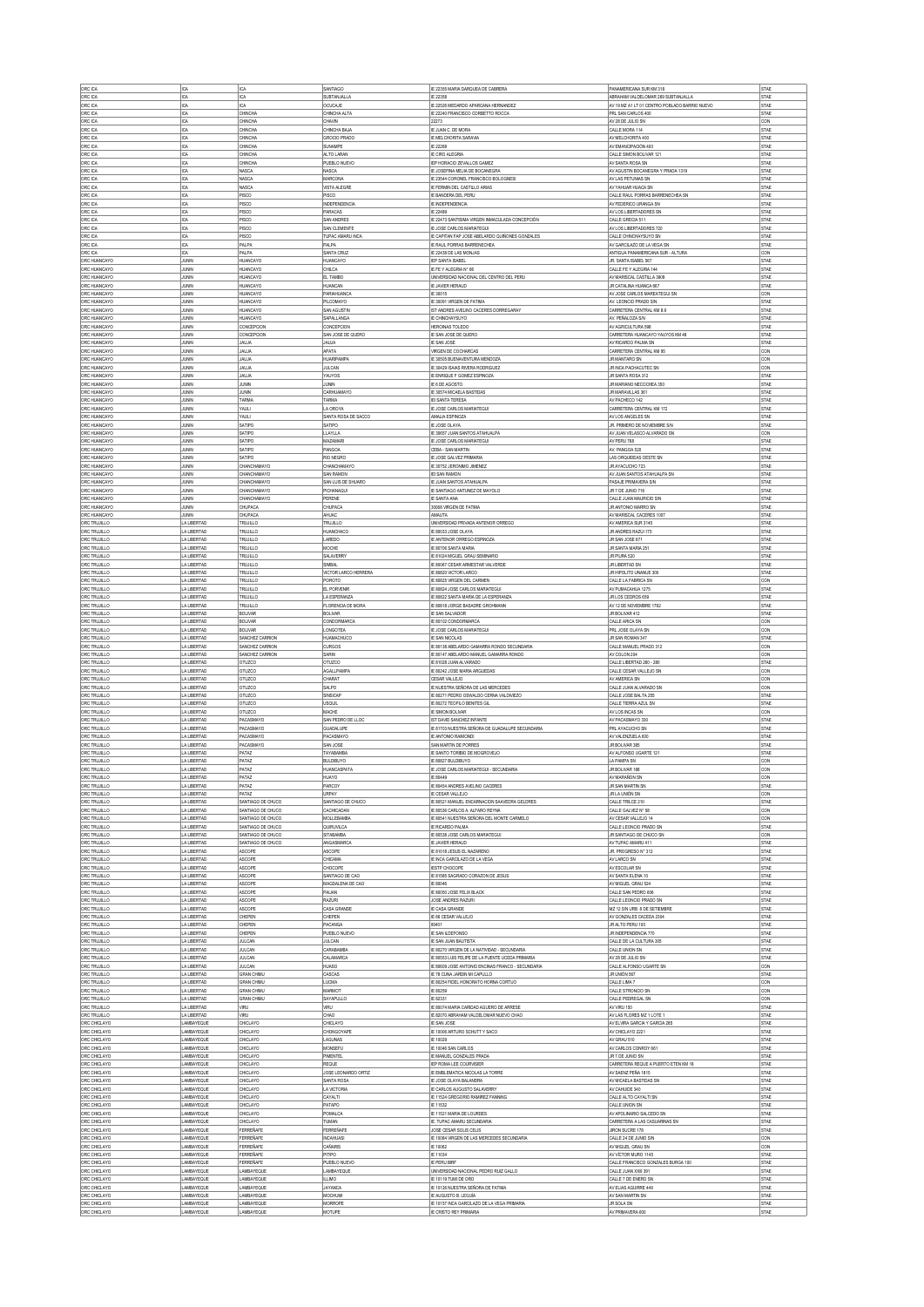| ORC ICA                                      | ICA                                    | ICA                                    | SANTIAGO                                   | IE 22355 MARIA DARQUEA DE CABRERA                                                                              | PANAMERICANA SUR KM 318                                                             | STAE                        |
|----------------------------------------------|----------------------------------------|----------------------------------------|--------------------------------------------|----------------------------------------------------------------------------------------------------------------|-------------------------------------------------------------------------------------|-----------------------------|
| ORC ICA<br>ORC ICA                           | IICA<br>ICA                            | ICA<br>ICA                             | SURTANJALLA<br>OCUCAJE                     | IE 22358<br>IE 22526 MEDARDO APARCANA HERNANDEZ                                                                | ABRAHAM VALDELOMAR 269 SUBTANJALLA<br>AV 19 MZ A1 LT 01 CENTRO POBLADO BARRIO NUEVO | STAE<br>STAE                |
| ORC ICA                                      | IICA                                   | CHINCHA                                | CHINCHA ALTA                               | IF 22240 FRANCISCO CORRETTO ROCCA                                                                              | PRL SAN CARLOS 400                                                                  | <b>STAE</b>                 |
| ORC ICA                                      | ICA                                    | CHNCHA                                 | CHAVIN                                     | 22273                                                                                                          | AV 28 DE JULIO SN                                                                   | CON                         |
| ORC ICA<br>ORC ICA                           | ICA<br>ICA                             | <b>CHINCHA</b><br><b>CHINCHA</b>       | CHINCHA BAJA<br>GROCIO PRADO               | IE JUAN C. DE MORA<br><b>IE MELCHORITA SARAVIA</b>                                                             | CALLE MORA 114<br>AV MELCHORITA 400                                                 | STAE<br>STAE                |
| ORC ICA                                      | ICA                                    | CHINCHA                                | <b>SLINAMPE</b>                            | IE 22268                                                                                                       | AV EMANCIPACIÓN 400                                                                 | STAE                        |
| ORC ICA<br>ORC ICA                           | ICA<br>ICA                             | <b>CHINCHA</b><br><b>CHINCHA</b>       | ALTO LARAN<br>PUEBLO NUEVO                 | <b>IE CIRO ALEGRIA</b><br>IEP HORACIO ZEVALLOS GAMEZ                                                           | CALLE SMON BOLIVAR 121<br>AV SANTA ROSA SN                                          | STAE<br>STAE                |
| ORC ICA                                      | ICA                                    | NASCA                                  | NASCA                                      | IE JOSEFINA MEJIA DE BOCANEGRA                                                                                 | AV AGUSTIN BOCANEGRA Y PRADA 1319                                                   | STAE                        |
| ORC ICA<br>ORC ICA                           | ICA<br>ICA                             | NASCA<br>NASCA                         | <b>MARCONA</b><br><b>VISTA ALEGRE</b>      | IE 23544 CORONEL FRANCISCO BOLOGNESI<br>IE FERMIN DEL CASTILLO ARIAS                                           | AV LAS PETUNIAS SN<br>AV YAHUAR HUACA SN                                            | STAE<br>STAE                |
| ORC ICA                                      | ICA                                    | PISCO                                  | PISCO                                      | IE BANDERA DEL PERU                                                                                            | CALLE RAUL PORRAS BARRENECHEA SN                                                    | STAE                        |
| ORC ICA                                      | ICA                                    | PISCO                                  | <b>INDEPENDENCIA</b>                       | <b>E INDEPENDENCIA</b>                                                                                         | AV FEDERICO URANGA SN                                                               | STAE                        |
| ORC ICA<br>ORC ICA                           | ICA<br>ICA                             | PISCO<br><b>PISCO</b>                  | PARACAS<br><b>SAN ANDRES</b>               | IE 22489<br>IE 22473 SANTISIMA VIRGEN INMACULADA CONCEPCIÓN                                                    | AV LOS LIBERTADORES SN<br>CALLE GRECIA 511                                          | STAE<br>STAE                |
| ORC ICA                                      | ICA                                    | PISCO                                  | SAN CLEMENTE                               | IE JOSE CARLOS MARIATEGU                                                                                       | AV LOS LIBERTADORES 720                                                             | STAE                        |
| ORC ICA<br>ORC ICA                           | ICA<br>ICA                             | <b>PISCO</b><br>PALPA                  | TUPAC AMARU INCA<br>PALPA                  | IE CAPITAN FAP JOSE ABELARDO QUIÑONES GONZALES<br>IE RAUL PORRAS BARRENECHEA                                   | CALLE CHINCHAYSLIVO SN<br>AV GARCILAZO DE LA VEGA SN                                | <b>STAE</b><br>STAE         |
| ORC ICA                                      | ICA                                    | PALPA                                  | SANTA CRUZ                                 | IE 22438 DE LAS MONJAS                                                                                         | ANTIGUA PANAMERICANA SUR - ALTURA                                                   | CON                         |
| ORC HUANCAYO<br>ORC HUANCAYO                 | JUNIN<br>JUNN                          | HUANCAYO<br>HUANCAYO                   | HUANCAYO<br>CHILCA                         | IEP SANTA ISABEL<br>IE FE Y ALEGRIA N° 66                                                                      | JR. SANTA ISABEL 567<br>CALLE FE Y ALEGRIA 144                                      | STAE<br><b>STAE</b>         |
| ORC HUANCAYO                                 | JUNIN                                  | HUANCAYO                               | EL TAMBO                                   | UNIVERSIDAD NACIONAL DEL CENTRO DEL PERU                                                                       | AV MARISCAL CASTILLA 3909                                                           | STAE                        |
| ORC HUANCAYO<br>ORC HUANCAYO                 | JUNIN<br>JUNIN                         | HUANCAYO<br>HUANCAYO                   | HUANCAN<br>PARIAHUANCA                     | <b>IE JAVIER HERAUD</b><br>IE 30015                                                                            | JR CATALINA HUANCA 667<br>AV JOSE CARLOS MAREATEGUI SN                              | STAE<br>CON                 |
| ORC HUANCAYO                                 | JUNIN                                  | HUANCAYO                               | PILCOMAYO                                  | IF 30091 VIRGEN DE FATIMA                                                                                      | AV. LEONCIO PRADO S/N                                                               | STAE                        |
| ORC HUANCAYO<br>ORC HUANCAYO                 | JUNIN<br>JUNN                          | HUANCAYO<br>HUANCAYO                   | SAN AGUSTIN<br>SAPALLANGA                  | IST ANDRES AVELINO CACERES DORREGARAY<br>IE CHINCHAYSUYO                                                       | CARRETERA CENTRAL KM 8.9<br>AV. PEÑALOZA S/N                                        | STAE<br>STAE                |
| ORC HUANCAYO                                 | JUNIN                                  | CONCEPCION                             | CONCEPCION                                 | HERONAS TOLEDO                                                                                                 | AV AGRICULTURA 598                                                                  | STAE                        |
| ORC HUANCAYO<br>ORC HUANCAYO                 | JUNIN<br>JUNIN                         | CONCEPCION<br><b>JAUJA</b>             | SAN JOSE DE QUERO<br>JAUJA                 | IE SAN JOSE DE QUERO<br><b>IE SAN JOSE</b>                                                                     | CARRETERA HUANCAYO YAUYOS KM 48<br>AV RICARDO PALMA SN                              | STAE<br>STAE                |
| ORC HUANCAYO                                 | JUNIN                                  | JALUA                                  | <b>APATA</b>                               | VIRGEN DE COCHARCAS                                                                                            | CARRETERA CENTRAL KM 95                                                             | CON                         |
| ORC HUANCAYO                                 | JUNIN<br>JUNIN                         | JALLIA<br><b>JAUJA</b>                 | <b>HUARPAMPA</b><br>JULCAN                 | IE 30505 BUENAVENTURA MENDOZA                                                                                  | JR MANTARO SN<br>JR INCA PACHACUTEC SN                                              | CON                         |
| ORC HUANCAYO<br>ORC HUANCAYO                 | JUNIN                                  | <b>JAUJA</b>                           | YAUYOS                                     | IE 30429 ISAIAS RIVERA RODRIGUEZ<br>IE ENRIQUE F GOMEZ ESPINOZA                                                | JR SANTA ROSA 312                                                                   | CON<br>STAE                 |
| ORC HUANCAYO                                 | JUNIN                                  | <b>JUNIN</b>                           | <b>JUNN</b>                                | E 6 DE AGOSTO                                                                                                  | JR MARIANO NECOCHEA 350                                                             | STAE                        |
| ORC HUANCAYO<br>ORC HUANCAYO                 | <b>JUNIN</b><br>JUNIN                  | <b>JUNIN</b><br><b>TARMA</b>           | CARHUAMAYO<br>TARMA                        | IE 30574 MICAELA BASTIDAS<br><b>IEI SANTA TERESA</b>                                                           | JR MARAVILLAS 361<br>AV PACHECO 142                                                 | STAE<br>STAE                |
| ORC HUANCAYO                                 | JUNN                                   | YAULI                                  | LA OROYA                                   | <b>IE JOSE CARLOS MARIATEGUI</b>                                                                               | CARRETERA CENTRAL KM 172                                                            | <b>STAE</b>                 |
| ORC HUANCAYO<br>ORC HUANCAYO                 | JUNIN<br>JUNIN                         | YAULI<br>SATIPO                        | SANTA ROSA DE SACCO<br>SATIPO              | AMALIA ESPINOZA<br><b>IE JOSE OLAYA</b>                                                                        | AV LOS ANGELES SN<br>JR. PRIMERO DE NOVIEMBRE SIN                                   | STAE<br>STAE                |
| ORC HUANCAYO                                 | JUNIN                                  | SATIPO                                 | LLAYLLA                                    | IE 30657 JUAN SANTOS ATAHUALPA                                                                                 | AV JUAN VELASCO ALVARADO SN                                                         | CON                         |
| ORC HUANCAYO<br>ORC HUANCAYO                 | JUNN<br>JUNIN                          | SATIPO<br>SATIPO                       | MAZAMARI<br>PANGOA                         | <b>IE JOSE CARLOS MARIATEGUI</b><br>CEBA - SAN MARTIN                                                          | AV PERU 768<br>AV. PANGOA 520                                                       | <b>STAE</b><br>STAE         |
| ORC HUANCAYO                                 | JUNIN                                  | SATIPO                                 | <b>RIO NEGRO</b>                           | <b>IE JOSE GALVEZ PRIMARIA</b>                                                                                 | LAS ORQUIDEAS OESTE SN                                                              | STAE                        |
| ORC HUANCAYO<br>ORC HUANCAYO                 | JUNIN<br>JUNIN                         | CHANCHAMAYO<br>CHANCHAMAYO             | CHANCHAMAYO<br><b>SAN RAMON</b>            | IE 30752 JERONMO JIMENEZ<br>IFI SAN RAMON                                                                      | JR AYACUCHO 723<br>AV JUAN SANTOS ATAHUALPA SN                                      | STAE<br>STAE                |
| ORC HUANCAYO                                 | JUNIN                                  | CHANCHAMAYO                            | SAN LUIS DE SHUARO                         | IE JUAN SANTOS ATAHUALPA                                                                                       | PASAJE PRIMAVERA S/N                                                                | STAE                        |
| ORC HUANCAYO<br>ORC HUANCAYO                 | JUNN                                   | CHANCHAMAYO                            | PICHANAQUI                                 | IE SANTIAGO ANTUNEZ DE MAYOLO                                                                                  | JR 7 DE JUNIO 716                                                                   | STAE                        |
| ORC HUANCAYO                                 | JUNIN<br>JUNIN                         | CHANCHAMAYO<br>CHUPACA                 | PERENE<br>CHUPACA                          | IE SANTA ANA<br>30068 VIRGEN DE FATIMA                                                                         | CALLE JUAN MAURICIO S/N<br>JR ANTONIO MARRO SN                                      | STAE<br>STAE                |
| ORC HUANCAYO                                 | JUNIN                                  | CHUPACA                                | AHUAC                                      | AMAUTA                                                                                                         | AV MARISCAL CACERES 1007                                                            | STAE                        |
| ORC TRUJILLO<br>ORC TRUJILLO                 | LA LIBERTAD<br>LA LIBERTAD             | TRUJILLO<br>TRUJILLO                   | TRUJILLO<br>HUANCHACO                      | UNIVERSIDAD PRIVADA ANTENOR ORREGO<br>IE 80033 JOSE OLAYA                                                      | AV AMERICA SUR 3145<br>JR ANDRES RAZUI 175                                          | STAE<br>STAE                |
| ORC TRUJILLO                                 | LA LIBERTAD                            | TRUJILLO                               | LAREDO                                     | IE ANTENOR ORREGO ESPINOZA                                                                                     | JR SAN JOSE 871                                                                     | STAE                        |
| ORC TRUJILLO<br>ORC TRUJILLO                 | LA LIBERTAD<br>LA LIBERTAD             | TRUJILLO<br>TRUJILLO                   | MOCHE<br>SALAVERRY                         | IE 80706 SANTA MARIA<br>IE 81024 MIGUEL GRAU SEMINARIO                                                         | JR SANTA MARIA 251<br>JR PIURA 520                                                  | STAE<br>STAE                |
| ORC TRUJILLO                                 | LA LIBERTAD                            | TRUJILLO                               | SIMBAL                                     | IE 80067 CESAR ARMESTAR VALVERDE                                                                               | JR LIBERTAD SN                                                                      | STAE                        |
| ORC TRUJILLO<br>ORC TRUJILLO                 | LA LIBERTAD<br>LA LIBERTAD             | TRUJILLO<br>TRUJILLO                   | <b>VICTOR LARCO HERRERA</b><br>POROTO      | IE 80820 VICTOR LARCO<br>IE 80825 VIRGEN DEL CARMEN                                                            | JR HIPOLITO UNANUE 300<br>CALLE LA FABRICA SN                                       | STAE<br>CON                 |
| ORC TRUJILLO                                 | LA LIBERTAD                            | TRUJILLO                               | EL PORVENIR                                | IE 80824 JOSE CARLOS MARIATEGUI                                                                                | AV PUMACAHUA 1275                                                                   | STAE                        |
| ORC TRUJILLO<br>ORC TRUJILLO                 | LA LIBERTAD<br><b>LA LIBERTAD</b>      | TRUJILLO<br>TRUJILLO                   | LA ESPERANZA<br>FLORENCIA DE MORA          | IE 80822 SANTA MARIA DE LA ESPERANZA<br>IE 80818 JORGE BASADRE GROHMANN                                        | JR LOS CEDROS 659<br>AV 12 DE NOVIEMBRE 1792                                        | STAE<br>STAE                |
| ORC TRUJILLO                                 | LA LIBERTAD                            | <b>BOLIVAR</b>                         | <b>BOLIVAR</b>                             | <b>IE SAN SALVADOR</b>                                                                                         | JR BOLIVAR 412                                                                      | <b>STAE</b>                 |
| ORC TRUJILLO                                 | LA LIBERTAD                            | <b>BOLIVAR</b>                         | CONDORMARC/                                | IE 80102 CONDORMARCA                                                                                           | CALLE ARICA SN                                                                      | CON                         |
| ORC TRUJILLO<br>ORC TRUJILLO                 | LA LIBERTAD<br>LA LIBERTAD             | <b>BOLIVAR</b><br>SANCHEZ CARRION      | LONGOTEA<br>HUAMACHUCC                     | IE JOSE CARLOS MARIATEGU<br>IE SAN NICOLAS                                                                     | PRL JOSE OLAYA SN<br>JR SAN ROMAN 347                                               | CON<br>STAE                 |
|                                              |                                        |                                        |                                            |                                                                                                                |                                                                                     |                             |
| <b>ORC TRUJILLO</b>                          | LA LIBERTAD                            | SANCHEZ CARRION                        | <b>CURGOS</b>                              | IE 80138 ABELARDO GAMARRA RONDO SECUNDARIA                                                                     | CALLE MANUEL PRADO 312                                                              | CON                         |
| ORC TRUJILLO<br><b>ORC TRUJILLO</b>          | LA LIBERTAD<br>LA LIBERTAD             | SANCHEZ CARRION<br>OTUZCO              | SARIN<br>OTUZCO                            | IE 80147 ABELARDO MANUEL GAMARRA RONDO<br>IE 81028 JUAN ALVARADO                                               | AV COLON 204<br>CALLE LIBERTAD 260 - 280                                            | CON<br>STAE                 |
| ORC TRUJILLO                                 | LA LIBERTAD                            | OTUZCO                                 | AGALLPAMP.                                 | IE 80242 JOSE MARIA ARGUEDAS                                                                                   | CALLE CESAR VALLEJO SN                                                              | CON                         |
| ORC TRUJILLO                                 | LA LIBERTAD                            | OTUZCO                                 | CHARAT                                     | CESAR VALLEJO                                                                                                  | AV AMERICA SN                                                                       | CON                         |
| ORC TRUJILLO<br>ORC TRUJILLO                 | LA LIBERTAD<br>LA LIBERTAD             | OTUZCO<br>OTUZCO                       | SALPO<br>SINSICAP                          | IE NUESTRA SEÑORA DE LAS MERCEDES<br>IE 80271 PEDRO OSWALDO CERNA VALDIVIEZO                                   | CALLE JUAN ALVARADO SN<br>CALLE JOSE BALTA 255                                      | CON<br>STAE                 |
| ORC TRUJILLO                                 | LA LIBERTAD                            | OTUZCO                                 | <b>USQUIL</b><br>MACHE                     | IE 80272 TEOFILO BENITES GIL                                                                                   | CALLE TIERRA AZUL SN                                                                | STAE                        |
| ORC TRUJILLO<br>ORC TRUJILLO                 | LA LIBERTAD<br>LA LIBERTAD             | <b>OTUZCO</b><br>PACASMAYO             | SAN PEDRO DE LLOC                          | <b>IE SMON BOLIVAR</b><br>IST DAVID SANCHEZ INFANTE                                                            | AV LOS INCAS SN<br>AV PACASMAYO 330                                                 | CON<br>STAE                 |
| ORC TRUJILLO                                 | LA LIBERTAD                            | PACASMAYO                              | GUADALUPE                                  | IE 81703 NUESTRA SEÑORA DE GUADALUPE SECUNDARIA<br><b>E ANTONIO RAMONDI</b>                                    | PRL AYACUCHO SN                                                                     | STAE                        |
| ORC TRUJILLO<br>ORC TRUJILLO                 | LA LIBERTAD<br>LA LIBERTAD             | PACASMAYO<br>PACASMAYO                 | PACASMAYO<br>SAN JOSE                      | SAN MARTIN DE PORRES                                                                                           | AV VALENZUELA 600<br>JR BOLIVAR 385                                                 | STAE<br>STAE                |
| ORC TRUJILLO                                 | LA LIBERTAD                            | PATAZ                                  | <b>TAYABAMBA</b>                           | E SANTO TORIBIO DE MOGROVEJO                                                                                   | AV ALFONSO UGARTE 121                                                               | STAE                        |
| ORC TRUJILLO<br>ORC TRUJILLO                 | LA LIBERTAD<br>LA LIBERTAD             | PATAZ<br>PATAZ                         | <b>BULDIBUYO</b><br><b>HUANCASPATA</b>     | IE 80827 BULDIBUYO<br>IE JOSE CARLOS MARIATEGUI - SECUNDARIA                                                   | LA PAMPA SN<br>JR BOLIVAR 188                                                       | CON<br>CON                  |
| ORC TRUJILLO                                 | LA LIBERTAD                            | PATAZ                                  | HUAYO                                      | IE 80449                                                                                                       | AV MARAÑON SN                                                                       | CON                         |
| <b>ORC TRUJILLO</b><br>ORC TRUJILLO          | LA LIBERTAD<br>LA LIBERTAD             | PATAZ<br>PATAZ                         | PARCOY<br><b>URPAY</b>                     | IE 80454 ANDRES AVELINO CACERES<br><b>E CESAR VALLEJO</b>                                                      | JR SAN MARTIN SN<br>JR LA UNIÓN SN                                                  | <b>STAE</b><br>CON          |
| ORC TRUJILLO                                 | LA LIBERTAD                            | SANTIAGO DE CHUCO                      | SANTIAGO DE CHUCO                          | IE 80521 MANUEL ENCARNACION SAAVEDRA GELDRES                                                                   | CALLE TRILCE 210                                                                    | <b>STAE</b>                 |
| ORC TRUJILLO<br><b>ORC TRUJILLO</b>          | LA LIBERTAD<br>LA LIBERTAD             | SANTIAGO DE CHUCO<br>SANTIAGO DE CHUCO | CACHICADAN<br>MOLI FRAMRA                  | IE 80536 CARLOS A. ALFARO REYNA<br>IE 80541 NUESTRA SEÑORA DEL MONTE CARMELO                                   | CALLE GALVEZ N° 58<br>AV CESAR VALLEJO 14                                           | CON<br>CON                  |
| ORC TRUJILLO                                 | LA LIBERTAD                            | SANTIAGO DE CHUCO                      | QURUVILCA                                  | IE RICARDO PALMA                                                                                               | CALLE LEONCIO PRADO SN                                                              | STAE                        |
| ORC TRUJILLO<br>ORC TRUJILLO                 | LA LIBERTAD<br>LA LIBERTAD             | SANTIAGO DE CHUCO<br>SANTIAGO DE CHUCO | <b>SITABAMBA</b><br>ANGASMARCA             | IF 80538 JOSE CARLOS MARIATEGUL<br>IE JAVIER HERAUD                                                            | JR SANTIAGO DE CHUCO SN<br>AV TUPAC AMARU 411                                       | CON<br>STAE                 |
| <b>ORC TRUJILLO</b>                          | LA LIBERTAD                            | <b>ASCOPE</b>                          | <b>ASCOPE</b>                              | IF 81018 JFSLIS FL NAZARENO<br>IE INCA GARCILAZO DE LA VEGA                                                    | JR. PROGRESO N° 312                                                                 | <b>STAE</b>                 |
| ORC TRUJILLO<br>ORC TRUJILLO                 | LA LIBERTAD<br>LA LIBERTAD             | ASCOPE<br>ASCOPE                       | CHICAMA<br>CHOCOPE                         | <b>IESTP CHOCOPE</b>                                                                                           | AV LARCO SN<br>AV ESCOLAR SN                                                        | STAE<br>STAE                |
| ORC TRUJILLO                                 | LA LIBERTAD                            | ASCOPE                                 | SANTIAGO DE CAO                            | IE 81585 SAGRADO CORAZON DE JESUS                                                                              | AV SANTA ELENA 10                                                                   | <b>STAE</b>                 |
| ORC TRUJILLO<br>ORC TRUJILLO                 | LA LIBERTAD<br>LA LIBERTAD             | ASCOPE<br>ASCOPE                       | MAGDALENA DE CAO<br>PAUAN                  | E 80046<br>IE 80050 JOSE FELIX BLACK                                                                           | AV MIGUEL GRAU 524<br>CALLE SAN PEDRO 606                                           | STAE<br>STAE                |
| ORC TRUJILLO                                 | LA LIBERTAD                            | ASCOPE                                 | <b>RAZURI</b>                              | JOSE ANDRES RAZURI                                                                                             | CALLE LEONCIO PRADO SN                                                              | STAE                        |
| <b>ORC TRIJILLO</b><br>ORC TRUJILLO          | LA LIBERTAD<br>LA LIBERTAD             | ASCOPE<br>CHEPEN                       | CASA GRANDE<br>CHEPEN                      | IE CASA GRANDE<br>IE 66 CESAR VALLEJO                                                                          | MZ 12 S/N URB 8 DE SETIEMBRE<br>AV GONZALES CACEDA 2304                             | STAE<br>STAE                |
| ORC TRUJILLO                                 | LA LIBERTAD                            | CHEPEN                                 | PACANGA                                    | 80401                                                                                                          | JR ALTO PERU 100                                                                    | STAE                        |
| ORC TRUJILLO<br>ORC TRUJILLO                 | LA LIBERTAD<br>LA LIBERTAD             | CHEPEN<br><b>JULCAN</b>                | PUEBLO NUEVO<br><b>JULCAN</b>              | <b>IE SAN ILDEFONSO</b><br>IE SAN JUAN BAUTISTA                                                                | JR INDEPENDENCIA 770<br>CALLE DE LA CULTURA 305                                     | STAE<br>STAE                |
| ORC TRUJILLO                                 | LA LIBERTAD                            | <b>JULCAN</b>                          | CARARAMRA                                  | IE 80270 VIRGEN DE LA NATIVIDAD - SECUNDARIA                                                                   | CALLE UNION SN                                                                      | STAE                        |
| ORC TRUJILLO<br>ORC TRUJILLO                 | LA LIBERTAD<br>LA LIBERTAD             | <b>JULCAN</b><br><b>JULCAN</b>         | CALAMARCA<br><b>HUASO</b>                  | IE 80553 LUIS FELIPE DE LA PUENTE UCEDA PRIMARIA<br>E 80609 JOSE ANTONIO ENCINAS FRANCO - SECUNDARIA           | AV 28 DE JULIO SN<br>CALLE ALFONSO UGARTE SN                                        | STAE<br>CON                 |
| ORC TRUJILLO                                 | LA LIBERTAD                            | <b>GRAN CHIMU</b>                      | CASCAS                                     | IE 78 CUNA JARDIN MI CAPULLO                                                                                   | JR LINIÓN 567                                                                       | <b>STAE</b>                 |
| ORC TRUJILLO<br><b>ORC TRUJILLO</b>          | LA LIBERTAD<br>LA LIBERTAD             | <b>GRAN CHIML</b><br><b>GRAN CHIML</b> | <b>LUCMA</b><br><b>MARMOT</b>              | IE 80254 FIDEL HONORATO HORNA CORTUO<br>IE 80259                                                               | CALLE LIMA 7<br>CALLE STRONCIO SN                                                   | CON<br>CON                  |
| ORC TRUJILLO                                 | LA LIBERTAD                            | <b>GRAN CHIMU</b>                      | SAYAPULLO                                  | IE 82331                                                                                                       | CALLE PEDREGAL SN                                                                   | CON                         |
| ORC TRUJILLO<br>ORC TRUJILLO                 | LA LIBERTAD<br>LA LIBERTAD             | VIRU<br>VIRU                           | VRU<br>CHAO                                | IE 80074 MARIA CARIDAD AGUERO DE ARRESE<br>IE 82070 ABRAHAM VALDELOMAR NUEVO CHAO                              | AV VIRU 150<br>AV LAS FLORES MZ 1 LOTE 1                                            | <b>STAE</b><br>STAE         |
| ORC CHICLAYO                                 | LAMBAYEQUE                             | CHICLAYO                               | CHICLAYO                                   | <b>IE SAN JOSE</b>                                                                                             | AV ELVIRA GARCIA Y GARCIA 285                                                       | <b>STAE</b>                 |
| ORC CHICLAYC<br>ORC CHICLAYO                 | LAMBAYEQUE<br>LAMBAYEQUE               | CHICLAYO<br>CHICLAYO                   | CHONGOYAPE<br>LAGUNAS                      | IE 10006 ARTURO SCHUTT Y SACO<br><b>IE 10029</b>                                                               | AV CHICLAYO 2221<br>AV GRAU 510                                                     | STAE<br>STAE                |
| ORC CHICLAYO                                 | LAMBAYEQUE                             | CHICLAYO                               | MONSEFU                                    | IE 10046 SAN CARLOS                                                                                            | AV CARLOS CONROY 661                                                                | STAE                        |
| ORC CHICLAYO                                 | LAMBAYEQUE<br>LAMBAYEQUE               | CHICLAYO<br>CHICLAYO                   | PIMENTEL<br><b>REQUE</b>                   | IE MANUEL GONZALES PRADA<br>IEP ROMA LEE COURVISIER                                                            | JR 7 DE JUNIO SN<br>CARRETERA REQUE A PUERTO ETEN KM 18                             | STAE<br>STAE                |
| ORC CHICLAYO<br>ORC CHICLAYO                 | LAMBAYEQUE                             | CHICLAYO                               | JOSE LEONARDO ORTIZ                        | IE EMBLEMATICA NICOLAS LA TORRE                                                                                | AV SAENZ PEÑA 1815                                                                  | STAE                        |
| ORC CHICLAYO                                 | LAMBAYEQUE                             | CHICLAYO                               | SANTA ROSA                                 | IE JOSE OLAYA BALANDRA                                                                                         | AV MICAELA BASTIDAS SN                                                              | STAE                        |
| ORC CHICLAYO<br>ORC CHICLAYO                 | LAMBAYEQUE<br>LAMBAYEQUE               | CHICLAYO<br>CHICLAYO                   | LA VICTORIA<br>CAYALTI                     | IE CARLOS AUGUSTO SALAVERRY<br>IE 11524 GREGORIO RAMIREZ FANNING                                               | AV CAHUIDE 340<br>CALLE ALTO CAYALTI SN                                             | STAE<br>STAE                |
| ORC CHICLAYO                                 | LAMBAYEQUE                             | CHICLAYO                               | PATAPO                                     | IE 11532                                                                                                       | CALLE UNION SN                                                                      | STAE                        |
| ORC CHICLAYO<br>ORC CHICLAYO                 | LAMBAYEQUE<br>LAMBAYEQUE               | CHICLAYO<br>CHICLAYO                   | <b>POMALCA</b><br><b>TUMAN</b>             | IE 11521 MARIA DE LOURDES<br>IE. TUPAC AMARU SECUNDARIA                                                        | AV APOLINARIO SALCEDO SN<br>CARRETERA A LAS CASUARINAS SN                           | STAE<br>STAE                |
| ORC CHICLAYO                                 | LAMBAYEQUE                             | <b>FERREÑAFE</b>                       | <b>FERREÑAFE</b><br>INCAHLIASI             | JOSE CESAR SOLIS CELIS                                                                                         | JIRON SUCRE 178                                                                     | STAE                        |
| ORC CHICLAYO<br>ORC CHICLAYO                 | LAMBAYEQUE<br>LAMBAYEQUE               | <b>FERRENAFE</b><br><b>FERRENAFE</b>   | CAÑARIS                                    | IE 10084 VIRGEN DE LAS MERCEDES SECUNDARIA<br>E 10062                                                          | CALLE 24 DE JUNIO SIN<br>AV MIGUEL GRAU SN                                          | CON<br><b>CON</b>           |
| ORC CHICLAYO                                 | LAMBAYEQUE                             | <b>FERREÑAFE</b>                       | PITPO                                      | IE 11034                                                                                                       | AV VÍCTOR MURO 1145                                                                 | STAE                        |
| ORC CHICLAYO<br>ORC CHICLAYO                 | LAMBAYEQUE<br>LAMBAYEQUE               | <b>FERRENAFE</b><br>LAMBAYEQUE         | PUEBLO NUEVO<br>LAMBAYEQUE                 | <b>IE PERU BIRF</b><br>UNIVERSIDAD NACIONAL PEDRO RUIZ GALLO                                                   | CALLE FRANCISCO GONZALES BURGA 100<br>CALLE JUAN XXIII 391                          | <b>STAE</b><br>STAE         |
| ORC CHICLAYO                                 | LAMBAYEQUE                             | LAMBAYEQUE                             | <b>ILLIMO</b>                              | IE 10119 TUMI DE ORO                                                                                           | CALLE 7 DE ENERO SN                                                                 | <b>STAE</b>                 |
| ORC CHICLAYO<br>ORC CHICLAYO<br>ORC CHICLAYO | LAMBAYEQUE<br>LAMBAYEQUE<br>LAMBAYEQUE | LAMBAYEQUE<br>LAMBAYEQUE<br>LAMBAYEQUE | <b>JAYANCA</b><br>MOCHUM<br><b>MORROPE</b> | IE 10126 NUESTRA SEÑORA DE FATIMA<br><b>E AUGUSTO B. LEGUÍA</b><br>IE 10157 INCA GARCILAZO DE LA VEGA PRIMARIA | AV ELIAS AGUIRRE 449<br>AV SAN MARTIN SN<br>JR SOLA SN                              | STAE<br><b>STAE</b><br>STAE |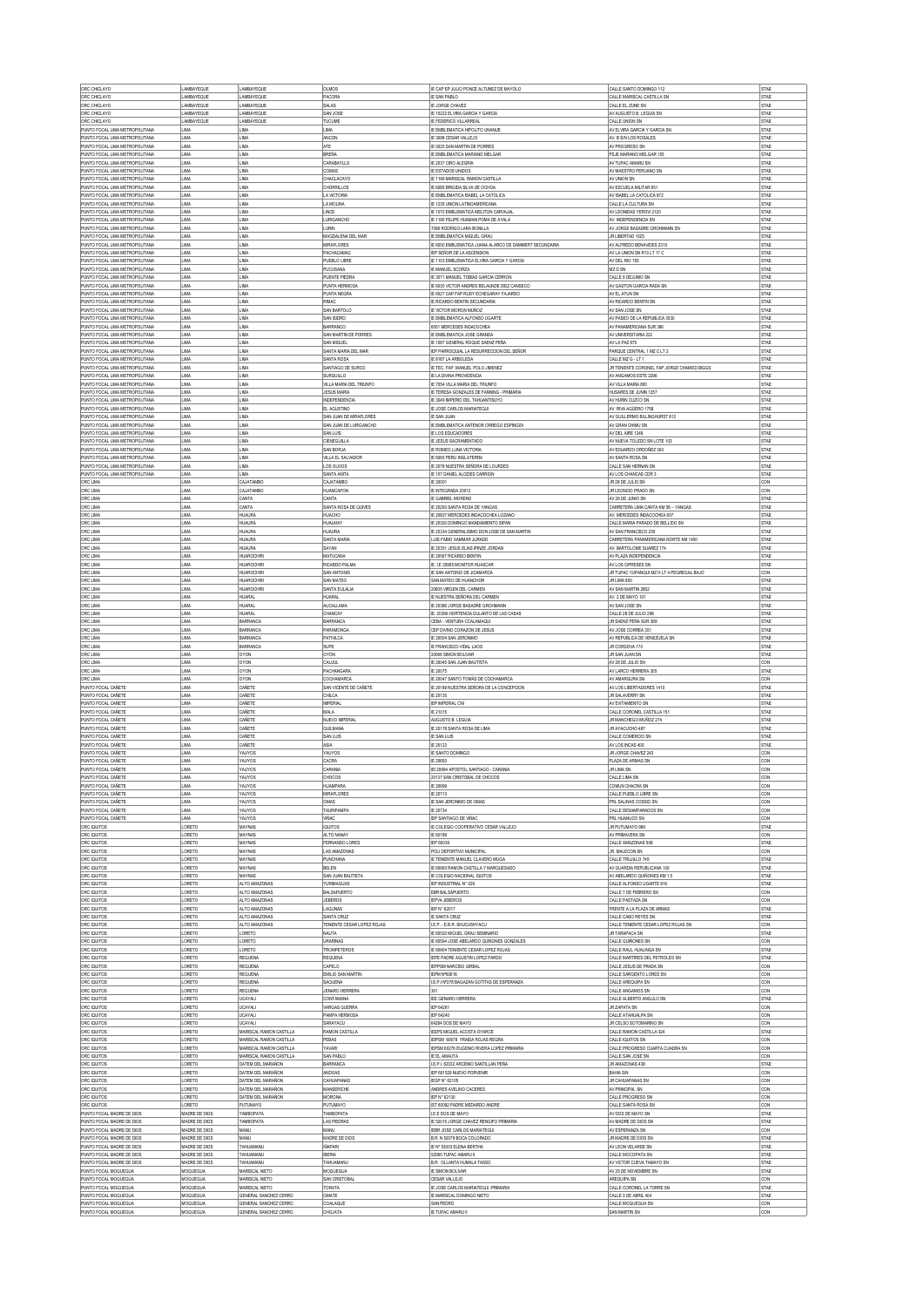| ORC CHICLAYO<br>ORC CHICLAYO                                     | LAMBAYEQUE<br>LAMBAYEQUE       | LAMBAYEQUE<br>LAMBAYEQUE                           | OLMOS<br>PACORA                          | IE CAP EP JULIO PONCE ALTUNEZ DE MAYOLO<br>IE SAN PABLO                        | CALLE SANTO DOMINGO 112<br>CALLE MARISCAL CASTILLA SN              | STAE<br>STAE        |
|------------------------------------------------------------------|--------------------------------|----------------------------------------------------|------------------------------------------|--------------------------------------------------------------------------------|--------------------------------------------------------------------|---------------------|
| ORC CHICLAYO                                                     | LAMBAYEQUE                     | LAMBAYEQUE                                         | SALAS                                    | E JORGE CHAVEZ                                                                 | CALLE EL ZUNE SN                                                   | STAE                |
| ORC CHICLAYO                                                     | LAMBAYEQUE                     | LAMBAYEQUE                                         | SAN JOSE                                 | E 10222 ELVIRA GARCIA Y GARCIA                                                 | AV AUGUSTO B. LEGUIA SN                                            | STAE                |
| ORC CHICLAYC                                                     | LAMBAYEQUE                     | LAMBAYEQUE                                         | <b>TUCUME</b>                            | E FEDERICO VILLARREA                                                           | CALLE UNION SN                                                     | STAE                |
| PUNTO FOCAL LIMA METROPOLITANA<br>PUNTO FOCAL LIMA METROPOLITANA | LIMA<br>LIMA                   | <b>LIMA</b><br>LIMA                                | LIMA.<br>ANCON                           | E EMBLEMATICA HIPOLITO UNANUE<br>E 3098 CESAR VALLEJO                          | AV FLVIRA GARCIA Y GARCIA SN<br>AV. B S/N LOS ROSALES              | <b>STAE</b><br>STAE |
| PUNTO FOCAL LIMA METROPOLITANA                                   | LIMA                           | <b>LIMA</b>                                        | <b>ATE</b>                               | IE 0025 SAN MARTIN DE PORRES                                                   | AV PROGRESO SN                                                     | <b>STAE</b>         |
| PUNTO FOCAL LIMA METROPOLITANA                                   | LIMA                           | LIMA                                               | BREÑA                                    | E EMBLEMATICA MARIANO MELGAR                                                   | PSJE MARIANO MELGAR 155                                            | STAE                |
| PUNTO FOCAL LIMA METROPOLITANA<br>PUNTO FOCAL LIMA METROPOLITANA | LIMA<br>LIMA                   | LIMA<br>LIMA                                       | CARABAYLLO<br>COMAS                      | IE 2037 CIRO ALEGRIA<br>IE ESTADOS UNIDOS                                      | AV TUPAC AMARU SN<br>AV MAESTRO PERUANO SN                         | <b>STAE</b><br>STAE |
| PUNTO FOCAL LIMA METROPOLITANA                                   | LIMA                           | <b>LIMA</b>                                        | CHACLACAYO                               | F 1199 MARISCAL RAMON CASTILLA                                                 | AV UNION SN                                                        | STAE                |
| PUNTO FOCAL LIMA METROPOLITANA                                   | LIMA                           | LIMA                                               | CHORRILLOS                               | E 6085 BRIGIDA SILVA DE OCHO/                                                  | AV ESCUELA MILITAR 851                                             | STAE                |
| PUNTO FOCAL LIMA METROPOLITANA<br>PUNTO FOCAL LIMA METROPOLITANA | LIMA<br>LIMA                   | <b>LIMA</b><br>LIMA                                | LA VICTORIA<br>LA MOLINA                 | IE EMBLEMATICA ISABEL LA CATOLICA<br>E 1235 UNION LATINO AMERICANA             | AV ISABEL LA CATOLICA 872<br>CALLE LA CULTURA SN                   | <b>STAE</b><br>STAE |
| PUNTO FOCAL LIMA METROPOLITANA                                   | LIMA                           | LIMA                                               | LINCE                                    | E 1070 EMBLEMATICA MELITON CARVAJAL                                            | AV LEONIDAS YEROVI 2120                                            | STAE                |
| PUNTO FOCAL LIMA METROPOLITANA                                   | LIMA                           | LIMA                                               | LURIGANCHO                               | IE 1190 FELIPE HUAMAN POMA DE AYALA                                            | AV. INDEPENDENCIA SN                                               | <b>STAE</b>         |
| PUNTO FOCAL LIMA METROPOLITANA<br>PUNTO FOCAL LIMA METROPOLITANA | LIMA<br>LIMA                   | LIMA<br>LIMA                                       | <b>ITIRN</b><br>MAGDALENA DEL MAR        | 7098 RODRIGO LARA BONILLA<br>IE EMBLEMATICA MIGUEL GRAU                        | AV JORGE BASADRE GROHMANN SN<br>JR LIBERTAD 1025                   | STAE<br>STAE        |
| PUNTO FOCAL LIMA METROPOLITANA                                   | LIMA                           | LIMA                                               | <b>MIRAFLORES</b>                        | E 6050 EMBLEMATICA JUANA ALARCO DE DAMMERT SECUNDARIA                          | AV ALFREDO BENAVIDES 2315                                          | STAE                |
| PUNTO FOCAL LIMA METROPOLITANA                                   | LIMA                           | LIMA                                               | PACHACAMAC                               | EP SEÑOR DE LA ASCENSION                                                       | AV LA UNION SN R13 LT 17 C                                         | STAE                |
| PUNTO FOCAL LIMA METROPOLITANA<br>PUNTO FOCAL LIMA METROPOLITANA | LIMA<br>LIMA                   | LIMA<br>LIMA                                       | PUEBLO LIBRE<br>PUCUSANA                 | IE 1103 EMBLEMATICA ELVIRA GARCIA Y GARCIA<br>IE MANUEL SCORZA                 | AV DEL RIO 155<br>MZ D SN                                          | STAE<br>STAE        |
| PUNTO FOCAL LIMA METROPOLITANA                                   | LIMA                           | LIMA                                               | PUENTE PIEDRA                            | E 3071 MANUEL TOBIAS GARCIA CERRON                                             | CALLE 9 DEJUNIO SN                                                 | STAE                |
| PUNTO FOCAL LIMA METROPOLITANA                                   | LIMA                           | LIMA                                               | PUNTA HERMOSA                            | E 6030 VICTOR ANDRES BELAUNDE DIEZ CANSECO                                     | AV GASTON GARCIA RADA SN                                           | STAE                |
| PUNTO FOCAL LIMA METROPOLITANA<br>PUNTO FOCAL LIMA METROPOLITANA | LIMA<br>LIMA                   | LIMA<br>LIMA                                       | PUNTA NEGRA<br>RIMAC                     | E 6027 CAP FAP RUDY ECHEGARAY FAJARDO<br>E RICARDO BENTIN SECUNDARIA           | AV EL ATUN SN<br>AV RICARDO BENTIN SN                              | STAE<br>STAE        |
| PUNTO FOCAL LIMA METROPOLITANA                                   | LIMA                           | LIMA                                               | SAN BARTOLO                              | E VICTOR MORON MUÑOZ                                                           | AV SAN JOSE SN                                                     | STAE                |
| PUNTO FOCAL LIMA METROPOLITANA                                   | LIMA                           | <b>LIMA</b>                                        | SAN ISIDRO                               | <b>E EMBLEMATICA ALFONSO UGARTE</b>                                            | AV PASEO DE LA REPUBLICA 3530                                      | <b>STAE</b>         |
| PUNTO FOCAL LIMA METROPOLITANA<br>PUNTO FOCAL LIMA METROPOLITANA | LIMA<br>LIMA                   | LIMA<br><b>LIMA</b>                                | BARRANCO<br>SAN MARTIN DE PORRES         | 051 MERCEDES INDACOCHEA<br>E EMBLEMATICA JOSE GRANDA                           | AV PANAMERICANA SUR 386<br>AV UNIVERSITARIA 222                    | STAE<br><b>STAE</b> |
| PUNTO FOCAL LIMA METROPOLITANA                                   | LIMA                           | LIMA                                               | SAN MIGUEL                               | IE 1087 GENERAL ROQUE SAENZ PEÑA                                               | AV LA PAZ 675                                                      | STAE                |
| PUNTO FOCAL LIMA METROPOLITANA                                   | LIMA                           | <b>LIMA</b>                                        | SANTA MARIA DEL MAR                      | EP PARROQUIAL LA RESURRECCION DEL SEÑOR                                        | PARQUE CENTRAL 1 MZ C LT 2                                         | <b>STAE</b>         |
| PUNTO FOCAL LIMA METROPOLITANA                                   | LIMA                           | LIMA                                               | SANTA ROSA                               | E 8187 LA ARBOLEDA                                                             | CALLE MZ G - LT 1                                                  | STAE                |
| PUNTO FOCAL LIMA METROPOLITANA<br>PUNTO FOCAL LIMA METROPOLITANA | LIMA<br>LIMA                   | <b>LIMA</b><br>LIMA                                | SANTIAGO DE SURCO<br>SURQUILLO           | IE TEC. FAP. MANUEL POLO JIMENEZ<br>E LA DIVINA PROVIDENCIA                    | JR TENENTE CORONEL FAP JORGE CHAMOD BIGGS<br>AV ANGAMOS ESTE 2296  | <b>STAE</b><br>STAE |
| PUNTO FOCAL LIMA METROPOLITANA                                   | LIMA                           | <b>LIMA</b>                                        | VILLA MARIA DEL TRIUNFO                  | IE 7054 VILLA MARIA DEL TRIUNFO                                                | AV VILLA MARIA 800                                                 | <b>STAE</b>         |
| PUNTO FOCAL LIMA METROPOLITANA                                   | LIMA                           | LIMA                                               | <b>JESUS MARV</b>                        | E TERESA GONZALES DE FANNING - PRIMARIA                                        | HUSARES DE JUNN 1257                                               | STAE                |
| PUNTO FOCAL LIMA METROPOLITANA<br>PUNTO FOCAL LIMA METROPOLITANA | LIMA<br>LIMA                   | LIMA<br>LIMA                                       | INDEPENDENCIA<br>EL AGUSTINO             | IE 3049 IMPERIO DEL TAHUANTISUYO<br>IE JOSE CARLOS MARIATEGUI                  | AV HURIN CUZCO SI<br>AV. RIVA AGÜERO 1758                          | STAE<br>STAE        |
| PUNTO FOCAL LIMA METROPOLITANA                                   | LIMA                           | <b>I MA</b>                                        | SAN JUAN DE MRAFLORES                    | <b>E SAN JUAN</b>                                                              | AV GULLERMO BILLINGHURST 812                                       | STAE                |
| PUNTO FOCAL LIMA METROPOLITANA                                   | LIMA                           | LIMA                                               | SAN JUAN DE LURIGANCHO                   | E EMBLEMATICA ANTENOR ORREGO ESPINOZA                                          | AV GRAN CHIMU SN                                                   | STAE                |
| PUNTO FOCAL LIMA METROPOLITANA<br>PUNTO FOCAL LIMA METROPOLITANA | LIMA<br>LIMA                   | LIMA<br>LIMA                                       | SAN LUIS<br><b>CIENEGUILLA</b>           | IE LOS EDUCADORES<br>IE JESUS SACRAMENTADO                                     | AV DEL AIRE 1249<br>AV NUEVA TOLEDO SN LOTE 103                    | STAE<br>STAE        |
| PUNTO FOCAL LIMA METROPOLITANA                                   | LIMA                           | LIMA                                               | SAN BORJA                                | E ROMEO LUNA VICTORIA                                                          | AV EDUARDO ORDOÑEZ 300                                             | STAE                |
| PUNTO FOCAL LIMA METROPOLITANA                                   | LIMA                           | LIMA                                               | VILLA EL SALVADOR                        | E 6065 PERU INGLATERRA                                                         | AV SANTA ROSA SN                                                   | STAE                |
| PUNTO FOCAL LIMA METROPOLITANA<br>PUNTO FOCAL LIMA METROPOLITANA | LIMA<br>LIMA                   | LIMA<br>LIMA                                       | LOS OLIVOS<br>SANTA ANITA                | IE 2078 NUESTRA SEÑORA DE LOURDES<br>IE 107 DANIEL ALCIDES CARRION             | CALLE SAN HERNAN SN<br>AV LOS CHANCAS CDR 3                        | STAE<br>STAE        |
| ORC LIMA                                                         | LIMA                           | <b>CAJATAMRO</b>                                   | CAJATAMBO                                | E 20001                                                                        | JR 28 DE JULIO SN                                                  | CON                 |
| ORC LMA                                                          | LIMA                           | CAJATAMBO                                          | <b>HUANCAPON</b>                         | E INTEGRADA 20012                                                              | JR LEONCIO PRADO SN                                                | CON                 |
| ORC LIMA                                                         | LIMA                           | CANTA                                              | CANTA                                    | E GABRIEL MORENO                                                               | AV 26 DE JUNIO SN                                                  | STAE                |
| ORC LMA<br>ORC LIMA                                              | LIMA<br>LIMA                   | CANTA<br>HUAURA                                    | SANTA ROSA DE QUIVES<br><b>HUACHO</b>    | E 20293 SANTA ROSA DE YANGAS<br>IE 20827 MERCEDES INDACOCHEA LOZANO            | CARRETERA LIMA CANTA KM 56 - YANGAS<br>AV. MERCEDES INDACOCHEA 657 | STAE<br>STAE        |
| ORC LMA                                                          | LIMA                           | <b>HUAURA</b>                                      | <b>HUALMAY</b>                           | E 20320 DOMINGO MANDAMIENTO SIPAN                                              | CALLE MARIA PARADO DE RELLIDO SN                                   | STAE                |
| ORC LIMA                                                         | LIMA                           | HUAURA                                             | <b>HUAURA</b>                            | E 20334 GENERALISIMO DON JOSE DE SAN MARTIN                                    | AV SAN FRANCISCO 250                                               | STAE                |
| ORC LMA<br>ORC LIMA                                              | LIMA<br>LIMA                   | <b>HUAURA</b><br><b>HUAURA</b>                     | SANTA MARV<br>SAYAN                      | LUIS FABIO XAMMAR JURADO<br>E 20351 JESUS ELIAS IPINZE JORDAN                  | CARRETERA PANAMERICANA NORTE KM 1450<br>AV. BARTOLOME SUAREZ 174   | <b>STAE</b><br>STAE |
| ORC LIMA                                                         | LIMA                           | <b>HUAROCHIRI</b>                                  | MATUCANA                                 | E 20567 RICARDO BENTIN                                                         | AV PLAZA INDEPENDENCIA                                             | <b>STAE</b>         |
| ORC LMA                                                          | LIMA                           | HUAROCHIR                                          | RICARDO PALMA                            | E. I.E 20955 MONITOR HUASCAR                                                   | AV LOS CIPRESES SN                                                 | STAE                |
| ORC LMA<br>ORC LIMA                                              | LIMA<br>LIMA                   | <b>HUAROCHIRI</b><br>HUAROCHIR                     | SAN ANTONIO<br>SAN MATEO                 | IE SAN ANTONIO DE JICAMARCA<br>SAN MATEO DE HUANCHOF                           | JR TUPAC YUPANQUI MZ H LT 4 PEGREGAL BAJO<br><b>JR LIMA 800</b>    | CON<br>STAE         |
| ORC LMA                                                          | LIMA                           | HUAROCHIRI                                         | SANTA EULALIA                            | 20605 VIRGEN DEL CARMEN                                                        | AV SAN MARTIN 2852                                                 | STAE                |
| ORC LIMA                                                         | LIMA                           | <b>HUARA</b>                                       | HUARAL                                   | IE NUESTRA SEÑORA DEL CARMEN                                                   | AV. 2 DE MAYO 101                                                  | <b>STAE</b>         |
| ORC LMA                                                          | LIMA<br>LIMA                   | <b>HI IARAI</b><br><b>HUARAL</b>                   | <b>AUCALLAMA</b>                         | IE 20386 JORGE BASADRE GROHMANN                                                | AV SAN JOSE SN                                                     | STAE<br>STAE        |
| ORC LIMA<br>ORC LIMA                                             | LIMA                           | BARRANCA                                           | CHANCAY<br>BARRANCA                      | IE. 20390 HORTENCIA DULANTO DE LAS CASAS<br>CEBA - VENTURA CCALAMAQUI          | CALLE 28 DE JULIO 298<br>JR SAENZ PEÑA SUR 389                     | STAE                |
| ORC LIMA                                                         | LIMA                           | <b>BARRANCA</b>                                    | PARAMONGA                                | CEP DIVINO CORAZON DE JESUS                                                    | AV JOSE CORREA 351                                                 | STAE                |
| ORC LIMA                                                         | LIMA                           | <b>BARRANCA</b>                                    | <b>PATIVILCA</b>                         | IE 20504 SAN JERONIMO                                                          | AV REPUBLICA DE VENEZUELA SN                                       | STAE                |
| ORC LMA<br>ORC LMA                                               | LIMA<br>LIMA                   | BARRANCA<br>OYON                                   | SUPE<br>OYON                             | IE FRANCISCO VIDAL LAOS<br>20066 SIMON BOLIVAR                                 | JR CORDOVA 170<br>JR SAN JUAN SN                                   | STAE<br>STAE        |
| ORC LIMA                                                         | LIMA                           | OYON                                               | CALUUL                                   | IE 20045 SAN JUAN BAUTISTA                                                     | AV 28 DE JULIO SN                                                  | CON                 |
| ORC LMA                                                          | LIMA                           | OYON                                               | PACHANGARA                               | E 20075                                                                        | AV LARCO HERRERA 305                                               | STAE                |
| ORC LMA<br>PUNTO FOCAL CAÑETE                                    | LIMA<br>LIMA                   | OYON<br>CAÑETE                                     | COCHAMARCA<br>SAN VICENTE DE CAÑETE      | IE 20047 SANTO TOMÁS DE COCHAMARCA<br>IE 20189 NUESTRA SEÑORA DE LA CONCEPCION | AV AMARGURA SN<br>AV LOS LIBERTADORES 1410                         | CON<br>STAE         |
| PUNTO FOCAL CAÑETE                                               | LIMA                           | CAÑETE                                             | CHILCA                                   | IE 20135                                                                       | JR SALAVERRY SN                                                    | <b>STAE</b>         |
| PUNTO FOCAL CAÑETE                                               | LIMA                           | CAÑETE                                             | <b>IMPERIAL</b>                          | EP IMPERIAL CNI                                                                | AV EVITAMIENTO SN                                                  | STAE                |
| PUNTO FOCAL CAÑETE<br>PUNTO FOCAL CAÑETE                         | LIMA<br>LIMA                   | CAÑETE<br>CAÑETE                                   | MALA<br>NUEVO IMPERIAL                   | IE 21015<br>AUGUSTO B. LEGUIA                                                  | CALLE CORONEL CASTILLA 151<br>JR MANCHEGO MUÑOZ 274                | <b>STAE</b><br>STAE |
| PUNTO FOCAL CAÑETE                                               | LIMA                           | CAÑETE                                             | QULMANA                                  | E 20178 SANTA ROSA DE LIMA                                                     | JR AYACUCHO 487                                                    | STAE                |
| PUNTO FOCAL CAÑETE                                               | LIMA                           | CAÑETE                                             | SAN LUIS                                 | E SAN LUIS                                                                     | CALLE COMERCIO SN                                                  | STAE                |
| PUNTO FOCAL CAÑETE<br>PUNTO FOCAL CAÑETE                         | LIMA<br>LIMA                   | CAÑETE<br>YAUYOS                                   | <b>ASIA</b><br>YAUYOS                    | IE 20123<br>E SANTO DOMINGO                                                    | AV LOS INCAS 400<br>JR JORGE CHAVEZ 243                            | <b>STAE</b><br>CON  |
| PUNTO FOCAL CAÑETE                                               | LIMA                           | YAUYOS                                             | CACRA                                    | IE 20693                                                                       | PLAZA DE ARMAS SN                                                  | CON                 |
| PUNTO FOCAL CAÑETE                                               | LIMA                           | YAUYOS                                             | CARANA                                   | IEI 20694 APOSTOL SANTIAGO - CARANIA                                           | <b>JR LIMA SN</b>                                                  | CON                 |
| PUNTO FOCAL CAÑETE<br>PUNTO FOCAL CAÑETE                         | LIMA<br>LIMA                   | YAUYOS<br>YAUYOS                                   | CHOCOS<br><b>HUAMPARA</b>                | 20137 SAN CRISTOBAL DE CHOCOS<br>IE 20699                                      | CALLE LIMA SN<br>COMUN CHACRA SN                                   | CON<br>CON          |
| PUNTO FOCAL CAÑETE                                               | LIMA                           | YAUYOS                                             | <b>MIRAFLORES</b>                        |                                                                                | CALLE PUEBLO LIBRE SN                                              | CON                 |
| PUNTO FOCAL CAÑETE                                               | LIMA                           | YAUYOS                                             |                                          | E 20713                                                                        |                                                                    |                     |
| PUNTO FOCAL CAÑETE<br>PUNTO FOCAL CAÑETE                         | LIMA                           |                                                    | OMAS                                     | IE SAN JERONIMO DE OMAS                                                        | PRL SALINAS COSSIO SN                                              | CON                 |
|                                                                  |                                | YAUYOS                                             | TAURPAMPA                                | IE 20734                                                                       | CALLE DESAMPARADOS SN                                              | CON                 |
|                                                                  | LIMA<br>LORETO                 | YAUYOS<br>MAYNAS                                   | <b>VIÑAC</b><br><b>IQUITOS</b>           | IEP SANTIAGO DE VIÑAC                                                          | PRL HUANUCO SN<br>JR PUTUMAYO 966                                  | CON<br>STAE         |
| ORC IQUITOS<br>ORC IQUITOS                                       | LORETO                         | MAYNAS                                             | ALTO NANAY                               | E COLEGIO COOPERATIVO CESAR VALLEJO<br>IE 60189                                | AV PRMAVERA SN                                                     | CON                 |
| ORC IQUITOS                                                      | LORETO                         | <b>MAYNAS</b>                                      | FERNANDO LORES                           | EP 60039                                                                       | CALLE AMAZONAS 508                                                 | STAE                |
| ORC IQUITOS<br>ORC IQUITOS                                       | LORETO<br>LORETO               | MAYNAS<br>MAYNAS                                   | <b>LAS AMAZONAS</b><br><b>PUNCHANA</b>   | POLI DEPORTIVO MUNICIPAL<br>E TENIENTE MANUEL CLAVERO MUGA                     | JR. MALECON SN<br>CALLE TRUJILLO 745                               | CON<br>STAE         |
| ORC IQUITOS                                                      | LORETO                         | MAYNAS                                             | BELEN                                    | IE 60993 RAMON CASTILLA Y MARQUESADO                                           | AV GLIARDIA REPUBLICANA 100                                        | STAE                |
| ORC IQUITOS                                                      | LORETO                         | MAYNAS                                             | SAN JUAN BAUTISTA                        | E COLEGIO NACIONAL IQUITOS                                                     | AV ABELARDO QUIÑONES KM 1.5                                        | STAE                |
| ORC IQUITOS<br>ORC IQUITOS                                       | LORETO<br>LORETO               | ALTO AMAZONAS<br>ALTO AMAZONAS                     | YURMAGUAS<br><b>BALSAPUERTO</b>          | IEP INDUSTRIAL N° 029<br>EBR BALSAPUERTO                                       | CALLE ALFONSO UGARTE 916<br>CALLE 7 DE FEBRERO SN                  | <b>STAE</b><br>CON  |
| ORC IQUITOS                                                      | LORETO                         | ALTO AMAZONAS                                      | <b>JEBEROS</b>                           | EPVA JEBEROS                                                                   | CALLE PASTAZA SN                                                   | CON                 |
| ORC IQUITOS                                                      | LORETO                         | ALTO AMAZONAS                                      | LAGUNAS                                  | EP N° 62017                                                                    | FRENTE A LA PLAZA DE ARMAS                                         | STAE                |
| ORC IQUITOS<br>ORC IQUITOS                                       | LORETO<br>LORETO               | ALTO AMAZONAS<br>ALTO AMAZONAS                     | SANTA CRUZ<br>TENIENTE CESAR LOPEZ ROJAS | <b>IE SANTA CRUZ</b><br>LE.P. - E.B.R. SHUCUSHYACU                             | CALLE CABO REYES SN<br>CALLE TENENTE CESAR LOPEZ ROJAS SN          | <b>STAE</b><br>CON  |
| ORC IQUITOS                                                      | LORETO                         | LORETO                                             | NAUTA                                    | E 60520 MIGUEL GRAU SEMINARIO                                                  | JR TARAPACA SN                                                     | <b>STAE</b>         |
| ORC IQUITOS                                                      | LORETO                         | LORETO                                             | URARINAS                                 | E 60594 JOSE ABELARDO QUIÑONES GONZALES                                        | CALLE QUIÑONES SN<br>CALLE RALL HIJALINGA SN                       | CON                 |
| ORC IQUITOS<br>ORC IQUITOS                                       | LORETO<br>LORETO               | LORETO<br>REQUENA                                  | <b>TROMPETEROS</b><br>REQUENA            | IE 60904 TENIENTE CESAR LOPEZ ROJAS<br>EPE PADRE AGUSTIN LOPEZ PARDO           | CALLE MARTIRES DEL PETROLEO SN                                     | STAE<br>STAE        |
| ORC IQUITOS                                                      | LORETO                         | REQUENA                                            | CAPELO                                   | <b>IEPPSM NARCISO GIRBAL</b>                                                   | CALLE JESUS DE PRADA SN                                            | CON                 |
| ORC IQUITOS                                                      | LORETO                         | REQUENA                                            | EMLIO SAN MARTIN                         | EPM Nº60616                                                                    | CALLE SARGENTO LORES SN                                            | CON                 |
| ORC IQUITOS<br>ORC IQUITOS                                       | LORETO<br>LORETO               | REQUENA<br>REQUENA                                 | SAQUENA<br>JENARO HERRERA                | LE.P.IN*278 BAGAZAN GOTITAS DE ESPERANZA<br>301                                | CALLE AREQUIPA SN<br>CALLE ANGAMOS SN                              | CON<br>CON          |
| ORC IQUITOS                                                      | LORETO                         | UCAYALI                                            | CONTAMANA                                | IEE GENARO HERRERA                                                             | CALLE ALBERTO ANGULO SN                                            | STAE                |
| ORC IQUITOS                                                      | LORETO                         | UCAYALI                                            | VARGAS GUERRA                            | IEP 64261                                                                      | <b>JR ZAPATA SN</b>                                                | CON                 |
| ORC IQUITOS<br>ORC IQUITOS                                       | LORETO<br>LORETO               | UCAYALI<br>UCAYALI                                 | PAMPA HERMOSA<br>SARAYACU                | IEP 64240<br>64284 DOS DE MAYO                                                 | CALLE ATAHUALPA SN<br>JR CELSO SOTOMARINO SN                       | CON<br>CON          |
| ORC IQUITOS                                                      | LORETO                         | MARISCAL RAMON CASTILLA                            | RAMON CASTILLA                           | EEPS MIGUEL ACOSTA OYARCE                                                      | CALLE RAMON CASTILLA 324                                           | STAE                |
| ORC IQUITOS                                                      | LORETO                         | MARISCAL RAMON CASTILLA                            | PEBAS                                    | EPSM 60678 YRAIDA ROJAS REGRA                                                  | CALLE IQUITOS SN                                                   | CON                 |
| ORC IQUITOS<br>ORC IQUITOS                                       | LORETO<br>LORETO               | MARISCAL RAMON CASTILLA<br>MARISCAL RAMON CASTILLA | <b>YAVARI</b><br>SAN PABLO               | IEPSM 60276 EUGENIO RIVERA LOPEZ PRIMARIA<br>IE EL AMAUTA                      | CALLE PROGRESO CUARTA CUADRA SN<br>CALLE SAN JOSE SN               | CON<br>CON          |
| ORC IQUITOS                                                      | LORETO                         | DATEM DEL MARAÑON                                  | <b>BARRANCA</b>                          | LE.P.I. 62032 ARCENIO SANTILLAN PEÑA                                           | JR AMAZONAS 438                                                    | STAE                |
| ORC IQUITOS                                                      | LORETO                         | DATEM DEL MARAÑON                                  | ANDOAS                                   | EP 601529 NUEVO PORVENIR                                                       | <b>BAHIA S/N</b>                                                   | CON                 |
| ORC IQUITOS                                                      | LORETO<br>LORETO               | DATEM DEL MARAÑON<br>DATEM DEL MARAÑON             | CAHUAPANAS<br>MANSERICHE                 | EGP N° 62105<br>ANDRES AVELINO CACERES                                         | JR CAHUAPANAS SN<br>AV PRINCIPAL SN                                | CON<br>CON          |
| ORC IQUITOS<br>ORC IQUITOS                                       | LORETO                         | DATEM DEL MARAÑON                                  | <b>MORONA</b>                            | IEP N° 62130                                                                   | CALLE PROGRESO SN                                                  | CON                 |
| ORC IQUITOS                                                      | LORETO                         | PUTUMAYO                                           | PUTUMAYO                                 | IST 60092 PADRE MEDARDO ANDRE                                                  | CALLE SANTA ROSA SN                                                | CON                 |
| PUNTO FOCAL MADRE DE DIOS<br>PUNTO FOCAL MADRE DE DIOS           | MADRE DE DIOS<br>MADRE DE DIOS | TAMBOPATA<br>TAMBOPATA                             | TAMBOPATA<br><b>LAS PIEDRAS</b>          | LE E DOS DE MAYO<br>IE 52015 JORGE CHAVEZ RENGIFO PRIMARIA                     | AV DOS DE MAYO SN<br>AV MADRE DE DIOS SN                           | STAE<br><b>STAE</b> |
| PUNTO FOCAL MADRE DE DIOS                                        | MADRE DE DIOS                  | MANU                                               | MANU                                     | EBR JOSE CARLOS MARIATEGUI                                                     | AV ESPERANZA SN                                                    | CON                 |
| PUNTO FOCAL MADRE DE DIOS                                        | MADRE DE DIOS                  | MANU                                               | MADRE DE DIOS                            | B.R. N 52079 BOCA COLORADO                                                     | JR MADRE DE DIOS SN                                                | STAE                |
| PUNTO FOCAL MADRE DE DIOS<br>PUNTO FOCAL MADRE DE DIOS           | MADRE DE DIOS<br>MADRE DE DIOS | TAHUAMANU<br>TAHLIAMANI                            | <b>IÑAPARI</b><br><b>IRFRIA</b>          | E Nº 53003 ELENA BERTHA<br>52085 TUPAC AMARU II                                | AV LEON VELARDE SN<br>CALLE MOCOPATA SN                            | STAE<br>STAE        |
| PUNTO FOCAL MADRE DE DIOS                                        | MADRE DE DIOS                  | TAHUAMANU                                          | TAHUAMANU                                | B.R. OLLANTA HUMALA TASSO                                                      | AV VICTOR CUEVA TAMAYO SN                                          | STAE                |
| PUNTO FOCAL MOQUEGUA                                             | MOQUEGUA                       | MARISCAL NIETO                                     | MOQUEGUA                                 | E SIMON BOLIVAR                                                                | AV 25 DE NOVIEMBRE SN                                              | STAE                |
| PUNTO FOCAL MOQUEGUA<br>PUNTO FOCAL MOQUEGUA                     | MOQUEGUA<br>MOQUEGUA           | MARISCAL NIETO<br>MARISCAL NIETO                   | SAN CRISTOBAL<br><b>TORATA</b>           | CESAR VALLEJO<br>E JOSE CARLOS MARIATEGUI -PRIMARIA                            | AREQUIPA SN<br>CALLE CORONEL LA TORRE SN                           | CON<br>STAE         |
| PUNTO FOCAL MOQUEGUA<br>PUNTO FOCAL MOQUEGUA                     | MOQUEGLIA<br>MOQUEGUA          | GENERAL SANCHEZ CERRO<br>GENERAL SANCHEZ CERRO     | OMATE<br>COALAQUE                        | IE MARISCAL DOMNGO NIETO<br>SAN PEDRO                                          | CALLE 3 DE ABRIL 404<br>CALLE MOQUEGUA SN                          | STAE<br>CON         |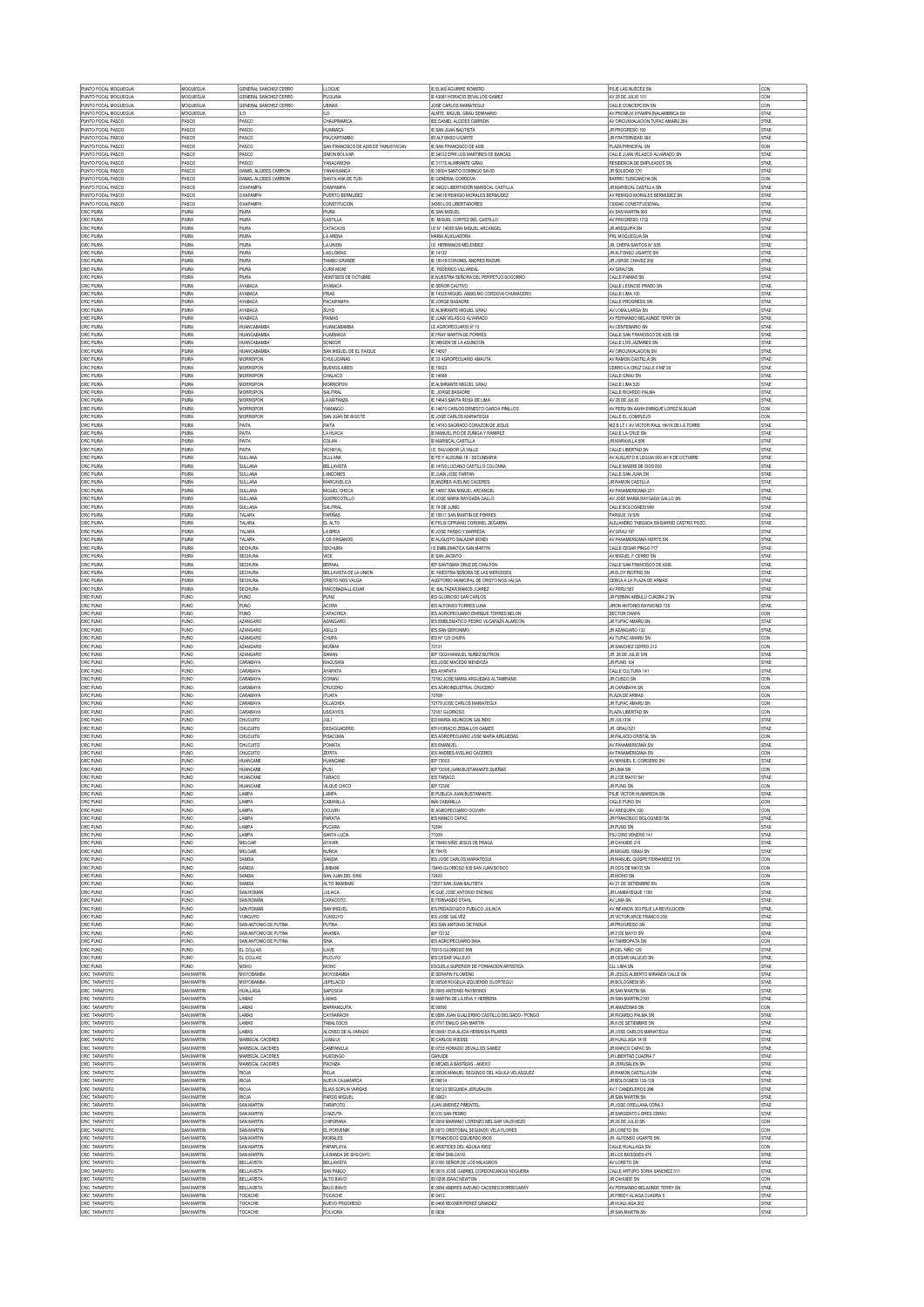| PUNTO FOCAL MOQUEGUA                         | MOQUEGUA                                      | GENERAL SANCHEZ CERRO<br>GENERAL SANCHEZ CERRO | <b>LLOQUE</b>                              | IE ELIAS AGUIRRE ROMERO                                                              | PSJE LAS NUECES SN<br>AV 28 DE JULIO 101                            | CON<br>CON                 |
|----------------------------------------------|-----------------------------------------------|------------------------------------------------|--------------------------------------------|--------------------------------------------------------------------------------------|---------------------------------------------------------------------|----------------------------|
| PUNTO FOCAL MOQUEGUA<br>PUNTO FOCAL MOQUEGUA | MOQUEGUA<br>MOQUEGUA                          | GENERAL SANCHEZ CERRO                          | PUQUINA<br><b>JBINAS</b>                   | IE 43081 HORACIO ZEVALLOS GAMEZ<br><b>JOSE CARLOS MARIATEGUI</b>                     | CALLE CONCEPCION SN                                                 | CON                        |
| PUNTO FOCAL MOQUEGUA                         | MOQUEGUA                                      | LO.                                            | LO                                         | ALMTE. MIGUEL GRAU SEMINARIO                                                         | AV PROMUVI II PAMPA INALAMBRICA SN                                  | STAE                       |
| PUNTO FOCAL PASCO<br>PUNTO FOCAL PASCO       | PASCO<br>PASCO                                | PASCO<br>PASCO                                 | CHAUPIMARCA<br><b>HUARIACA</b>             | IEE DANIEL ALCIDES CARRION<br><b>IE SAN JUAN BAUTISTA</b>                            | AV CIRCUNVALACION TUPAC AMARU 264<br>JR PROGRESO 100                | STAE<br><b>STAE</b>        |
| PUNTO FOCAL PASCO                            | PASCO                                         | PASCO                                          | PAUCARTAMBO                                | IEI ALFONSO UGARTE                                                                   | JR FRATERNIDAD 360                                                  | <b>STAE</b>                |
| PUNTO FOCAL PASCO                            | PASCO                                         | PASCO                                          | SAN FRANCISCO DE ASIS DE YARUSYACAN        | <b>IE SAN FRANCISCO DE ASIS</b>                                                      | PLAZA PRINCIPAL SN                                                  | CON                        |
| PUNTO FOCAL PASCO<br>PUNTO FOCAL PASCO       | PASCO<br>PASCO                                | PASCO<br>PASCO                                 | SIMON BOLIVAR<br>YANACANCHA                | IE 34032 EPM LOS MARTIRES DE RANCAS<br>IF 31775 ALMIRANTE GRAU                       | CALLE JUAN VELASCO ALVARADO SN<br><b>RESIDENCIA DE EMPLEADOS SN</b> | <b>STAE</b><br><b>STAE</b> |
| PUNTO FOCAL PASCO                            | PASCO                                         | DANIEL ALCIDES CARRION                         | YANAHUANCA                                 | IE 35004 SANTO DOMINGO SAVIO                                                         | JR SOLEDAD 170                                                      | STAE                       |
| PUNTO FOCAL PASCO<br>PUNTO FOCAL PASCO       | PASCO<br>PASCO                                | DANIEL ALCIDES CARRION<br>OXAPAMPA             | SANTA ANA DE TUSI<br><b>OXAPAMPA</b>       | IE GENERAL CORDOVA<br>IE 34622 LIBERTADOR MARISCAL CASTILLA                          | <b>BARRIO TUSICANCHA SN</b><br>JR MARISCAL CASTILLA SN              | CON<br>STAE                |
| PUNTO FOCAL PASCO                            | PASCO                                         | OXAPAMPA                                       | PUERTO RERMUDEZ                            | IE 34618 REMIGIO MORALES BERMUDEZ                                                    | AV REMIGIO MORALES BERMUDEZ SN                                      | STAE                       |
| PUNTO FOCAL PASCO                            | PASCO                                         | <b>OXAPAMPA</b>                                | CONSTITUCION                               | 34350 LOS LIBERTADORES                                                               | CIUDAD CONSTITUCIONAL                                               | STAE                       |
| ORC PIURA<br>ORC PIURA                       | PIURA<br>PIURA                                | PILIRA<br>PIURA                                | PIURA<br>CASTILLA                          | <b>IE SAN MIGUEL</b><br>IE. MIGUEL CORTEZ DEL CASTILLO                               | AV SAN MARTIN 900<br>AV PROGRESO 1732                               | STAE<br>STAE               |
| ORC PIURA                                    | PIURA                                         | PIURA                                          | CATACAOS                                   | ILE Nº 14036 SAN MIGUEL ARCANGEL                                                     | JR AREQUIPA SN                                                      | <b>STAE</b>                |
| ORC PIURA                                    | PIURA                                         | PIURA                                          | LA ARENA                                   | MARIA AUXILIADORA                                                                    | PRL MOQUEGUA SN                                                     | STAE                       |
| ORC PIURA<br>ORC PIURA                       | PIURA<br>PIURA                                | PIURA<br>PIURA                                 | LA UNION<br><b>LAS LOMAS</b>               | I.E. HERMANOS MELENDEZ<br>IE 14132                                                   | JR. CHEPA SANTOS N° 505<br>JR ALFONSO UGARTE SN                     | STAE<br>STAE               |
| ORC PIURA                                    | PIURA                                         | PIURA                                          | TAMBO GRANDE                               | IE 15018 CORONEL ANDRES RAZURI                                                       | JR JORGE CHAVEZ 200                                                 | STAE                       |
| ORC PIURA                                    | <b>PIURA</b>                                  | PIURA                                          | CURA MORI                                  | <b>IE. FEDERICO VILLAREAL</b>                                                        | AV GRAU SN                                                          | STAE                       |
| ORC PIURA<br>ORC PIURA                       | PIURA<br>PIURA                                | PIURA<br>AYABACA                               | VEINTISEIS DE OCTUBRE<br>AYABACA           | IE NUESTRA SEÑORA DEL PERPETUO SOCORRO<br><b>IE SEÑOR CAUTIVO</b>                    | CALLE PAIMAS SN<br>CALLE LEONCIO PRADO SN                           | STAE<br>STAE               |
| ORC PIURA                                    | PIURA                                         | AYABACA                                        | <b>FRIAS</b>                               | IE 14325 MIGUEL ANSELMO CORDOVA CHUMACERO                                            | CALLE LIMA 100                                                      | STAE                       |
| ORC PIURA                                    | PIURA                                         | AYABACA                                        | PACAPAMPA                                  | <b>IE JORGE BASADRE</b>                                                              | CALLE PROGRESO SN                                                   | STAE                       |
| ORC PIURA<br>ORC PIURA                       | PIURA<br>PIURA                                | AYABACA<br>AYABACA                             | SUYO<br>PAIMAS                             | IE ALMRANTE MIGUEL GRAU<br>IE JUAN VELASCO ALVARADO                                  | AV LOMA LARGA SN<br>AV FERNANDO BELAUNDE TERRY SN                   | <b>STAE</b><br><b>STAE</b> |
| ORC PIURA                                    | PIURA                                         | HUANCABAMB/                                    | <b>IUANCABAMB</b>                          | <b>LE AGROPECUARIO N°13</b>                                                          | AV CENTENARIO SN                                                    | STAE                       |
| ORC PIURA                                    | PIURA                                         | <b>HUANCABAMBA</b>                             | <b>HUARMAC/</b>                            | <b>IE FRAY MARTIN DE PORRES</b>                                                      | CALLE SAN FRANCISCO DE ASIS 108                                     | <b>STAE</b>                |
| ORC PIURA<br>ORC PIURA                       | PIURA<br>PIURA                                | <b>HUANCABAMBA</b><br><b>HUANCABAMBA</b>       | SONDOR<br>SAN MIGUEL DE EL FAIQUE          | IE VRGEN DE LA ASUNCION<br><b>IE 14507</b>                                           | CALLE LOS JAZMINES SN<br>AV CIRCUNVALACION SN                       | STAE<br><b>STAE</b>        |
| ORC PIURA                                    | PIURA                                         | <b>MORROPON</b>                                | CHULUCANAS                                 | IE 33 AGROPECUARIO AMAUTA                                                            | AV RAMON CASTILLA SN                                                | <b>STAE</b>                |
| ORC PIURA                                    | PIURA                                         | <b>MORROPON</b>                                | <b>BUENOS AIRES</b>                        | IE 15023                                                                             | CERRO LA CRUZ CALLE 8 MZ 29                                         | <b>STAE</b>                |
| ORC PIURA<br>ORC PIURA                       | PIURA<br>PIURA                                | <b>MORROPON</b><br><b>MORROPON</b>             | CHALACO<br>MORROPON                        | IE 14668<br>IE ALMRANTE MIGUEL GRAU                                                  | CALLE GRAU SN<br>CALLE LIMA 520                                     | <b>STAE</b><br><b>STAE</b> |
| ORC PIURA                                    | PIURA                                         | <b>MORROPON</b>                                | SALITRAL                                   | IE. JORGE BASADRE                                                                    | CALLE RICARDO PALMA                                                 | STAE                       |
| ORC PIURA                                    | PIURA                                         | MORROPOL                                       | LA MATANZA                                 | IE 14643 SANTA ROSA DE LIMA                                                          | AV 28 DE JULIO                                                      | STAE                       |
| ORC PIURA<br>ORC PIURA                       | <b>PIURA</b><br>PIURA                         | <b>MORROPON</b><br><b>MORROPON</b>             | YAMANGO<br>SAN JUAN DE BIGOTE              | IE 14670 CARLOS ERNESTO GARCIA PINILLOS<br>IE JOSE CARLOS MARIATEGUI                 | AV PERU SN AAHH ENRIQUE LOPEZ ALBUJAR<br>CALLE EL COMPLEJO          | CON<br>CON                 |
| ORC PIURA                                    | PIURA                                         | PAITA                                          | PAITA                                      | IE 14743 SAGRADO CORAZON DE JESUS                                                    | MZ B LT 1 AV VICTOR RAUL HAYA DE LA TORRE                           | STAE                       |
| ORC PIURA                                    | PIURA                                         | PAITA                                          | LA HUACA                                   | IE MANUEL PIO DE ZUÑIGA Y RAMIREZ                                                    | CALLE LA CRUZ SN                                                    | STAE                       |
| ORC PIURA<br>ORC PIURA                       | <b>PIURA</b><br>PIURA                         | PAITA<br>PAITA                                 | COLAN<br>VICHAYA                           | <b>E MARISCAL CASTILLA</b><br>I.E. SALVADOR LA VALLE                                 | JR MARAVILLA 506<br>CALLE LIBERTAD SN                               | STAE<br>STAE               |
| ORC PIURA                                    | PIURA                                         | SULLANA                                        | <b>SULLANA</b>                             | IE FE Y ALEGRIA 18 - SECUNDARIA                                                      | AV AUGUSTO B LEGUIA 900 AH 9 DE OCTUBRE                             | STAE                       |
| ORC PIURA                                    | PIURA                                         | SULLANA                                        | <b>BELLAVISTA</b>                          | IE 14793 LUCIANO CASTILLO COLONNA                                                    | CALLE MADRE DE DIOS 600                                             | STAE                       |
| ORC PIURA<br>ORC PIURA                       | PIURA<br>PIURA                                | SULLANA<br>SULLANA                             | LANCONES<br>MARCAVELICA                    | IE JUAN JOSE FARFAN<br>IE ANDRES AVELINO CACERES                                     | CALLE SAN JUAN SN<br>JR RAMON CASTILLA                              | STAE<br>STAE               |
| ORC PIURA                                    | PIURA                                         | SULLANA                                        | MIGUEL CHECA                               | IE 14857 SAN MIGUEL ARCANGEL                                                         | AV PANAMERICANA 231                                                 | STAE                       |
| ORC PIURA                                    | PIURA                                         | SULLANA                                        | QUERECOTILLO                               | IE JOSE MARIA RAYGADA GALLO                                                          | AV JOSE MARIA RAYGADA GALLO SN                                      | <b>STAE</b>                |
| ORC PIURA<br>ORC PIURA                       | PIURA<br>PIURA                                | SULLANA<br>TALARA                              | <b>SALITRAL</b><br>PARIÑAS                 | IE 19 DE JUNIO<br>IE 15511 SAN MARTIN DE PORRES                                      | CALLE BOLOGNESI 999<br>PARQUE 19 S/N                                | STAE<br><b>STAE</b>        |
| ORC PIURA                                    | PIURA                                         | TALARA                                         | EL ALTO                                    | IF FELIX CIPRIANO CORONEL ZEGARRA                                                    | ALEJANDRO TABOADA SN BARRIO CASTRO POZO                             | <b>STAE</b>                |
| ORC PIURA                                    | PIURA                                         | TALARA                                         | LA BREA                                    | IE JOSE PARDO Y BARREDA                                                              | AV GRAU 197                                                         | <b>STAE</b>                |
| ORC PIURA<br>ORC PIURA                       | PIURA<br>PIURA                                | TALARA<br><b>SECHURA</b>                       | LOS ORGANOS<br><b>SECHURA</b>              | IE AUGUSTO SALAZAR BONDI<br><b>I E EMBLEMATICA SAN MARTIN</b>                        | AV PANAMERICANA NORTE SN<br>CALLE CESAR PINGO 777                   | <b>STAE</b><br>STAE        |
| ORC PIURA                                    | PIURA                                         | <b>SECHURA</b>                                 | <b>VICE</b>                                | <b>IE SAN JACINTO</b>                                                                | AV MIGUEL F CERRO SN                                                | <b>STAE</b>                |
| ORC PIURA                                    | PIURA                                         | <b>SECHURA</b>                                 | <b>BERNAL</b>                              | IEP SANTISIMA CRUZ DE CHALPON                                                        | CALLE SAN FRANCISCO DE ASIS                                         | STAE                       |
| ORC PIURA<br>ORC PIURA                       | PIURA<br>PIURA                                | <b>SECHURA</b><br><b>SECHURA</b>               | BELLAVISTA DE LA UNION<br>CRISTO NOS VALGA | <b>IE. NUESTRA SEÑORA DE LAS MERCEDES</b><br>AUDITORIO MUNICIPAL DE CRISTO NOS VALGA | JR ELOY RIOFRIO SN<br>CERCA A LA PLAZA DE ARMAS                     | STAE<br>STAE               |
| ORC PIURA                                    | PIURA                                         | <b>SECHURA</b>                                 | RINCONADA-LLICUAR                          | IE. BALTAZAR RAMOS JUAREZ                                                            | AV PERU 557                                                         | STAE                       |
| ORC PUNO                                     | PUNO                                          | PUNO                                           | PUNO                                       | <b>IES GLORIOSO SAN CARLOS</b>                                                       | JR FERMIN ARBULU CUADRA 2 SN                                        | STAE                       |
| ORC PUNC<br>ORC PUNO                         | PUNO<br>PUNO                                  | <b>PUNO</b><br>PUNO                            | <b>ACORA</b><br>CAPACHICA                  | <b>IES ALFONSO TORRES LUNA</b><br><b>IES AGROPECUARIO ENRIQUE TORRES BELON</b>       | JIRON ANTONIO RAYMONDI 135<br>SECTOR CHAPA                          | <b>STAE</b><br>CON         |
| ORC PUNO                                     | PUNO                                          | <b>AZANGARO</b>                                | AZANGARO                                   | IES EMBLEMATICO PEDRO VILCAPAZA ALARCON                                              | JR TUPAC AMARU SN                                                   | STAE                       |
| ORC PUNG                                     | PUNO                                          | <b>AZANGARO</b>                                | <b>ASILLO</b>                              | <b>IES SAN GERONIMO</b>                                                              | JR AZANGARO 132                                                     | STAE                       |
| ORC PUNC<br>ORC PUNO                         | PUNO<br>PUNO                                  | <b>AZANGARO</b><br><b>AZANGARO</b>             | CHUPA<br>MUÑANI                            | <b>IES Nº 125 CHUPA</b><br>72131                                                     | AV TUPAC AMARU SN<br>JR SANCHEZ CERRO 212                           | CON<br>CON                 |
| ORC PUNG                                     | PUNO                                          | <b>AZANGARO</b>                                | SAMAN                                      | IEP 72024 MANUEL NUÑEZ BUTRON                                                        | JR. 28 DE JULIO S/N                                                 | STAE                       |
| ORC PUNO                                     | PUNO                                          | CARABAYA                                       | MACUSAN                                    | IES JOSE MACEDO MENDOZA                                                              | JR PUNO 104                                                         | STAE                       |
| ORC PUNG<br>ORC PUNG                         | PUNO<br><b>PUNO</b>                           | CARABAYA<br>CARABAYA                           | AYAPATA<br>CORANI                          | <b>IES AYAPATA</b><br>72182 JOSE MARIA ARGUEDAS ALTAMIRANO                           | CALLE CULTURA 141<br>JR CUSCO SN                                    | STAE<br>CON                |
| ORC PUNO                                     | PUNO                                          | CARABAYA                                       | CRUCERO                                    | <b>IES AGROINDUSTRIAL CRUCERO</b>                                                    | JR CARABAYA SN                                                      | CON                        |
| ORC PUNG                                     | <b>PUNO</b>                                   | CARABAYA                                       | TUATA                                      | 72169                                                                                | PLAZA DE ARMAS                                                      | CON                        |
| ORC PUNC<br>ORC PUNG                         | PUNO<br><b>PUNO</b>                           | CARABAYA<br>CARABAYA                           | DLLACHEA<br>USICAYOS                       | 72179 JOSE CARLOS MARIATEGU<br>72181 GLORIOSO                                        | JR TUPAC AMARU SN<br>PLAZA LIBERTAD SN                              | CON<br>CON                 |
| ORC PUNO                                     | PUNO                                          | CHUCUITO                                       | JULI                                       | <b>IES MARIA ASUNCION GALINDO</b>                                                    | JR JULI 334                                                         | <b>STAE</b>                |
| ORC PUNG                                     | <b>PUNO</b>                                   | CHUCUITO                                       | DESAGUADERO                                | <b>IEP HORACIO ZEBALLOS GAMES</b>                                                    | JR. GRAU 521                                                        | <b>STAE</b>                |
| ORC PUNO<br>ORC PUNG                         | PUNO<br><b>PUNO</b>                           | CHUCUITO<br>CHUCUITO                           | PISACOM/<br>POMATA                         | IES AGROPECUARIO JOSE MARIA ARGUEDAS<br><b>IES EMANUEL</b>                           | JR PALACIO CRISTAL SN<br>AV PANAMERICANA SN                         | CON<br><b>STAE</b>         |
| ORC PUNO                                     | PUNO                                          | CHUCUITO                                       | ZEPITA                                     | <b>IES ANDRES AVELINO CACERES</b>                                                    | AV PANAMERICANA SN                                                  | CON                        |
| ORC PUNG                                     | <b>PUNO</b>                                   | HUANCANE                                       | HUANCANE                                   | IEP 73003                                                                            | AV MANUEL E. CORDERO SN                                             | <b>STAE</b>                |
| ORC PUNO<br>ORC PUNO                         | PUNO<br>PUNO                                  | HUANCANE<br>HUANCANE                           | PUSI<br>TARACO                             | IEP 72308 JUAN BUSTAMANTE DUEÑAS<br><b>IES TARACO</b>                                | JR LIMA SN<br>JR 2 DE MAYO 541                                      | CON<br>STAE                |
| ORC PUNO                                     | PUNO                                          | HUANCANE                                       | VILQUE CHICO                               | IEP 72306                                                                            | JR PUNO SN                                                          | CON                        |
| ORC PUNO                                     | PUNO                                          | <b>LAMPA</b>                                   | <b>AMPA</b>                                | IE PUBLICA JUAN BUSTAMANTE                                                           | PSJE VICTOR HUMAREDA SN                                             | STAE                       |
| ORC PUNO<br>ORC PUNO                         | PUNO<br>PUNO                                  | LAMPA<br>LAMPA                                 | CABANLLA<br><b>OCUVRI</b>                  | INAI CABANILLA<br>IE AGROPECUARIO OCUVIRI                                            | CALLE PUNO SN<br>AV AREQUIPA 100                                    | CON<br>CON                 |
| ORC PUNO                                     | PUNO                                          | LAMPA                                          | PARATIA                                    | <b>IES MANCO CAPAC</b>                                                               | JR FRANCISCO BOLOGNESI SN                                           | STAE                       |
| ORC PUNO                                     | PUNO                                          | LAMPA                                          | PUCARA                                     | 70394                                                                                | JR PUNO SN                                                          | STAE                       |
| ORC PUNO<br>ORC PUNO                         | PUNO<br>PUNO                                  | LAMPA<br><b>MELGAR</b>                         | SANTA LUCIA<br>AYAVIRI                     | 71009<br>IE 70480 NIÑO JESUS DE PRAGA                                                | PSJ CIRO VENERO 141<br>JR CAHUIDE 210                               | STAE<br>STAE               |
| ORC PUNO                                     | PUNO                                          | MELGAR                                         | <b>NUÑOA</b>                               | IE 70476                                                                             | JR MIGUEL GRAU SN                                                   | STAE                       |
| ORC PUNO<br>ORC PUNO                         | PUNO<br>PUNO                                  | <b>SANDIA</b><br>SANDIA                        | <b>SANDIA</b>                              | <b>IES JOSE CARLOS MARIATEGUI</b>                                                    | JR MANUEL QUISPE FERNANDEZ 135                                      | CON<br>CON                 |
| ORC PUNO                                     |                                               |                                                |                                            |                                                                                      |                                                                     |                            |
| ORC PUNO                                     |                                               | SANDIA                                         | <b>IMBANI</b><br>SAN JUAN DEL ORO          | 72445 GLORIOSO 835 SAN JUAN BOSCO<br>72420                                           | JR DOS DE MAYO SN<br>JR MOHO SN                                     |                            |
|                                              | PUNO<br><b>PUNO</b>                           | SANDIA                                         | ALTO INAMBARI                              | 72527 SAN JI JAN RALITISTA                                                           | AV 21 DE SETIEMBRE SN                                               | CON<br>CON                 |
| ORC PUNO                                     | PUNO                                          | SAN ROMAN                                      | <b>JULIACA</b>                             | IE GUE JOSE ANTONIO ENCINAS                                                          | JR LAMBAYEQUE 1180                                                  | STAE                       |
| ORC PUNO<br>ORC PUNO                         | <b>PUNO</b><br>PUNO                           | SAN ROMAN<br>SAN ROMAN                         | CARACOTO<br>SAN MIGUEL                     | <b>IE FERNANDO STAHL</b><br>IES PEDAGOGICO PUBLICO JULIACA                           | AV LIMA SN<br>AV INFANCIA 303 PSJE LA REVOLUCION                    | <b>STAE</b><br>STAE        |
| ORC PUNO                                     | PUNO                                          | <b>YUNGUYO</b>                                 | <b>YUNGUYO</b>                             | <b>IES JOSE GALVEZ</b>                                                               | JR VICTOR ARCE FRANCO 256                                           | <b>STAE</b>                |
| ORC PUNO                                     | PUNO                                          | SAN ANTONIO DE PUTINA                          | PUTINA                                     | IES SAN ANTONIO DE PADUA                                                             | JR PROGRESO SN<br>JR 2 DE MAYO SN                                   | <b>STAE</b>                |
| ORC PUNO<br>ORC PUNO                         | <b>PUNO</b><br>PUNO                           | SAN ANTONIO DE PUTINA<br>SAN ANTONIO DE PUTINA | <b>ANANEA</b><br><b>SINA</b>               | IEP 72132<br>IES AGROPECUARIO SINA                                                   | AV TAMBOPATA SN                                                     | <b>STAE</b><br>CON         |
| ORC PUNO                                     | PUNO                                          | EL COLLAO                                      | <b>LAVE</b>                                | 70315 GLORIOSO 895                                                                   | JR DEL NIÑO 129                                                     | <b>STAE</b>                |
| ORC PUNO                                     | PUNO                                          | EL COLLAO                                      | PILCUYO                                    | <b>IES CESAR VALLEJO</b>                                                             | JR CESAR VALLEJO SN                                                 | STAE                       |
| ORC PUNO<br>ORC TARAPOTO                     | PUNO<br>SAN MARTIN                            | MOHO<br>MOYOBAMBA                              | MOHO<br>MOYOBAMBA                          | ESCUELA SUPERIOR DE FORMACION ARTISTICA<br><b>IE SERAFIN FILOMENO</b>                | CLL LIMA SN<br>JR JESUS ALBERTO MIRANDA CALLE SN                    | STAE<br>STAE               |
| ORC TARAPOTO                                 | SAN MARTIN                                    | MOYOBAMBA                                      | <b>JEPELACIO</b>                           | IE 00508 ROGELIA IZQUIERDO OLORTEGUI                                                 | JR BOLOGNESI SN                                                     | STAE                       |
| ORC TARAPOTO                                 | SAN MARTIN                                    | <b>HUALLAGA</b>                                | SAPOSOA                                    | IE 0005 ANTONIO RAYMONDI                                                             | JR SAN MARTIN SN                                                    | STAE                       |
| ORC TARAPOTO<br>ORC TARAPOTO                 | <b>SAN MARTIN</b><br>SAN MARTIN               | LAMAS<br>LAMAS                                 | LAMAS<br><b>BARRANQUITA</b>                | IE MARTIN DE LA RIVA Y HERRERA<br>IE 00590                                           | JR SAN MARTIN 2193<br>JR AMAZONAS SN                                | STAE<br>CON                |
| ORC TARAPOTO                                 | SAN MARTIN                                    | LAMAS                                          | CAYNARACHI                                 | IE 0588 JUAN GUILLERMO CASTILLO DELGADO - PONGO                                      | JR RICARDO PALMA SN                                                 | STAE                       |
| ORC TARAPOTO                                 | SAN MARTIN                                    | LAMAS<br>LAMAS                                 | <b>TABALOSOS</b>                           | IE 0707 EMILIO SAN MARTIN                                                            | JR 8 DE SETIEMBRE SN                                                | STAE                       |
| ORC TARAPOTO<br>ORC TARAPOTO                 | SAN MARTIN<br>SAN MARTIN                      | MARISCAL CACERES                               | ALONSO DE ALVARADO<br><b>JUANJUI</b>       | IE 00481 EVA ALICIA HERMOSA PILARES<br><b>IE CARLOS WESSE</b>                        | JR JOSE CARLOS MARIATEGUI<br>JR HUALLAGA 1418                       | STAE<br>STAE               |
| ORC TARAPOTO                                 | SAN MARTIN                                    | MARISCAL CACERES                               | <b>CAMPANILLA</b>                          | IE 0755 HORACIO ZEVALLOS GAMEZ                                                       | JR MANCO CAPAC SN                                                   | STAE                       |
| ORC TARAPOTO                                 | SAN MARTIN                                    | MARISCAL CACERES                               | <b>HUICUNGO</b>                            | CAHUIDE                                                                              | JR LIBERTAD CUADRA 7                                                | <b>STAE</b>                |
| ORC TARAPOTO<br>ORC TARAPOTO                 | SAN MARTIN<br>SAN MARTIN                      | MARISCAL CACERES<br><b>RIOJA</b>               | PACHIZA<br>RIOJA                           | IE MICAELA BASTIDAS - ANEXO<br>IE 00536 MANUEL SEGUNDO DEL AGUILA VELASQUEZ          | JR JERUSALEN SN<br>JR RAMON CASTILLA 254                            | STAE<br><b>STAE</b>        |
| ORC TARAPOTO                                 | SAN MARTIN                                    | <b>RIOJA</b>                                   | NUEVA CAJAMARCA                            | IE 00614                                                                             | JR BOLOGNESI 126-128                                                | <b>STAE</b>                |
| ORC TARAPOTO                                 | SAN MARTIN                                    | <b>RIOJA</b>                                   | ELIAS SOPLIN VARGAS                        | IE 00123 SEGUNDA JERUSALEN                                                           | AV 7 CANDELEROS 396                                                 | <b>STAE</b>                |
| ORC TARAPOTO<br>ORC TARAPOTO                 | SAN MARTIN<br>SAN MARTIN                      | RIOJA<br>SAN MARTIN                            | PARDO MIGUEL<br>TARAPOTO                   | IE 00621<br>JUAN JIMENEZ PIMENTEL                                                    | JR SAN MARTIN SN<br>JR JOSE ORELLANA CDRA 3                         | STAE<br><b>STAE</b>        |
| ORC TARAPOTO                                 | SAN MARTIN                                    | SAN MARTIN                                     | CHAZUTA                                    | IE 015 SAN PEDRO                                                                     | JR SARGENTO LORES CDRA3                                             | <b>STAE</b>                |
| ORC TARAPOTO                                 | SAN MARTIN                                    | SAN MARTIN                                     | CHIPURANA                                  | IE 0059 MARIANO LORENZO MELGAR VALDIMEZO                                             | JR 28 DE JULIO SN                                                   | CON                        |
| ORC TARAPOTO<br>ORC TARAPOTO                 | SAN MARTIN<br>SAN MARTIN                      | SAN MARTIN<br>SAN MARTIN                       | EL PORVENIR<br><b>MORALES</b>              | IE 0070 CRISTOBAL SEGUNDO VELA FLORES<br><b>IE FRANCISCO IZQUIERDO RIOS</b>          | JR LORETO SN<br>JR. ALFONSO UGARTE SN                               | CON<br>STAE                |
| ORC TARAPOTO                                 | SAN MARTIN                                    | SAN MARTIN                                     | PAPAPLAYA                                  | <b>IE ARISTIDES DEL AGUILA RIOS</b>                                                  | CALLE HUALLAGA SN                                                   | CON                        |
| ORC TARAPOTO                                 | SAN MARTIN                                    | SAN MARTIN                                     | LA BANDA DE SHILCAYO                       | IE 0094 SHILCAYO                                                                     | JR LOS BOSQUES 470                                                  | STAE                       |
| ORC TARAPOTO<br>ORC TARAPOTO                 | SAN MARTIN<br>SAN MARTIN                      | BELLAVISTA<br>BELLAVISTA                       | <b>BELLAVISTA</b><br>SAN PABLO             | IE 0180 SEÑOR DE LOS MILAGROS<br>IE 0016 JOSÉ GABRIEL CORDONCANQUI NOGUERA           | AV LORETO SN<br>CALLE ARTURO SORIA SANCHEZ 311                      | STAE<br>STAE               |
| ORC TARAPOTO                                 | SAN MARTIN                                    | BELLAVISTA                                     | ALTO BIAVO                                 | IEI 0206 ISAAC NEWTON                                                                | JR CAHUIDE SN                                                       | CON                        |
| ORC TARAPOTO                                 | SAN MARTIN                                    | <b>BELLAVISTA</b>                              | BAJO BIAVO                                 | IE 0084 ANDRES AVELINO CACERES DORREGARAY                                            | AV FERNANDO BELAUNDE TERRY SN                                       | STAE                       |
| ORC TARAPOTO<br>ORC TARAPOTO<br>ORC TARAPOTO | SAN MARTIN<br><b>SAN MARTIN</b><br>SAN MARTIN | TOCACHE<br>TOCACHE<br>TOCACHE                  | TOCACHE<br>NUEVO PROGRESO<br>POLVORA       | IE 0412<br>IE 0466 REGNER PEREZ GRANDEZ                                              | JR FREDY ALIAGA CUADRA 5<br>JR HUALLAGA 302<br>JR SAN MARTIN SN     | STAE<br>STAE<br>STAE       |